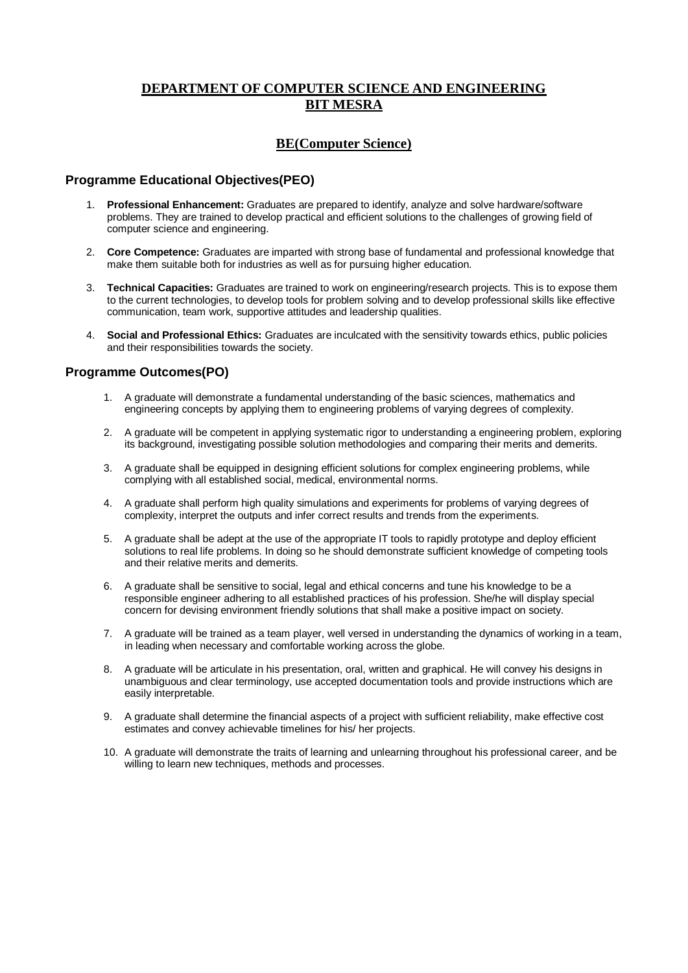### **DEPARTMENT OF COMPUTER SCIENCE AND ENGINEERING BIT MESRA**

#### **BE(Computer Science)**

#### **Programme Educational Objectives(PEO)**

- 1. **Professional Enhancement:** Graduates are prepared to identify, analyze and solve hardware/software problems. They are trained to develop practical and efficient solutions to the challenges of growing field of computer science and engineering.
- 2. **Core Competence:** Graduates are imparted with strong base of fundamental and professional knowledge that make them suitable both for industries as well as for pursuing higher education.
- 3. **Technical Capacities:** Graduates are trained to work on engineering/research projects. This is to expose them to the current technologies, to develop tools for problem solving and to develop professional skills like effective communication, team work, supportive attitudes and leadership qualities.
- 4. **Social and Professional Ethics:** Graduates are inculcated with the sensitivity towards ethics, public policies and their responsibilities towards the society.

#### **Programme Outcomes(PO)**

- 1. A graduate will demonstrate a fundamental understanding of the basic sciences, mathematics and engineering concepts by applying them to engineering problems of varying degrees of complexity.
- 2. A graduate will be competent in applying systematic rigor to understanding a engineering problem, exploring its background, investigating possible solution methodologies and comparing their merits and demerits.
- 3. A graduate shall be equipped in designing efficient solutions for complex engineering problems, while complying with all established social, medical, environmental norms.
- 4. A graduate shall perform high quality simulations and experiments for problems of varying degrees of complexity, interpret the outputs and infer correct results and trends from the experiments.
- 5. A graduate shall be adept at the use of the appropriate IT tools to rapidly prototype and deploy efficient solutions to real life problems. In doing so he should demonstrate sufficient knowledge of competing tools and their relative merits and demerits.
- 6. A graduate shall be sensitive to social, legal and ethical concerns and tune his knowledge to be a responsible engineer adhering to all established practices of his profession. She/he will display special concern for devising environment friendly solutions that shall make a positive impact on society.
- 7. A graduate will be trained as a team player, well versed in understanding the dynamics of working in a team, in leading when necessary and comfortable working across the globe.
- 8. A graduate will be articulate in his presentation, oral, written and graphical. He will convey his designs in unambiguous and clear terminology, use accepted documentation tools and provide instructions which are easily interpretable.
- 9. A graduate shall determine the financial aspects of a project with sufficient reliability, make effective cost estimates and convey achievable timelines for his/ her projects.
- 10. A graduate will demonstrate the traits of learning and unlearning throughout his professional career, and be willing to learn new techniques, methods and processes.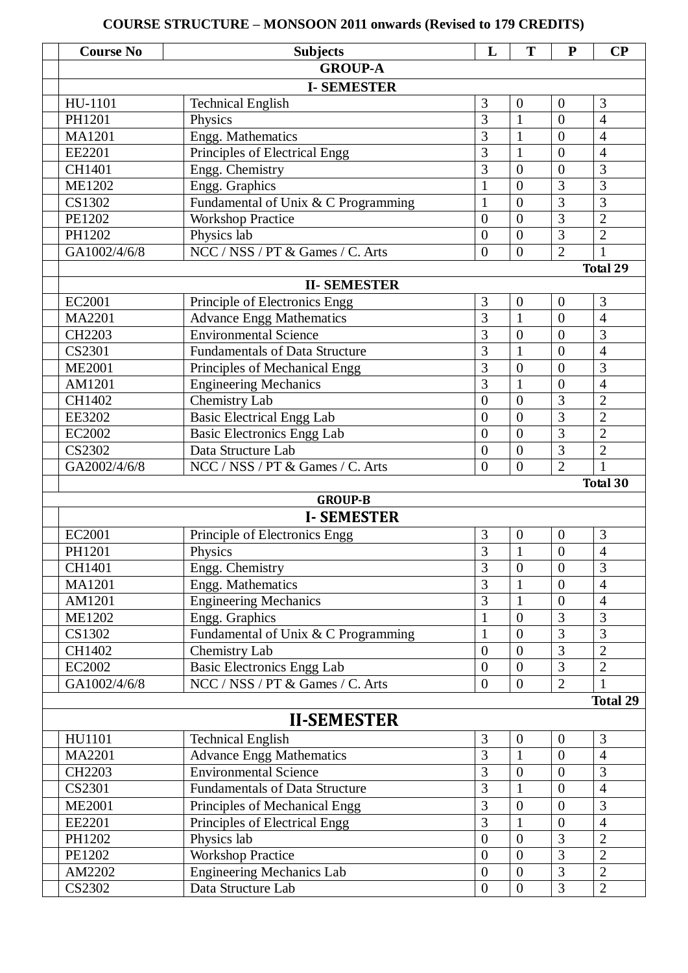# **Course No Subjects L T P CP GROUP-A I- SEMESTER**  $\text{HU-1101}$  Technical English  $\begin{array}{|l|c|c|c|c|c|c|c|c|} \hline 3 & 0 & 0 & 3 \\ \hline \end{array}$ PH1201 | Physics | 3 | 1 | 0 | 4 MA1201 Engg. Mathematics 3 1 0 4 EE2201 Principles of Electrical Engg  $\begin{array}{|c|c|c|c|c|c|c|c|c|} \hline 3 & 1 & 0 & 4 \ \hline \end{array}$ CH1401 Engg. Chemistry 3 0 0 3 ME1202 Engg. Graphics 1 0 3 3  $\overline{\text{CS1302}}$  Fundamental of Unix & C Programming 1 0 3 3 PE1202 Workshop Practice 0 0 3 2 PH1202 Physics lab 0 0 3 2 GA1002/4/6/8 NCC / NSS / PT & Games / C. Arts 0 0 2 1  **Total 29 II- SEMESTER** EC2001 Principle of Electronics Engg  $\begin{array}{|l|c|c|c|c|c|c|c|c|} \hline 3 & 0 & 0 & 3 \\ \hline \end{array}$ MA2201 Advance Engg Mathematics 3 1 0 4 CH2203 Environmental Science 3 0 0 3  $CS2301$  Fundamentals of Data Structure  $\begin{array}{|l|c|c|c|c|c|c|c|c|} \hline 3 & 1 & 0 & 4 \\ \hline \end{array}$  $ME2001$  Principles of Mechanical Engg 3 0 0 3 AM1201 Engineering Mechanics 3 1 0 4 CH1402 Chemistry Lab 0 0 3 2 EE3202 Basic Electrical Engg Lab 0 0 3 2 EC2002 Basic Electronics Engg Lab 0 0 3 2 CS2302 Data Structure Lab 0 0 3 2 GA2002/4/6/8 NCC / NSS / PT & Games / C. Arts 0 0 2 1  **Total 30 GROUP-B I- SEMESTER** EC2001 Principle of Electronics Engg 3 0 0 3 PH1201 | Physics | 3 | 1 | 0 | 4 CH1401 Engg. Chemistry 3 0 0 3 MA1201 Engg. Mathematics 3 1 0 4 AM1201 Engineering Mechanics 3 1 0 4 ME1202 Engg. Graphics 1 0 3 3 CS1302 Fundamental of Unix & C Programming 1 0 3 3 CH1402 Chemistry Lab 0 0 3 2 EC2002 Basic Electronics Engg Lab 0 0 3 2 GA1002/4/6/8 NCC / NSS / PT & Games / C. Arts 0 0 2 1 **Total 29 II-SEMESTER**  $\text{HU}1101$  Technical English  $\begin{array}{|c|c|c|c|c|c|c|c|c|} \hline 3 & 0 & 0 & 3 \\ \hline \end{array}$ MA2201 Advance Engg Mathematics 3 1 0 4 CH2203 Environmental Science 3 0 0 3 CS2301 Fundamentals of Data Structure 3 1 0 4  $ME2001$  Principles of Mechanical Engg 3 0 0 3 EE2201 Principles of Electrical Engg  $\begin{array}{|l|c|c|c|c|c|c|c|c|} \hline 3 & 1 & 0 & 4 \\ \hline \end{array}$ PH1202 Physics lab 0 0 3 2 PE1202 Workshop Practice 0 0 3 2 AM2202 Engineering Mechanics Lab 0 0 3 2 CS2302 Data Structure Lab 0 0 3 2

**COURSE STRUCTURE – MONSOON 2011 onwards (Revised to 179 CREDITS)**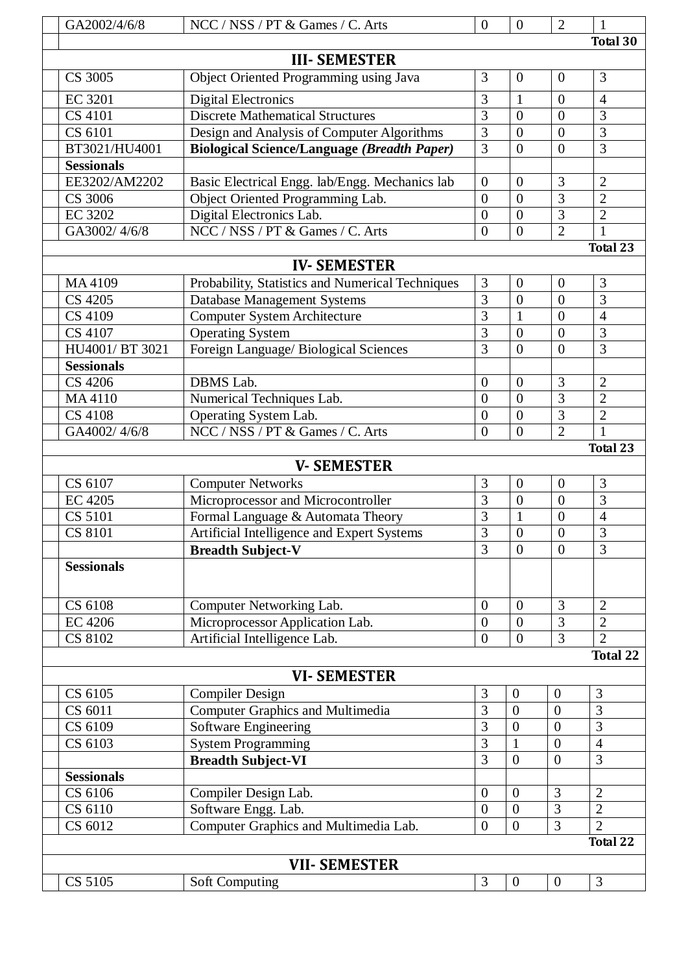| GA2002/4/6/8       | NCC / NSS / PT & Games / C. Arts                   | $\overline{0}$   | $\theta$              | $\overline{2}$                   | 1               |  |  |  |
|--------------------|----------------------------------------------------|------------------|-----------------------|----------------------------------|-----------------|--|--|--|
|                    |                                                    |                  |                       |                                  | <b>Total 30</b> |  |  |  |
|                    | <b>III- SEMESTER</b>                               |                  |                       |                                  |                 |  |  |  |
| CS 3005            | Object Oriented Programming using Java             | 3                | $\overline{0}$        | $\overline{0}$                   | 3               |  |  |  |
| <b>EC 3201</b>     | <b>Digital Electronics</b>                         | 3                | 1                     | $\boldsymbol{0}$                 | $\overline{4}$  |  |  |  |
| CS 4101            | <b>Discrete Mathematical Structures</b>            | $\overline{3}$   | $\overline{0}$        | $\overline{0}$                   | 3               |  |  |  |
| CS 6101            | Design and Analysis of Computer Algorithms         | $\overline{3}$   | $\overline{0}$        | $\overline{0}$                   | $\overline{3}$  |  |  |  |
| BT3021/HU4001      | <b>Biological Science/Language (Breadth Paper)</b> | 3                | $\overline{0}$        | $\overline{0}$                   | 3               |  |  |  |
| <b>Sessionals</b>  |                                                    |                  |                       |                                  |                 |  |  |  |
| EE3202/AM2202      | Basic Electrical Engg. lab/Engg. Mechanics lab     | $\overline{0}$   | $\theta$              | 3                                | $\overline{2}$  |  |  |  |
| CS 3006            | Object Oriented Programming Lab.                   | $\theta$         | $\theta$              | $\overline{3}$                   | $\overline{2}$  |  |  |  |
| <b>EC 3202</b>     | Digital Electronics Lab.                           | $\overline{0}$   | $\theta$              | 3                                | $\overline{2}$  |  |  |  |
| GA3002/4/6/8       | NCC / NSS / PT & Games / C. Arts                   | $\overline{0}$   | $\theta$              | $\overline{2}$                   | 1               |  |  |  |
|                    |                                                    |                  |                       |                                  | Total 23        |  |  |  |
| <b>IV-SEMESTER</b> |                                                    |                  |                       |                                  |                 |  |  |  |
| MA4109             | Probability, Statistics and Numerical Techniques   | 3                | $\overline{0}$        | $\overline{0}$                   | 3               |  |  |  |
| CS 4205            | <b>Database Management Systems</b>                 | 3                | $\overline{0}$        | $\overline{0}$                   | 3               |  |  |  |
| CS 4109            | <b>Computer System Architecture</b>                | $\overline{3}$   |                       | $\overline{0}$                   | $\overline{4}$  |  |  |  |
| CS 4107            | <b>Operating System</b>                            | 3                | $\overline{0}$        | $\overline{0}$                   | 3               |  |  |  |
| HU4001/ BT 3021    | Foreign Language/ Biological Sciences              | $\overline{3}$   | $\overline{0}$        | $\overline{0}$                   | 3               |  |  |  |
| <b>Sessionals</b>  |                                                    |                  |                       |                                  |                 |  |  |  |
| CS 4206            | <b>DBMS</b> Lab.                                   | $\overline{0}$   | $\overline{0}$        | 3                                | $\overline{2}$  |  |  |  |
| MA4110             | Numerical Techniques Lab.                          | $\theta$         | $\overline{0}$        | 3                                | $\overline{2}$  |  |  |  |
| <b>CS 4108</b>     | Operating System Lab.                              | $\overline{0}$   | $\overline{0}$        | 3                                | $\overline{2}$  |  |  |  |
| GA4002/4/6/8       | NCC / NSS / PT & Games / C. Arts                   | $\overline{0}$   | $\theta$              | $\overline{2}$                   | 1               |  |  |  |
|                    |                                                    |                  |                       |                                  | <b>Total 23</b> |  |  |  |
|                    | <b>V-SEMESTER</b>                                  |                  |                       |                                  |                 |  |  |  |
| CS 6107            | <b>Computer Networks</b>                           | 3                | $\boldsymbol{0}$      | $\overline{0}$                   | 3               |  |  |  |
| <b>EC 4205</b>     |                                                    | $\overline{3}$   | $\overline{0}$        | $\overline{0}$                   | $\overline{3}$  |  |  |  |
| <b>CS 5101</b>     | Microprocessor and Microcontroller                 | 3                |                       | $\boldsymbol{0}$                 | $\overline{4}$  |  |  |  |
| <b>CS 8101</b>     | Formal Language & Automata Theory                  | $\overline{3}$   | 1<br>$\boldsymbol{0}$ | $\overline{0}$                   | $\overline{3}$  |  |  |  |
|                    | Artificial Intelligence and Expert Systems         | 3                |                       |                                  | 3               |  |  |  |
|                    | <b>Breadth Subject-V</b>                           |                  | $\theta$              | $\boldsymbol{0}$                 |                 |  |  |  |
| <b>Sessionals</b>  |                                                    |                  |                       |                                  |                 |  |  |  |
|                    |                                                    |                  |                       |                                  |                 |  |  |  |
| CS 6108            | Computer Networking Lab.                           | $\boldsymbol{0}$ | $\boldsymbol{0}$      | 3                                | $\overline{2}$  |  |  |  |
| <b>EC 4206</b>     | Microprocessor Application Lab.                    | $\overline{0}$   | $\boldsymbol{0}$      | $\overline{3}$<br>$\overline{3}$ | $\overline{2}$  |  |  |  |
| CS 8102            | Artificial Intelligence Lab.                       | $\overline{0}$   | $\Omega$              |                                  | $\overline{2}$  |  |  |  |
|                    |                                                    |                  |                       |                                  | <b>Total 22</b> |  |  |  |
|                    | <b>VI-SEMESTER</b>                                 |                  |                       |                                  |                 |  |  |  |
| CS 6105            | <b>Compiler Design</b>                             | $\mathfrak{Z}$   | $\theta$              | $\boldsymbol{0}$                 | $\mathfrak{Z}$  |  |  |  |
| CS 6011            | <b>Computer Graphics and Multimedia</b>            | 3                | $\overline{0}$        | $\overline{0}$                   | 3               |  |  |  |
| CS 6109            | <b>Software Engineering</b>                        | 3                | $\overline{0}$        | $\overline{0}$                   | 3               |  |  |  |
| CS 6103            | <b>System Programming</b>                          | 3                | $\mathbf{1}$          | $\overline{0}$                   | $\overline{4}$  |  |  |  |
|                    | <b>Breadth Subject-VI</b>                          | $\overline{3}$   | $\overline{0}$        | $\overline{0}$                   | $\overline{3}$  |  |  |  |
| <b>Sessionals</b>  |                                                    |                  |                       |                                  |                 |  |  |  |
| CS 6106            | Compiler Design Lab.                               | $\overline{0}$   | $\overline{0}$        | 3                                | $\overline{2}$  |  |  |  |
| CS 6110            | Software Engg. Lab.                                | $\overline{0}$   | $\overline{0}$        | 3                                | $\overline{2}$  |  |  |  |
| CS 6012            | Computer Graphics and Multimedia Lab.              | $\overline{0}$   | $\overline{0}$        | $\overline{3}$                   | $\overline{2}$  |  |  |  |
|                    |                                                    |                  |                       |                                  | <b>Total 22</b> |  |  |  |
|                    | <b>VII- SEMESTER</b>                               |                  |                       |                                  |                 |  |  |  |
|                    |                                                    | 3                |                       |                                  | 3               |  |  |  |
| CS 5105            | <b>Soft Computing</b>                              |                  | $\overline{0}$        | $\overline{0}$                   |                 |  |  |  |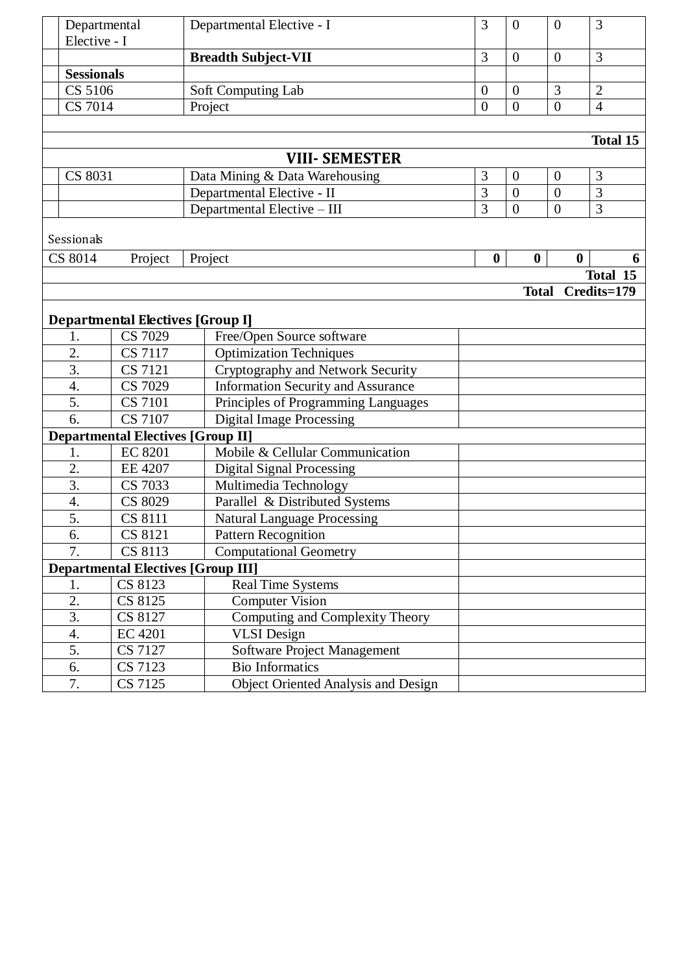|                | Departmental<br>Elective - I |                                           | Departmental Elective - I                  | 3                | $\mathbf{0}$     | $\theta$         | 3               |
|----------------|------------------------------|-------------------------------------------|--------------------------------------------|------------------|------------------|------------------|-----------------|
|                |                              |                                           | <b>Breadth Subject-VII</b>                 | 3                | $\mathbf{0}$     | $\overline{0}$   | 3               |
|                | <b>Sessionals</b>            |                                           |                                            |                  |                  |                  |                 |
|                | CS 5106                      |                                           | Soft Computing Lab                         | $\overline{0}$   | $\overline{0}$   | 3                | $\overline{2}$  |
|                | $\overline{CS}$ 7014         |                                           | Project                                    | $\overline{0}$   | $\overline{0}$   | $\overline{0}$   | $\overline{4}$  |
|                |                              |                                           |                                            |                  |                  |                  |                 |
|                |                              |                                           |                                            |                  |                  |                  | <b>Total 15</b> |
|                |                              |                                           | <b>VIII- SEMESTER</b>                      |                  |                  |                  |                 |
| CS 8031        |                              |                                           | Data Mining & Data Warehousing             | 3                | $\overline{0}$   | $\overline{0}$   | 3               |
|                |                              |                                           | Departmental Elective - II                 | 3                | $\overline{0}$   | $\overline{0}$   | 3               |
|                |                              |                                           | Departmental Elective - III                | $\overline{3}$   | $\overline{0}$   | $\overline{0}$   | $\overline{3}$  |
|                |                              |                                           |                                            |                  |                  |                  |                 |
|                | Sessionals                   |                                           |                                            |                  |                  |                  |                 |
| <b>CS 8014</b> |                              | Project                                   | Project                                    | $\boldsymbol{0}$ | $\boldsymbol{0}$ | $\boldsymbol{0}$ | 6               |
|                |                              |                                           |                                            |                  |                  |                  | Total 15        |
|                |                              |                                           |                                            |                  | <b>Total</b>     |                  | Credits=179     |
|                |                              |                                           |                                            |                  |                  |                  |                 |
|                |                              | <b>Departmental Electives [Group I]</b>   |                                            |                  |                  |                  |                 |
|                | 1.                           | CS 7029                                   | Free/Open Source software                  |                  |                  |                  |                 |
|                | 2.                           | <b>CS 7117</b>                            | <b>Optimization Techniques</b>             |                  |                  |                  |                 |
|                | 3.                           | <b>CS 7121</b>                            | Cryptography and Network Security          |                  |                  |                  |                 |
|                | 4.                           | <b>CS 7029</b>                            | <b>Information Security and Assurance</b>  |                  |                  |                  |                 |
|                | 5.                           | <b>CS 7101</b>                            | Principles of Programming Languages        |                  |                  |                  |                 |
|                | 6.                           | CS 7107                                   | <b>Digital Image Processing</b>            |                  |                  |                  |                 |
|                |                              | <b>Departmental Electives [Group II]</b>  |                                            |                  |                  |                  |                 |
|                | 1.                           | <b>EC 8201</b>                            | Mobile & Cellular Communication            |                  |                  |                  |                 |
|                | 2.                           | <b>EE 4207</b>                            | <b>Digital Signal Processing</b>           |                  |                  |                  |                 |
|                | 3.                           | CS 7033                                   | Multimedia Technology                      |                  |                  |                  |                 |
|                | 4.                           | CS 8029                                   | Parallel & Distributed Systems             |                  |                  |                  |                 |
|                | 5.                           | <b>CS 8111</b>                            | <b>Natural Language Processing</b>         |                  |                  |                  |                 |
|                | 6.                           | CS 8121                                   | <b>Pattern Recognition</b>                 |                  |                  |                  |                 |
|                | 7.                           | CS 8113                                   | <b>Computational Geometry</b>              |                  |                  |                  |                 |
|                |                              | <b>Departmental Electives [Group III]</b> |                                            |                  |                  |                  |                 |
|                | 1.                           | CS 8123                                   | <b>Real Time Systems</b>                   |                  |                  |                  |                 |
|                | 2.                           | CS 8125                                   | <b>Computer Vision</b>                     |                  |                  |                  |                 |
|                | $\overline{3}$ .             | CS 8127                                   | Computing and Complexity Theory            |                  |                  |                  |                 |
|                | 4.                           | <b>EC 4201</b>                            | <b>VLSI</b> Design                         |                  |                  |                  |                 |
|                | 5.                           | CS 7127                                   | Software Project Management                |                  |                  |                  |                 |
|                | 6.                           | CS 7123                                   | <b>Bio Informatics</b>                     |                  |                  |                  |                 |
|                | 7.                           | CS 7125                                   | <b>Object Oriented Analysis and Design</b> |                  |                  |                  |                 |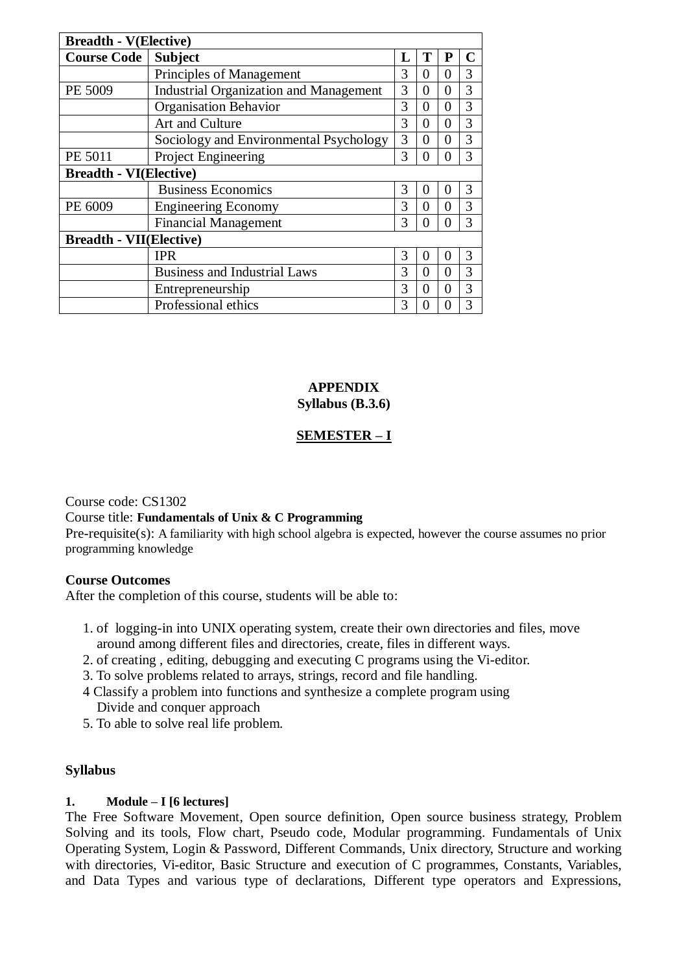| <b>Breadth - V(Elective)</b>   |                                               |   |                   |              |   |  |  |
|--------------------------------|-----------------------------------------------|---|-------------------|--------------|---|--|--|
| <b>Course Code</b>             | <b>Subject</b>                                |   |                   | P            |   |  |  |
|                                | Principles of Management                      | 3 | $\theta$          | 0            | 3 |  |  |
| PE 5009                        | <b>Industrial Organization and Management</b> | 3 | $\Omega$          | $\Omega$     | 3 |  |  |
|                                | <b>Organisation Behavior</b>                  | 3 | $\Omega$          | $\Omega$     | 3 |  |  |
|                                | Art and Culture                               | 3 | $\Omega$          | 0            | 3 |  |  |
|                                | Sociology and Environmental Psychology        | 3 | $\Omega$          | $\Omega$     | 3 |  |  |
| PE 5011                        | Project Engineering                           | 3 | $\mathbf{\Omega}$ | $\mathbf{0}$ | 3 |  |  |
| <b>Breadth - VI(Elective)</b>  |                                               |   |                   |              |   |  |  |
|                                | <b>Business Economics</b>                     | 3 | $\theta$          | $\theta$     | 3 |  |  |
| PE 6009                        | <b>Engineering Economy</b>                    | 3 | $\Omega$          | 0            | 3 |  |  |
|                                | <b>Financial Management</b>                   | 3 | 0                 | 0            | 3 |  |  |
| <b>Breadth - VII(Elective)</b> |                                               |   |                   |              |   |  |  |
|                                | <b>IPR</b>                                    | 3 | $\theta$          | $\theta$     | 3 |  |  |
|                                | <b>Business and Industrial Laws</b>           | 3 | $\Omega$          | 0            | 3 |  |  |
|                                | Entrepreneurship                              | 3 | $\Omega$          | 0            | 3 |  |  |
|                                | Professional ethics                           | 3 | $\mathbf{\Omega}$ | $\theta$     | 3 |  |  |

#### **APPENDIX Syllabus (B.3.6)**

# **SEMESTER – I**

Course code: CS1302

### Course title: **Fundamentals of Unix & C Programming**

Pre-requisite(s): A familiarity with high school algebra is expected, however the course assumes no prior programming knowledge

### **Course Outcomes**

After the completion of this course, students will be able to:

- 1. of logging-in into UNIX operating system, create their own directories and files, move around among different files and directories, create, files in different ways.
- 2. of creating , editing, debugging and executing C programs using the Vi-editor.
- 3. To solve problems related to arrays, strings, record and file handling.
- 4 Classify a problem into functions and synthesize a complete program using Divide and conquer approach
- 5. To able to solve real life problem.

#### **Syllabus**

### **1. Module – I [6 lectures]**

The Free Software Movement, Open source definition, Open source business strategy, Problem Solving and its tools, Flow chart, Pseudo code, Modular programming. Fundamentals of Unix Operating System, Login & Password, Different Commands, Unix directory, Structure and working with directories, Vi-editor, Basic Structure and execution of C programmes, Constants, Variables, and Data Types and various type of declarations, Different type operators and Expressions,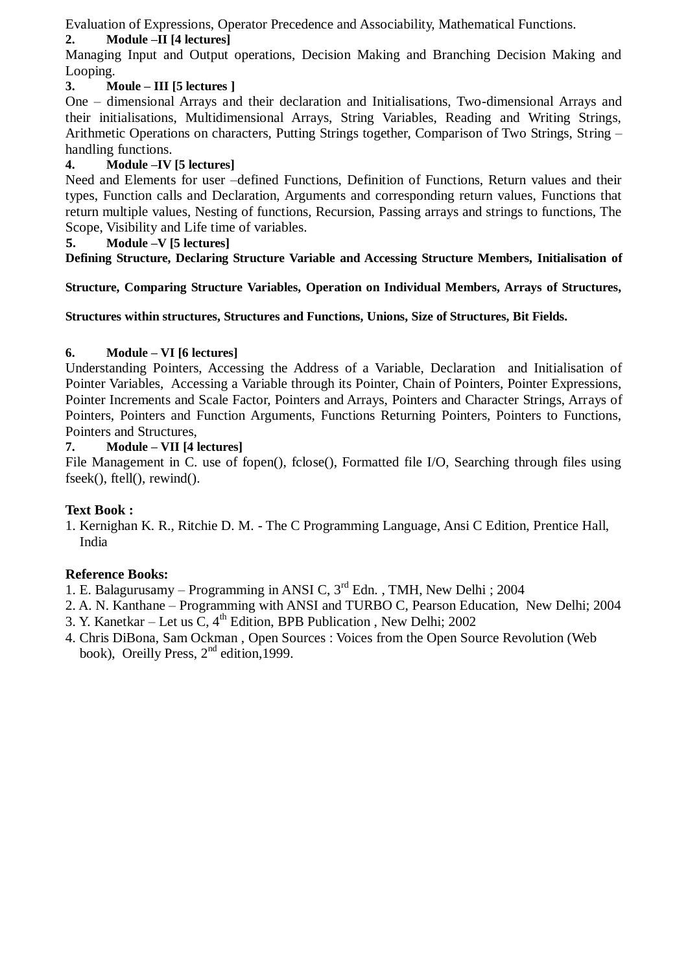Evaluation of Expressions, Operator Precedence and Associability, Mathematical Functions.

# **2. Module –II [4 lectures]**

Managing Input and Output operations, Decision Making and Branching Decision Making and Looping.

# **3. Moule – III [5 lectures ]**

One – dimensional Arrays and their declaration and Initialisations, Two-dimensional Arrays and their initialisations, Multidimensional Arrays, String Variables, Reading and Writing Strings, Arithmetic Operations on characters, Putting Strings together, Comparison of Two Strings, String – handling functions.

# **4. Module –IV [5 lectures]**

Need and Elements for user –defined Functions, Definition of Functions, Return values and their types, Function calls and Declaration, Arguments and corresponding return values, Functions that return multiple values, Nesting of functions, Recursion, Passing arrays and strings to functions, The Scope, Visibility and Life time of variables.

# **5. Module –V [5 lectures]**

**Defining Structure, Declaring Structure Variable and Accessing Structure Members, Initialisation of** 

**Structure, Comparing Structure Variables, Operation on Individual Members, Arrays of Structures,** 

**Structures within structures, Structures and Functions, Unions, Size of Structures, Bit Fields.**

# **6. Module – VI [6 lectures]**

Understanding Pointers, Accessing the Address of a Variable, Declaration and Initialisation of Pointer Variables, Accessing a Variable through its Pointer, Chain of Pointers, Pointer Expressions, Pointer Increments and Scale Factor, Pointers and Arrays, Pointers and Character Strings, Arrays of Pointers, Pointers and Function Arguments, Functions Returning Pointers, Pointers to Functions, Pointers and Structures,

# **7. Module – VII [4 lectures]**

File Management in C. use of fopen(), fclose(), Formatted file I/O, Searching through files using fseek(), ftell(), rewind().

# **Text Book :**

1. Kernighan K. R., Ritchie D. M. - The C Programming Language, Ansi C Edition, Prentice Hall, India

# **Reference Books:**

1. E. Balagurusamy – Programming in ANSI C,  $3<sup>rd</sup>$  Edn., TMH, New Delhi ; 2004

- 2. A. N. Kanthane Programming with ANSI and TURBO C, Pearson Education, New Delhi; 2004
- 3. Y. Kanetkar Let us C,  $4<sup>th</sup>$  Edition, BPB Publication, New Delhi; 2002
- 4. Chris DiBona, Sam Ockman , Open Sources : Voices from the Open Source Revolution (Web book), Oreilly Press,  $2<sup>nd</sup>$  edition, 1999.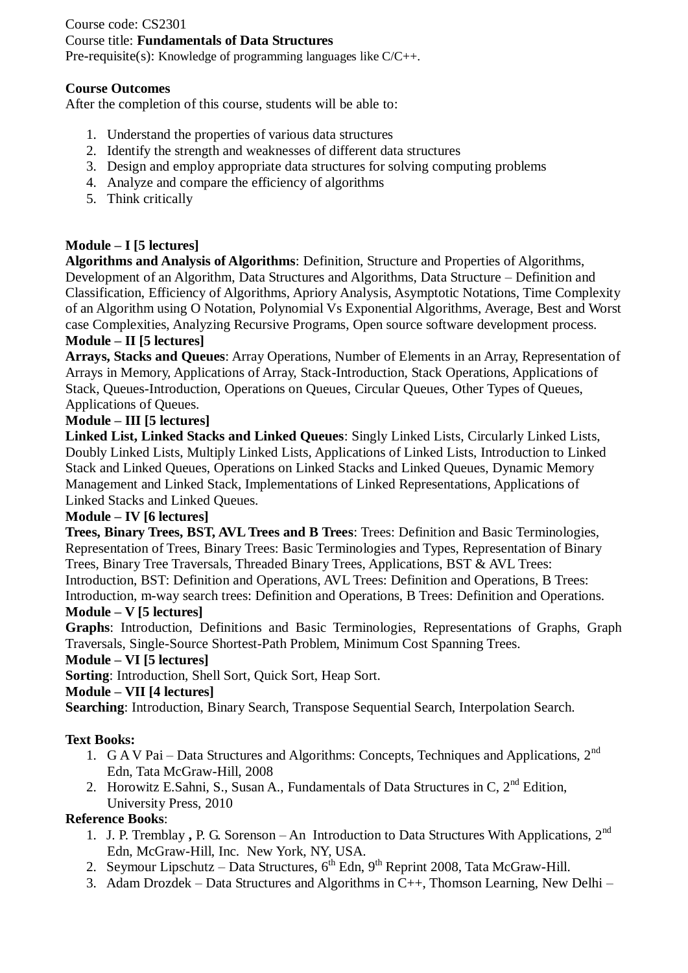# Course code: CS2301 Course title: **Fundamentals of Data Structures**

Pre-requisite(s): Knowledge of programming languages like C/C++.

# **Course Outcomes**

After the completion of this course, students will be able to:

- 1. Understand the properties of various data structures
- 2. Identify the strength and weaknesses of different data structures
- 3. Design and employ appropriate data structures for solving computing problems
- 4. Analyze and compare the efficiency of algorithms
- 5. Think critically

# **Module – I [5 lectures]**

**Algorithms and Analysis of Algorithms**: Definition, Structure and Properties of Algorithms, Development of an Algorithm, Data Structures and Algorithms, Data Structure – Definition and Classification, Efficiency of Algorithms, Apriory Analysis, Asymptotic Notations, Time Complexity of an Algorithm using O Notation, Polynomial Vs Exponential Algorithms, Average, Best and Worst case Complexities, Analyzing Recursive Programs, Open source software development process.

# **Module – II [5 lectures]**

**Arrays, Stacks and Queues**: Array Operations, Number of Elements in an Array, Representation of Arrays in Memory, Applications of Array, Stack-Introduction, Stack Operations, Applications of Stack, Queues-Introduction, Operations on Queues, Circular Queues, Other Types of Queues, Applications of Queues.

# **Module – III [5 lectures]**

**Linked List, Linked Stacks and Linked Queues**: Singly Linked Lists, Circularly Linked Lists, Doubly Linked Lists, Multiply Linked Lists, Applications of Linked Lists, Introduction to Linked Stack and Linked Queues, Operations on Linked Stacks and Linked Queues, Dynamic Memory Management and Linked Stack, Implementations of Linked Representations, Applications of Linked Stacks and Linked Queues.

### **Module – IV [6 lectures]**

**Trees, Binary Trees, BST, AVL Trees and B Trees**: Trees: Definition and Basic Terminologies, Representation of Trees, Binary Trees: Basic Terminologies and Types, Representation of Binary Trees, Binary Tree Traversals, Threaded Binary Trees, Applications, BST & AVL Trees: Introduction, BST: Definition and Operations, AVL Trees: Definition and Operations, B Trees: Introduction, m-way search trees: Definition and Operations, B Trees: Definition and Operations.

### **Module – V [5 lectures]**

**Graphs**: Introduction, Definitions and Basic Terminologies, Representations of Graphs, Graph Traversals, Single-Source Shortest-Path Problem, Minimum Cost Spanning Trees.

### **Module – VI [5 lectures]**

**Sorting**: Introduction, Shell Sort, Quick Sort, Heap Sort.

### **Module – VII [4 lectures]**

**Searching**: Introduction, Binary Search, Transpose Sequential Search, Interpolation Search.

### **Text Books:**

- 1. G A V Pai Data Structures and Algorithms: Concepts, Techniques and Applications,  $2^{nd}$ Edn, Tata McGraw-Hill, 2008
- 2. Horowitz E.Sahni, S., Susan A., Fundamentals of Data Structures in C,  $2<sup>nd</sup>$  Edition, University Press, 2010

- 1. J. P. Tremblay, P. G. Sorenson An Introduction to Data Structures With Applications, 2<sup>nd</sup> Edn, McGraw-Hill, Inc. New York, NY, USA.
- 2. Seymour Lipschutz Data Structures,  $6<sup>th</sup>$  Edn,  $9<sup>th</sup>$  Reprint 2008, Tata McGraw-Hill.
- 3. Adam Drozdek Data Structures and Algorithms in C++, Thomson Learning, New Delhi –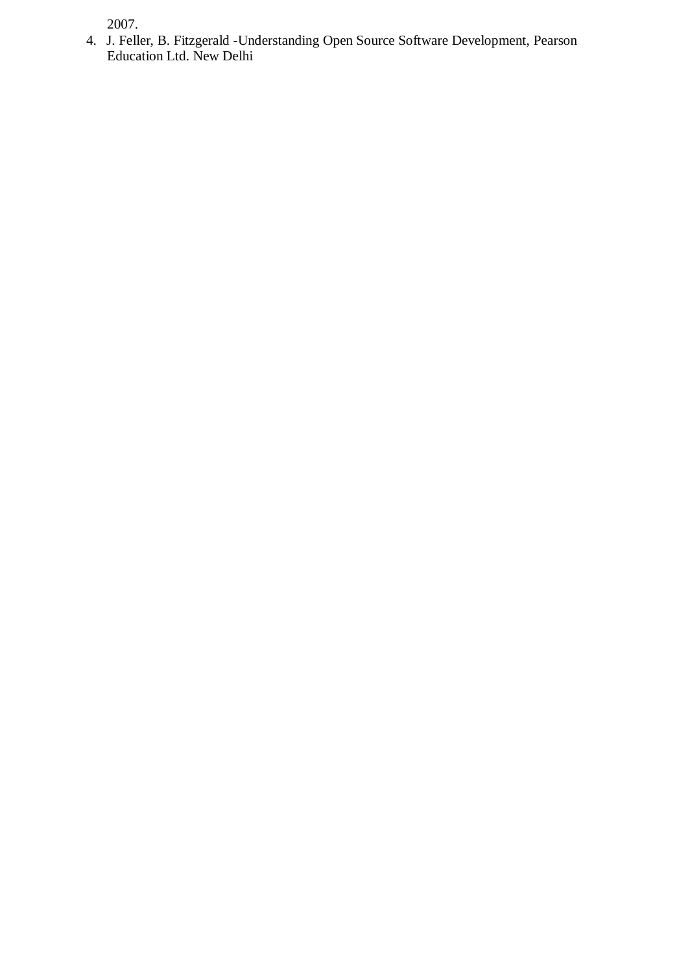2007.

4. J. Feller, B. Fitzgerald -Understanding Open Source Software Development, Pearson Education Ltd. New Delhi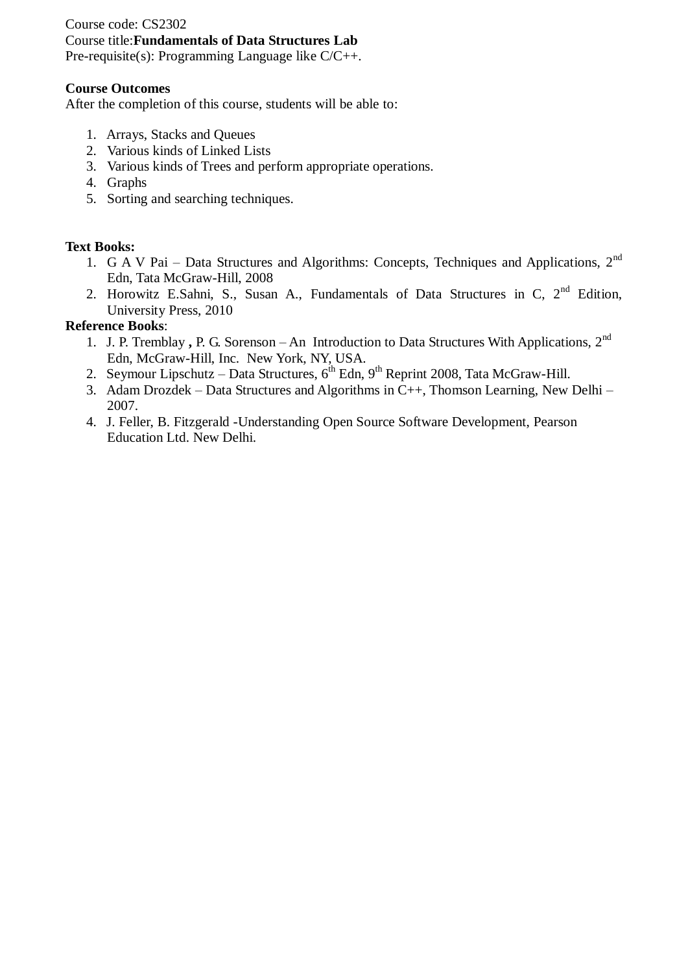Course code: CS2302 Course title:**Fundamentals of Data Structures Lab** Pre-requisite(s): Programming Language like C/C++.

### **Course Outcomes**

After the completion of this course, students will be able to:

- 1. Arrays, Stacks and Queues
- 2. Various kinds of Linked Lists
- 3. Various kinds of Trees and perform appropriate operations.
- 4. Graphs
- 5. Sorting and searching techniques.

### **Text Books:**

- 1. G A V Pai Data Structures and Algorithms: Concepts, Techniques and Applications, 2<sup>nd</sup> Edn, Tata McGraw-Hill, 2008
- 2. Horowitz E.Sahni, S., Susan A., Fundamentals of Data Structures in C,  $2<sup>nd</sup>$  Edition, University Press, 2010

- 1. J. P. Tremblay, P. G. Sorenson An Introduction to Data Structures With Applications, 2<sup>nd</sup> Edn, McGraw-Hill, Inc. New York, NY, USA.
- 2. Seymour Lipschutz Data Structures,  $6^{th}$  Edn,  $9^{th}$  Reprint 2008, Tata McGraw-Hill.
- 3. Adam Drozdek Data Structures and Algorithms in C++, Thomson Learning, New Delhi 2007.
- 4. J. Feller, B. Fitzgerald -Understanding Open Source Software Development, Pearson Education Ltd. New Delhi.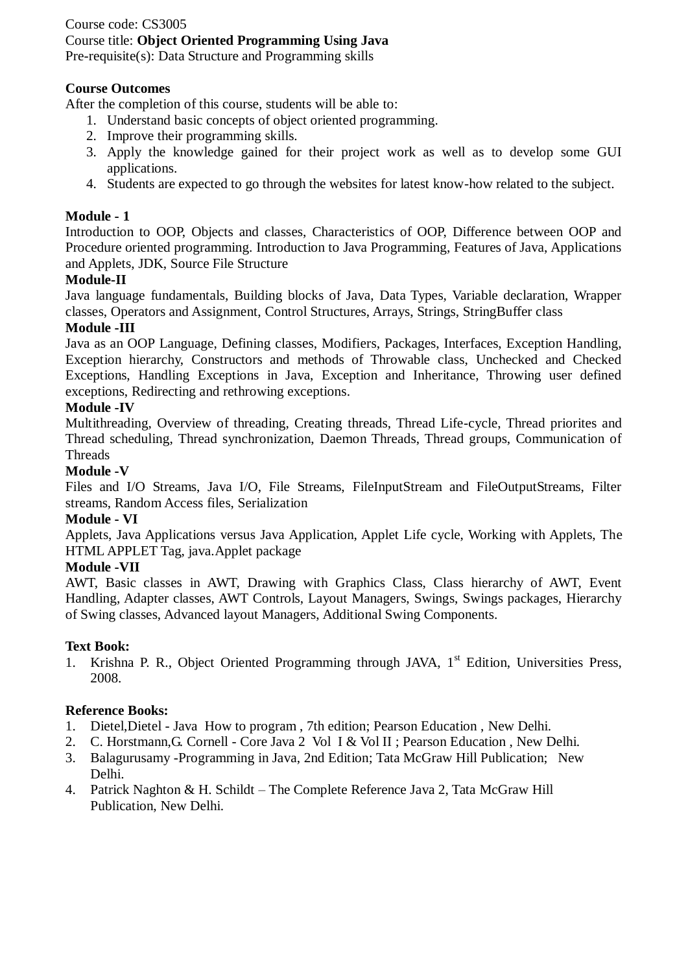# Course code: CS3005 Course title: **Object Oriented Programming Using Java**

Pre-requisite(s): Data Structure and Programming skills

### **Course Outcomes**

After the completion of this course, students will be able to:

- 1. Understand basic concepts of object oriented programming.
- 2. Improve their programming skills.
- 3. Apply the knowledge gained for their project work as well as to develop some GUI applications.
- 4. Students are expected to go through the websites for latest know-how related to the subject.

### **Module - 1**

Introduction to OOP, Objects and classes, Characteristics of OOP, Difference between OOP and Procedure oriented programming. Introduction to Java Programming, Features of Java, Applications and Applets, JDK, Source File Structure

### **Module-II**

Java language fundamentals, Building blocks of Java, Data Types, Variable declaration, Wrapper classes, Operators and Assignment, Control Structures, Arrays, Strings, StringBuffer class

### **Module -III**

Java as an OOP Language, Defining classes, Modifiers, Packages, Interfaces, Exception Handling, Exception hierarchy, Constructors and methods of Throwable class, Unchecked and Checked Exceptions, Handling Exceptions in Java, Exception and Inheritance, Throwing user defined exceptions, Redirecting and rethrowing exceptions.

### **Module -IV**

Multithreading, Overview of threading, Creating threads, Thread Life-cycle, Thread priorites and Thread scheduling, Thread synchronization, Daemon Threads, Thread groups, Communication of Threads

#### **Module -V**

Files and I/O Streams, Java I/O, File Streams, FileInputStream and FileOutputStreams, Filter streams, Random Access files, Serialization

### **Module - VI**

Applets, Java Applications versus Java Application, Applet Life cycle, Working with Applets, The HTML APPLET Tag, java.Applet package

#### **Module -VII**

AWT, Basic classes in AWT, Drawing with Graphics Class, Class hierarchy of AWT, Event Handling, Adapter classes, AWT Controls, Layout Managers, Swings, Swings packages, Hierarchy of Swing classes, Advanced layout Managers, Additional Swing Components.

#### **Text Book:**

1. Krishna P. R., Object Oriented Programming through JAVA, 1<sup>st</sup> Edition, Universities Press, 2008.

- 1. Dietel,Dietel Java How to program , 7th edition; Pearson Education , New Delhi.
- 2. C. Horstmann,G. Cornell Core Java 2 Vol I & Vol II ; Pearson Education , New Delhi.
- 3. Balagurusamy -Programming in Java, 2nd Edition; Tata McGraw Hill Publication; New Delhi.
- 4. Patrick Naghton & H. Schildt The Complete Reference Java 2, Tata McGraw Hill Publication, New Delhi.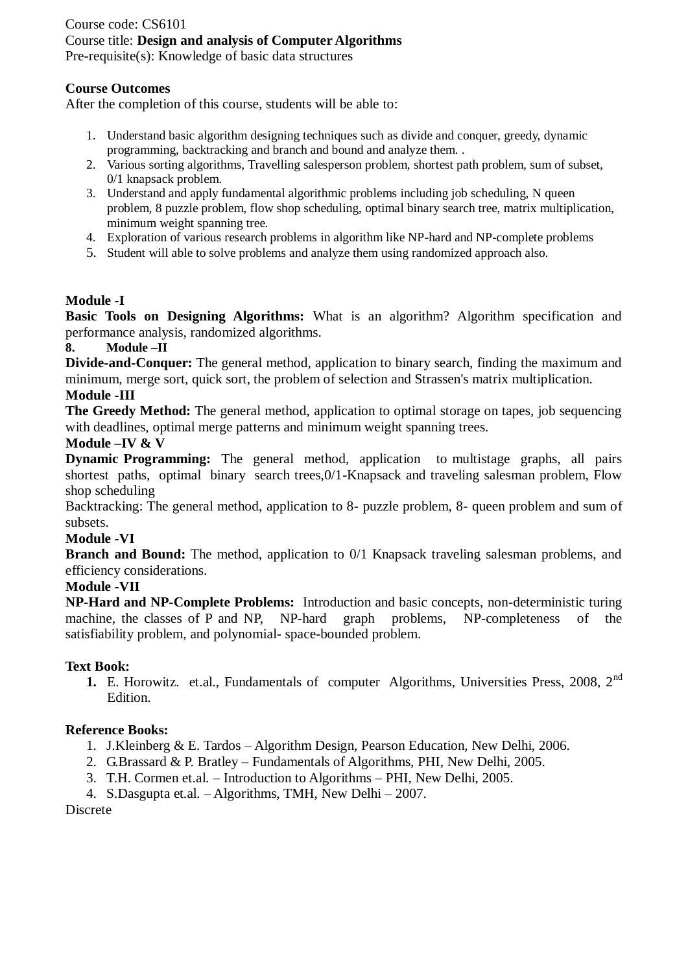# Course code: CS6101 Course title: **Design and analysis of Computer Algorithms**

Pre-requisite(s): Knowledge of basic data structures

# **Course Outcomes**

After the completion of this course, students will be able to:

- 1. Understand basic algorithm designing techniques such as divide and conquer, greedy, dynamic programming, backtracking and branch and bound and analyze them. .
- 2. Various sorting algorithms, Travelling salesperson problem, shortest path problem, sum of subset, 0/1 knapsack problem.
- 3. Understand and apply fundamental algorithmic problems including job scheduling, N queen problem, 8 puzzle problem, flow shop scheduling, optimal binary search tree, matrix multiplication, minimum weight spanning tree.
- 4. Exploration of various research problems in algorithm like NP-hard and NP-complete problems
- 5. Student will able to solve problems and analyze them using randomized approach also.

### **Module -I**

**Basic Tools on Designing Algorithms:** What is an algorithm? Algorithm specification and performance analysis, randomized algorithms.

# **8. Module –II**

**Divide-and-Conquer:** The general method, application to binary search, finding the maximum and minimum, merge sort, quick sort, the problem of selection and Strassen's matrix multiplication. **Module -III**

**The Greedy Method:** The general method, application to optimal storage on tapes, job sequencing with deadlines, optimal merge patterns and minimum weight spanning trees.

# **Module –IV & V**

**Dynamic Programming:** The general method, application to multistage graphs, all pairs shortest paths, optimal binary search trees, 0/1-Knapsack and traveling salesman problem. Flow shop scheduling

Backtracking: The general method, application to 8- puzzle problem, 8- queen problem and sum of subsets.

### **Module -VI**

**Branch and Bound:** The method, application to 0/1 Knapsack traveling salesman problems, and efficiency considerations.

### **Module -VII**

**NP-Hard and NP-Complete Problems:** Introduction and basic concepts, non-deterministic turing machine, the classes of P and NP, NP-hard graph problems, NP-completeness of the satisfiability problem, and polynomial- space-bounded problem.

### **Text Book:**

1. E. Horowitz. et.al., Fundamentals of computer Algorithms, Universities Press, 2008, 2<sup>nd</sup> Edition.

# **Reference Books:**

- 1. J.Kleinberg & E. Tardos Algorithm Design, Pearson Education, New Delhi, 2006.
- 2. G.Brassard & P. Bratley Fundamentals of Algorithms, PHI, New Delhi, 2005.
- 3. T.H. Cormen et.al. Introduction to Algorithms PHI, New Delhi, 2005.
- 4. S.Dasgupta et.al. Algorithms, TMH, New Delhi 2007.

Discrete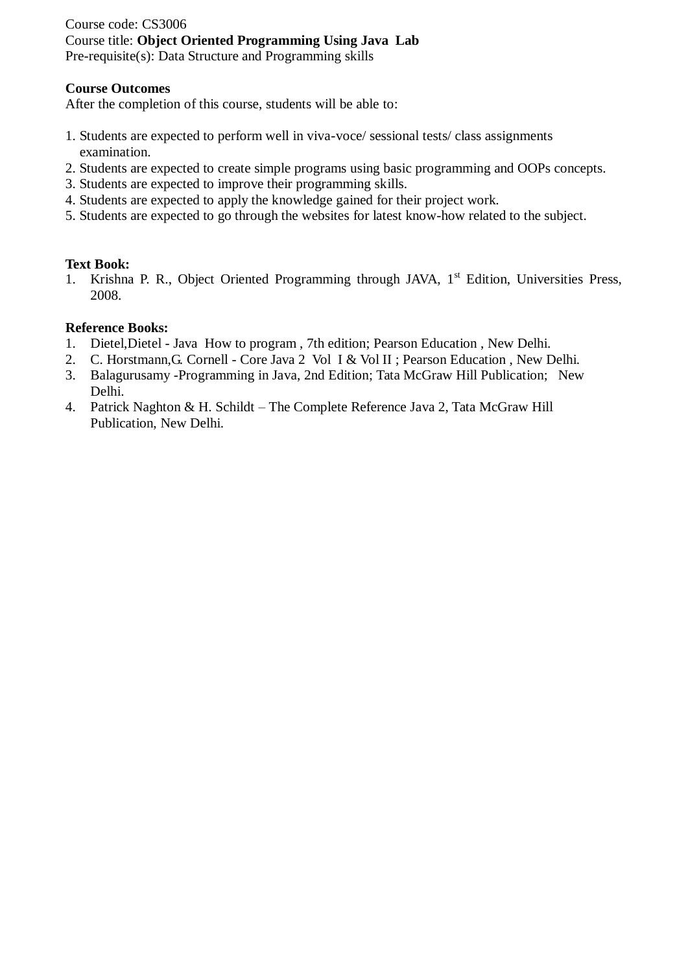### Course code: CS3006 Course title: **Object Oriented Programming Using Java Lab**  Pre-requisite(s): Data Structure and Programming skills

#### **Course Outcomes**

After the completion of this course, students will be able to:

- 1. Students are expected to perform well in viva-voce/ sessional tests/ class assignments examination.
- 2. Students are expected to create simple programs using basic programming and OOPs concepts.
- 3. Students are expected to improve their programming skills.
- 4. Students are expected to apply the knowledge gained for their project work.
- 5. Students are expected to go through the websites for latest know-how related to the subject.

### **Text Book:**

1. Krishna P. R., Object Oriented Programming through JAVA,  $1<sup>st</sup>$  Edition, Universities Press, 2008.

- 1. Dietel,Dietel Java How to program , 7th edition; Pearson Education , New Delhi.
- 2. C. Horstmann,G. Cornell Core Java 2 Vol I & Vol II ; Pearson Education , New Delhi.
- 3. Balagurusamy -Programming in Java, 2nd Edition; Tata McGraw Hill Publication; New Delhi.
- 4. Patrick Naghton & H. Schildt The Complete Reference Java 2, Tata McGraw Hill Publication, New Delhi.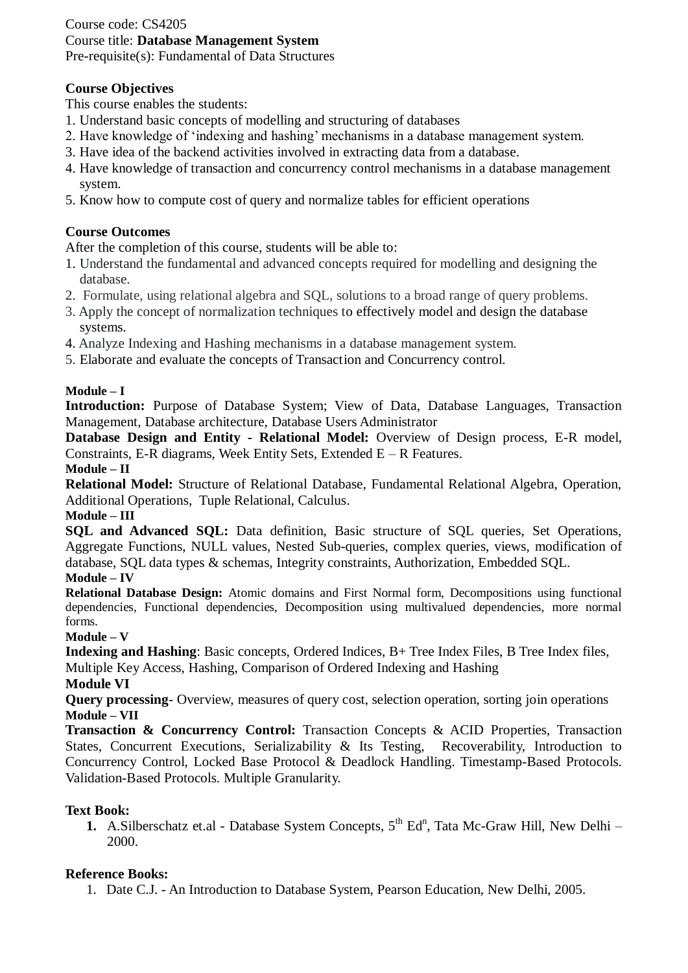### Course code: CS4205 Course title: **Database Management System** Pre-requisite(s): Fundamental of Data Structures

# **Course Objectives**

This course enables the students:

- 1. Understand basic concepts of modelling and structuring of databases
- 2. Have knowledge of 'indexing and hashing' mechanisms in a database management system.
- 3. Have idea of the backend activities involved in extracting data from a database.
- 4. Have knowledge of transaction and concurrency control mechanisms in a database management system.
- 5. Know how to compute cost of query and normalize tables for efficient operations

# **Course Outcomes**

After the completion of this course, students will be able to:

- 1. Understand the fundamental and advanced concepts required for modelling and designing the database.
- 2. Formulate, using relational algebra and SQL, solutions to a broad range of query problems.
- 3. Apply the concept of normalization techniques to effectively model and design the database systems.
- 4. Analyze Indexing and Hashing mechanisms in a database management system.
- 5. Elaborate and evaluate the concepts of Transaction and Concurrency control.

### **Module – I**

**Introduction:** Purpose of Database System; View of Data, Database Languages, Transaction Management, Database architecture, Database Users Administrator

**Database Design and Entity - Relational Model:** Overview of Design process, E-R model, Constraints, E-R diagrams, Week Entity Sets, Extended E – R Features.

**Module – II**

**Relational Model:** Structure of Relational Database, Fundamental Relational Algebra, Operation, Additional Operations, Tuple Relational, Calculus.

### **Module – III**

**SQL and Advanced SQL:** Data definition, Basic structure of SQL queries, Set Operations, Aggregate Functions, NULL values, Nested Sub-queries, complex queries, views, modification of database, SQL data types & schemas, Integrity constraints, Authorization, Embedded SQL.

### **Module – IV**

**Relational Database Design:** Atomic domains and First Normal form, Decompositions using functional dependencies, Functional dependencies, Decomposition using multivalued dependencies, more normal forms.

### **Module – V**

**Indexing and Hashing**: Basic concepts, Ordered Indices, B+ Tree Index Files, B Tree Index files, Multiple Key Access, Hashing, Comparison of Ordered Indexing and Hashing

### **Module VI**

**Query processing**- Overview, measures of query cost, selection operation, sorting join operations **Module – VII**

**Transaction & Concurrency Control:** Transaction Concepts & ACID Properties, Transaction States, Concurrent Executions, Serializability & Its Testing, Recoverability, Introduction to Concurrency Control, Locked Base Protocol & Deadlock Handling. Timestamp-Based Protocols. Validation-Based Protocols. Multiple Granularity.

### **Text Book:**

**1.** A. Silberschatz et.al - Database System Concepts, 5<sup>th</sup> Ed<sup>n</sup>, Tata Mc-Graw Hill, New Delhi – 2000.

# **Reference Books:**

1. Date C.J. - An Introduction to Database System, Pearson Education, New Delhi, 2005.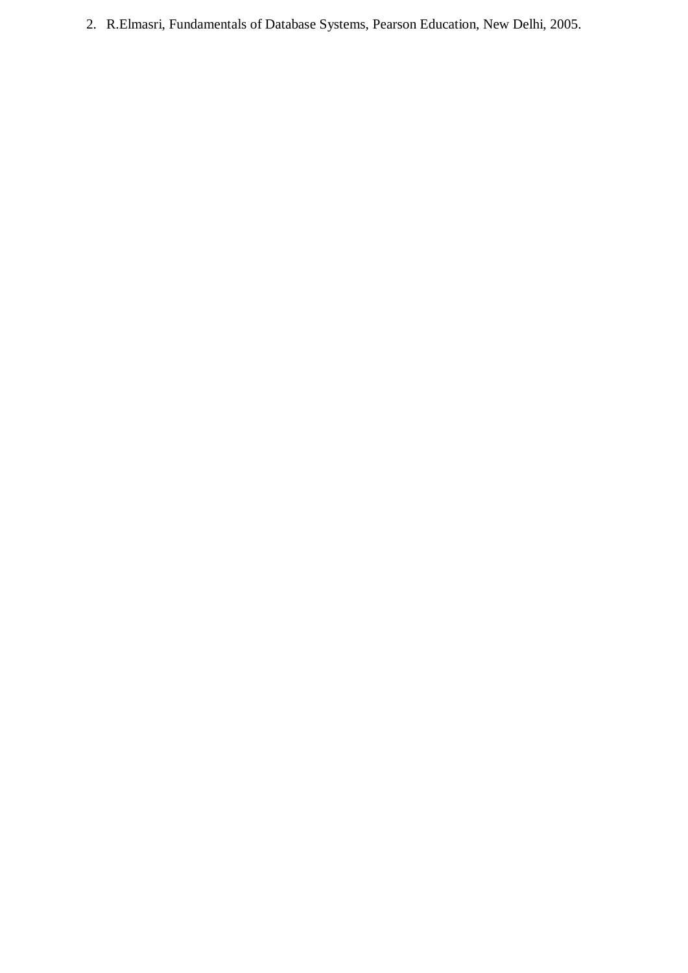2. R.Elmasri, Fundamentals of Database Systems, Pearson Education, New Delhi, 2005.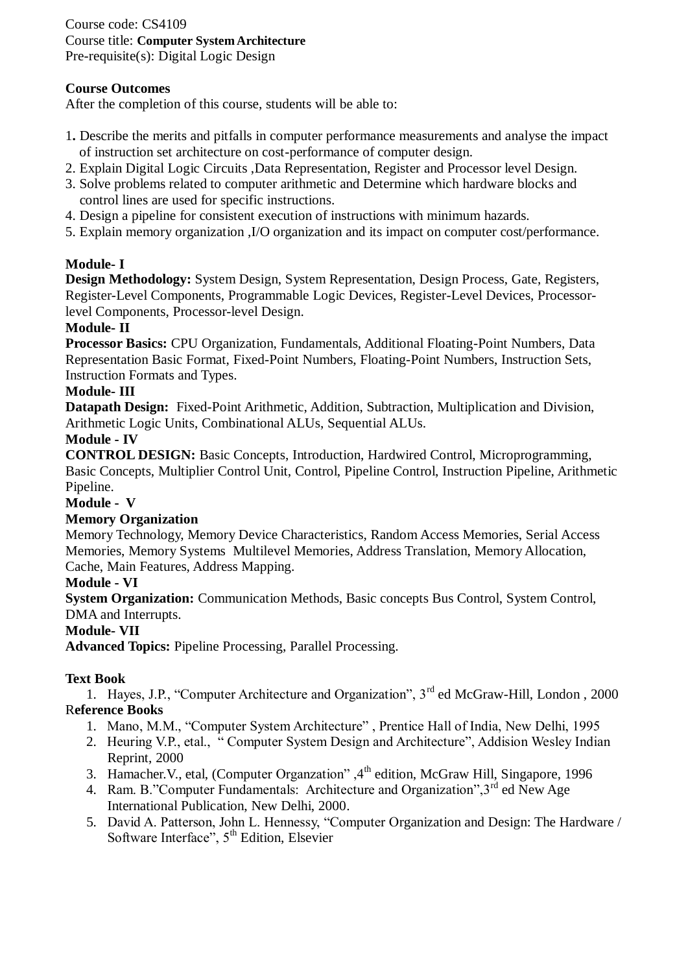Course code: CS4109 Course title: **Computer System Architecture** Pre-requisite(s): Digital Logic Design

# **Course Outcomes**

After the completion of this course, students will be able to:

- 1**.** Describe the merits and pitfalls in computer performance measurements and analyse the impact of instruction set architecture on cost-performance of computer design.
- 2. Explain Digital Logic Circuits ,Data Representation, Register and Processor level Design.
- 3. Solve problems related to computer arithmetic and Determine which hardware blocks and control lines are used for specific instructions.
- 4. Design a pipeline for consistent execution of instructions with minimum hazards.
- 5. Explain memory organization ,I/O organization and its impact on computer cost/performance.

### **Module- I**

**Design Methodology:** System Design, System Representation, Design Process, Gate, Registers, Register-Level Components, Programmable Logic Devices, Register-Level Devices, Processorlevel Components, Processor-level Design.

### **Module- II**

**Processor Basics:** CPU Organization, Fundamentals, Additional Floating-Point Numbers, Data Representation Basic Format, Fixed-Point Numbers, Floating-Point Numbers, Instruction Sets, Instruction Formats and Types.

### **Module- III**

**Datapath Design:** Fixed-Point Arithmetic, Addition, Subtraction, Multiplication and Division, Arithmetic Logic Units, Combinational ALUs, Sequential ALUs.

### **Module - IV**

**CONTROL DESIGN:** Basic Concepts, Introduction, Hardwired Control, Microprogramming, Basic Concepts, Multiplier Control Unit, Control, Pipeline Control, Instruction Pipeline, Arithmetic Pipeline.

#### **Module - V**

### **Memory Organization**

Memory Technology, Memory Device Characteristics, Random Access Memories, Serial Access Memories, Memory Systems Multilevel Memories, Address Translation, Memory Allocation, Cache, Main Features, Address Mapping.

### **Module - VI**

**System Organization:** Communication Methods, Basic concepts Bus Control, System Control, DMA and Interrupts.

### **Module- VII**

**Advanced Topics:** Pipeline Processing, Parallel Processing.

### **Text Book**

1. Hayes, J.P., "Computer Architecture and Organization", 3<sup>rd</sup> ed McGraw-Hill, London, 2000 R**eference Books**

- 1. Mano, M.M., "Computer System Architecture" , Prentice Hall of India, New Delhi, 1995
- 2. Heuring V.P., etal., " Computer System Design and Architecture", Addision Wesley Indian Reprint, 2000
- 3. Hamacher. V., etal, (Computer Organzation",  $4<sup>th</sup>$  edition, McGraw Hill, Singapore, 1996
- 4. Ram. B."Computer Fundamentals: Architecture and Organization", 3<sup>rd</sup> ed New Age International Publication, New Delhi, 2000.
- 5. David A. Patterson, John L. Hennessy, "Computer Organization and Design: The Hardware / Software Interface",  $5<sup>th</sup>$  Edition, Elsevier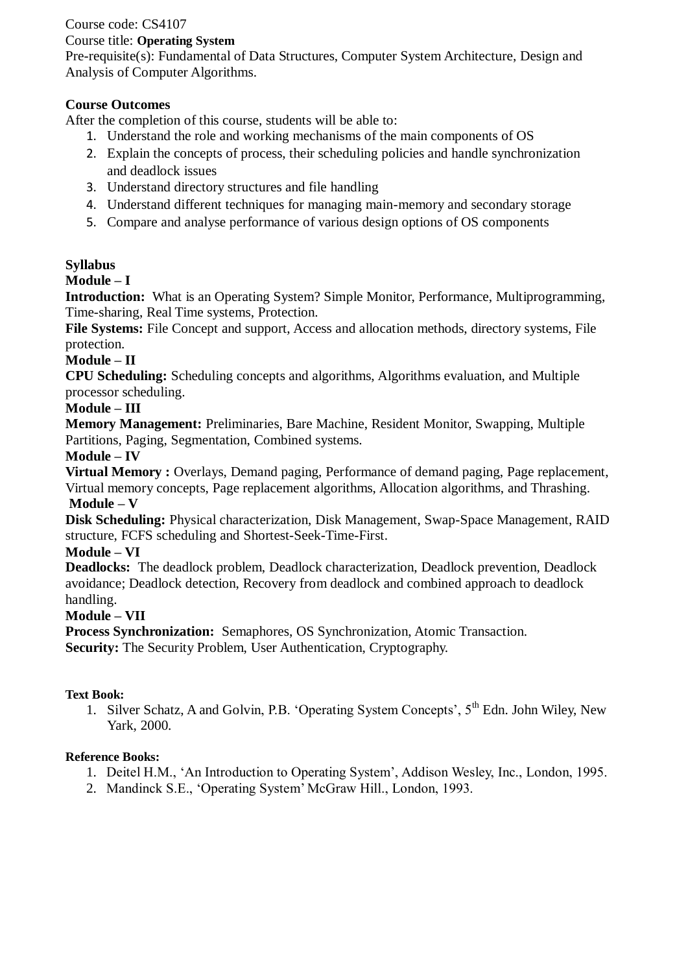# Course code: CS4107

### Course title: **Operating System**

Pre-requisite(s): Fundamental of Data Structures, Computer System Architecture, Design and Analysis of Computer Algorithms.

# **Course Outcomes**

After the completion of this course, students will be able to:

- 1. Understand the role and working mechanisms of the main components of OS
- 2. Explain the concepts of process, their scheduling policies and handle synchronization and deadlock issues
- 3. Understand directory structures and file handling
- 4. Understand different techniques for managing main-memory and secondary storage
- 5. Compare and analyse performance of various design options of OS components

# **Syllabus**

# **Module – I**

**Introduction:** What is an Operating System? Simple Monitor, Performance, Multiprogramming, Time-sharing, Real Time systems, Protection.

**File Systems:** File Concept and support, Access and allocation methods, directory systems, File protection.

# **Module – II**

**CPU Scheduling:** Scheduling concepts and algorithms, Algorithms evaluation, and Multiple processor scheduling.

# **Module – III**

**Memory Management:** Preliminaries, Bare Machine, Resident Monitor, Swapping, Multiple Partitions, Paging, Segmentation, Combined systems.

# **Module – IV**

**Virtual Memory :** Overlays, Demand paging, Performance of demand paging, Page replacement, Virtual memory concepts, Page replacement algorithms, Allocation algorithms, and Thrashing. **Module – V**

**Disk Scheduling:** Physical characterization, Disk Management, Swap-Space Management, RAID structure, FCFS scheduling and Shortest-Seek-Time-First.

# **Module – VI**

**Deadlocks:** The deadlock problem, Deadlock characterization, Deadlock prevention, Deadlock avoidance; Deadlock detection, Recovery from deadlock and combined approach to deadlock handling.

# **Module – VII**

**Process Synchronization:** Semaphores, OS Synchronization, Atomic Transaction. **Security:** The Security Problem, User Authentication, Cryptography.

# **Text Book:**

1. Silver Schatz, A and Golvin, P.B. 'Operating System Concepts', 5th Edn. John Wiley, New Yark, 2000.

- 1. Deitel H.M., 'An Introduction to Operating System', Addison Wesley, Inc., London, 1995.
- 2. Mandinck S.E., 'Operating System' McGraw Hill., London, 1993.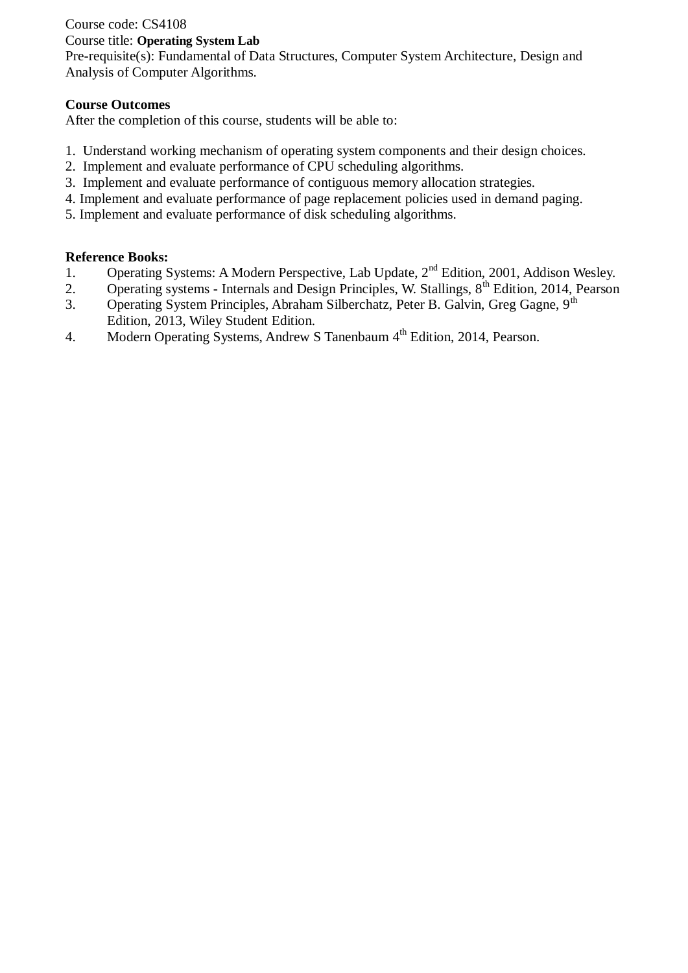# Course code: CS4108

# Course title: **Operating System Lab**

Pre-requisite(s): Fundamental of Data Structures, Computer System Architecture, Design and Analysis of Computer Algorithms.

# **Course Outcomes**

After the completion of this course, students will be able to:

- 1. Understand working mechanism of operating system components and their design choices.
- 2. Implement and evaluate performance of CPU scheduling algorithms.
- 3. Implement and evaluate performance of contiguous memory allocation strategies.
- 4. Implement and evaluate performance of page replacement policies used in demand paging.
- 5. Implement and evaluate performance of disk scheduling algorithms.

- 1. Operating Systems: A Modern Perspective, Lab Update, 2<sup>nd</sup> Edition, 2001, Addison Wesley.
- 2. Operating systems Internals and Design Principles, W. Stallings, 8<sup>th</sup> Edition, 2014, Pearson
- 3. Operating System Principles, Abraham Silberchatz, Peter B. Galvin, Greg Gagne, 9<sup>th</sup> Edition, 2013, Wiley Student Edition.
- 4. Modern Operating Systems, Andrew S Tanenbaum 4<sup>th</sup> Edition, 2014, Pearson.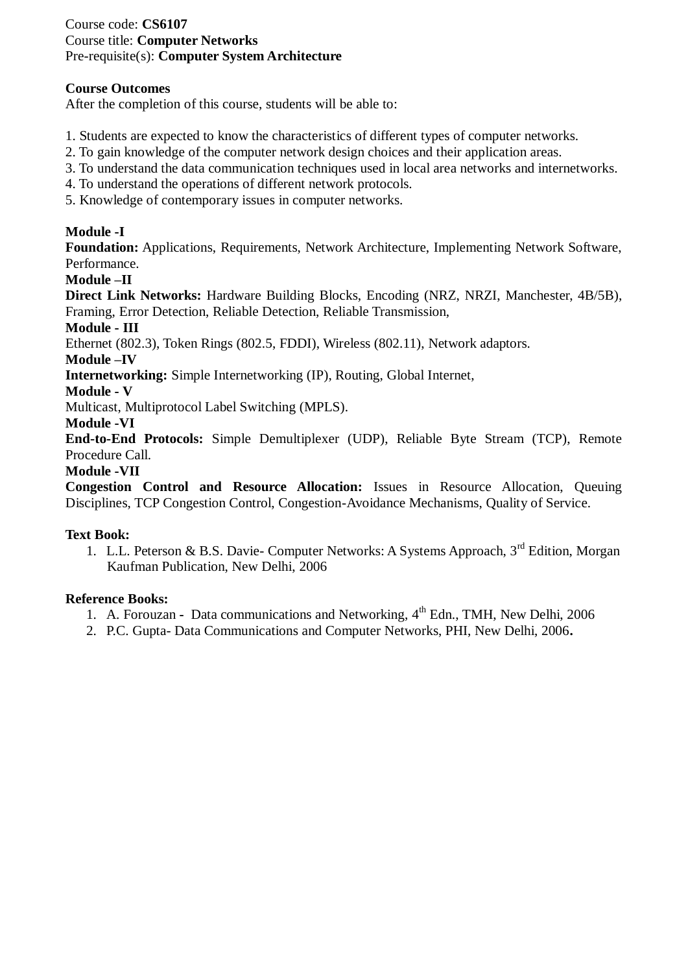### Course code: **CS6107** Course title: **Computer Networks** Pre-requisite(s): **Computer System Architecture**

### **Course Outcomes**

After the completion of this course, students will be able to:

- 1. Students are expected to know the characteristics of different types of computer networks.
- 2. To gain knowledge of the computer network design choices and their application areas.
- 3. To understand the data communication techniques used in local area networks and internetworks.
- 4. To understand the operations of different network protocols.
- 5. Knowledge of contemporary issues in computer networks.

### **Module -I**

**Foundation:** Applications, Requirements, Network Architecture, Implementing Network Software, Performance.

### **Module –II**

**Direct Link Networks:** Hardware Building Blocks, Encoding (NRZ, NRZI, Manchester, 4B/5B), Framing, Error Detection, Reliable Detection, Reliable Transmission,

### **Module - III**

Ethernet (802.3), Token Rings (802.5, FDDI), Wireless (802.11), Network adaptors.

### **Module –IV**

**Internetworking:** Simple Internetworking (IP), Routing, Global Internet,

### **Module - V**

Multicast, Multiprotocol Label Switching (MPLS).

### **Module -VI**

**End-to-End Protocols:** Simple Demultiplexer (UDP), Reliable Byte Stream (TCP), Remote Procedure Call.

### **Module -VII**

**Congestion Control and Resource Allocation:** Issues in Resource Allocation, Queuing Disciplines, TCP Congestion Control, Congestion-Avoidance Mechanisms, Quality of Service.

### **Text Book:**

1. L.L. Peterson & B.S. Davie- Computer Networks: A Systems Approach, 3<sup>rd</sup> Edition, Morgan Kaufman Publication, New Delhi, 2006

- 1. A. Forouzan Data communications and Networking, 4th Edn., TMH, New Delhi, 2006
- 2. P.C. Gupta- Data Communications and Computer Networks, PHI, New Delhi, 2006**.**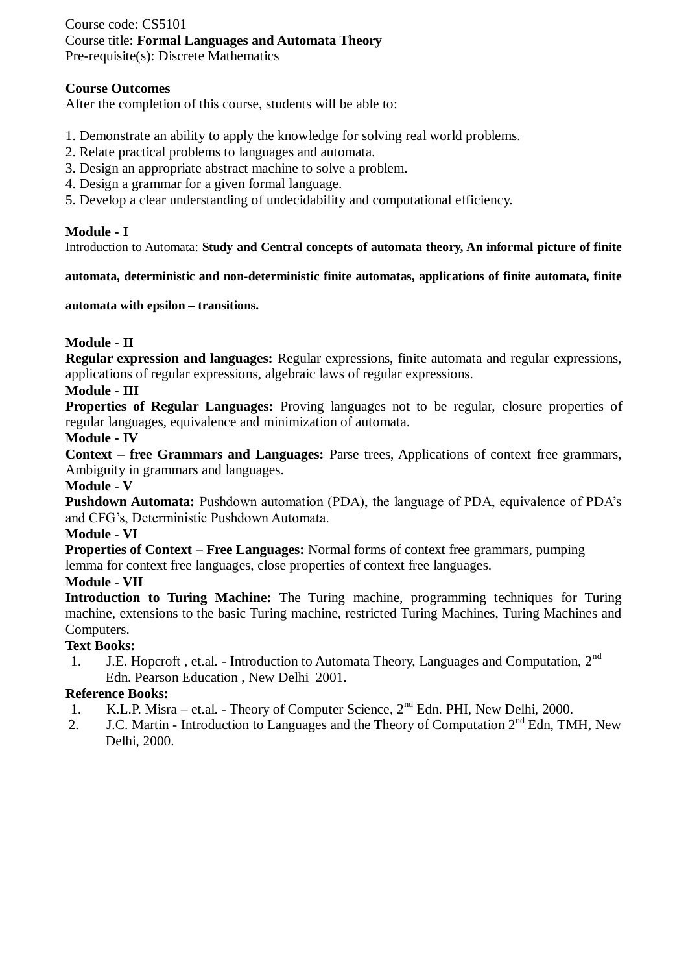### Course code: CS5101 Course title: **Formal Languages and Automata Theory** Pre-requisite(s): Discrete Mathematics

### **Course Outcomes**

After the completion of this course, students will be able to:

- 1. Demonstrate an ability to apply the knowledge for solving real world problems.
- 2. Relate practical problems to languages and automata.
- 3. Design an appropriate abstract machine to solve a problem.
- 4. Design a grammar for a given formal language.
- 5. Develop a clear understanding of undecidability and computational efficiency.

### **Module - I**

Introduction to Automata: **Study and Central concepts of automata theory, An informal picture of finite** 

**automata, deterministic and non-deterministic finite automatas, applications of finite automata, finite** 

**automata with epsilon – transitions.** 

### **Module - II**

**Regular expression and languages:** Regular expressions, finite automata and regular expressions, applications of regular expressions, algebraic laws of regular expressions.

### **Module - III**

Properties of Regular Languages: Proving languages not to be regular, closure properties of regular languages, equivalence and minimization of automata.

#### **Module - IV**

**Context – free Grammars and Languages:** Parse trees, Applications of context free grammars, Ambiguity in grammars and languages.

### **Module - V**

**Pushdown Automata:** Pushdown automation (PDA), the language of PDA, equivalence of PDA's and CFG's, Deterministic Pushdown Automata.

#### **Module - VI**

**Properties of Context – Free Languages:** Normal forms of context free grammars, pumping lemma for context free languages, close properties of context free languages.

#### **Module - VII**

**Introduction to Turing Machine:** The Turing machine, programming techniques for Turing machine, extensions to the basic Turing machine, restricted Turing Machines, Turing Machines and Computers.

#### **Text Books:**

1. J.E. Hopcroft, et.al. - Introduction to Automata Theory, Languages and Computation, 2<sup>nd</sup> Edn. Pearson Education , New Delhi 2001.

- 1. K.L.P. Misra et.al. Theory of Computer Science,  $2<sup>nd</sup>$  Edn. PHI, New Delhi, 2000.
- 2. J.C. Martin Introduction to Languages and the Theory of Computation  $2<sup>nd</sup>$  Edn, TMH, New Delhi, 2000.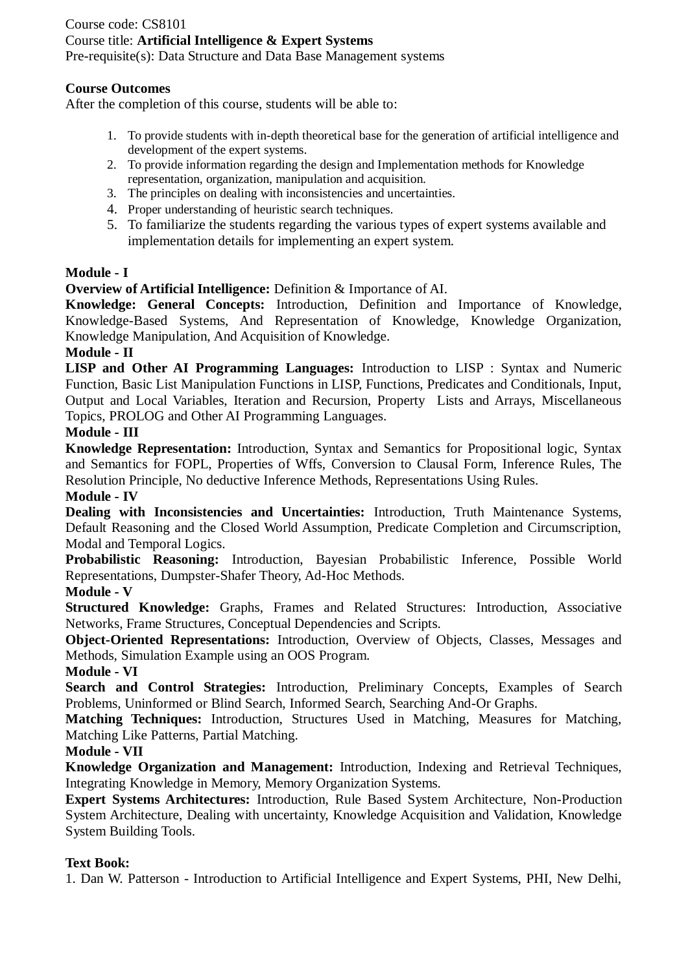# Course code: CS8101 Course title: **Artificial Intelligence & Expert Systems**

Pre-requisite(s): Data Structure and Data Base Management systems

### **Course Outcomes**

After the completion of this course, students will be able to:

- 1. To provide students with in-depth theoretical base for the generation of artificial intelligence and development of the expert systems.
- 2. To provide information regarding the design and Implementation methods for Knowledge representation, organization, manipulation and acquisition.
- 3. The principles on dealing with inconsistencies and uncertainties.
- 4. Proper understanding of heuristic search techniques.
- 5. To familiarize the students regarding the various types of expert systems available and implementation details for implementing an expert system.

### **Module - I**

**Overview of Artificial Intelligence:** Definition & Importance of AI.

**Knowledge: General Concepts:** Introduction, Definition and Importance of Knowledge, Knowledge-Based Systems, And Representation of Knowledge, Knowledge Organization, Knowledge Manipulation, And Acquisition of Knowledge.

### **Module - II**

**LISP and Other AI Programming Languages:** Introduction to LISP : Syntax and Numeric Function, Basic List Manipulation Functions in LISP, Functions, Predicates and Conditionals, Input, Output and Local Variables, Iteration and Recursion, Property Lists and Arrays, Miscellaneous Topics, PROLOG and Other AI Programming Languages.

# **Module - III**

**Knowledge Representation:** Introduction, Syntax and Semantics for Propositional logic, Syntax and Semantics for FOPL, Properties of Wffs, Conversion to Clausal Form, Inference Rules, The Resolution Principle, No deductive Inference Methods, Representations Using Rules.

### **Module - IV**

**Dealing with Inconsistencies and Uncertainties:** Introduction, Truth Maintenance Systems, Default Reasoning and the Closed World Assumption, Predicate Completion and Circumscription, Modal and Temporal Logics.

**Probabilistic Reasoning:** Introduction, Bayesian Probabilistic Inference, Possible World Representations, Dumpster-Shafer Theory, Ad-Hoc Methods.

### **Module - V**

**Structured Knowledge:** Graphs, Frames and Related Structures: Introduction, Associative Networks, Frame Structures, Conceptual Dependencies and Scripts.

**Object-Oriented Representations:** Introduction, Overview of Objects, Classes, Messages and Methods, Simulation Example using an OOS Program.

### **Module - VI**

**Search and Control Strategies:** Introduction, Preliminary Concepts, Examples of Search Problems, Uninformed or Blind Search, Informed Search, Searching And-Or Graphs.

**Matching Techniques:** Introduction, Structures Used in Matching, Measures for Matching, Matching Like Patterns, Partial Matching.

### **Module - VII**

**Knowledge Organization and Management:** Introduction, Indexing and Retrieval Techniques, Integrating Knowledge in Memory, Memory Organization Systems.

**Expert Systems Architectures:** Introduction, Rule Based System Architecture, Non-Production System Architecture, Dealing with uncertainty, Knowledge Acquisition and Validation, Knowledge System Building Tools.

### **Text Book:**

1. Dan W. Patterson - Introduction to Artificial Intelligence and Expert Systems, PHI, New Delhi,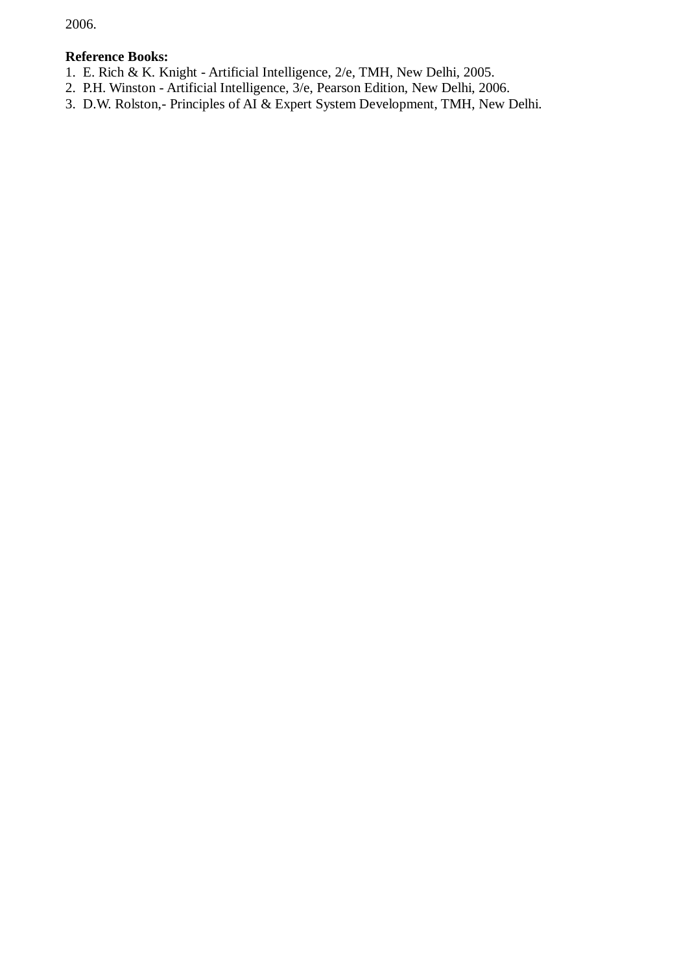2006.

- 1. E. Rich & K. Knight Artificial Intelligence, 2/e, TMH, New Delhi, 2005.
- 2. P.H. Winston Artificial Intelligence, 3/e, Pearson Edition, New Delhi, 2006.
- 3. D.W. Rolston,- Principles of AI & Expert System Development, TMH, New Delhi.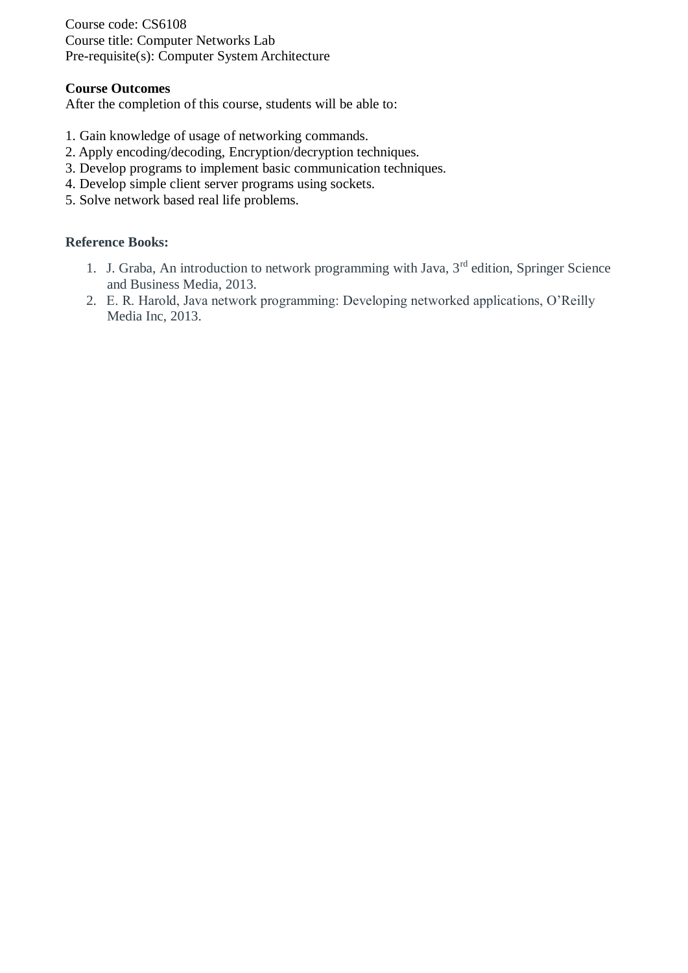Course code: CS6108 Course title: Computer Networks Lab Pre-requisite(s): Computer System Architecture

### **Course Outcomes**

After the completion of this course, students will be able to:

- 1. Gain knowledge of usage of networking commands.
- 2. Apply encoding/decoding, Encryption/decryption techniques.
- 3. Develop programs to implement basic communication techniques.
- 4. Develop simple client server programs using sockets.
- 5. Solve network based real life problems.

- 1. J. Graba, An introduction to network programming with Java, 3<sup>rd</sup> edition, Springer Science and Business Media, 2013.
- 2. E. R. Harold, Java network programming: Developing networked applications, O'Reilly Media Inc, 2013.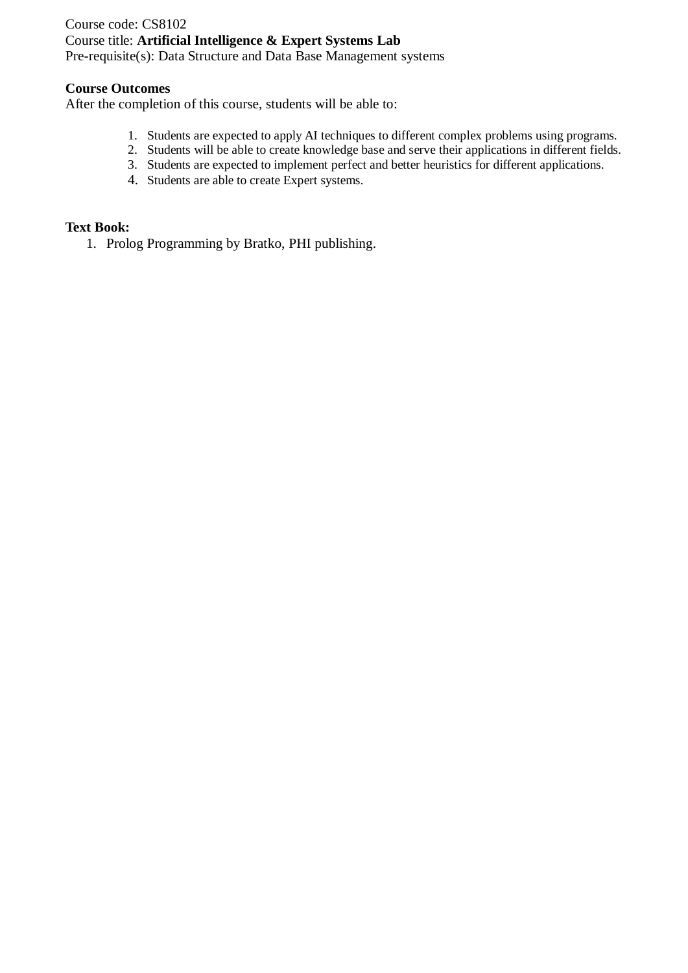### Course code: CS8102 Course title: **Artificial Intelligence & Expert Systems Lab** Pre-requisite(s): Data Structure and Data Base Management systems

#### **Course Outcomes**

After the completion of this course, students will be able to:

- 1. Students are expected to apply AI techniques to different complex problems using programs.
- 2. Students will be able to create knowledge base and serve their applications in different fields.
- 3. Students are expected to implement perfect and better heuristics for different applications.
- 4. Students are able to create Expert systems.

#### **Text Book:**

1. Prolog Programming by Bratko, PHI publishing.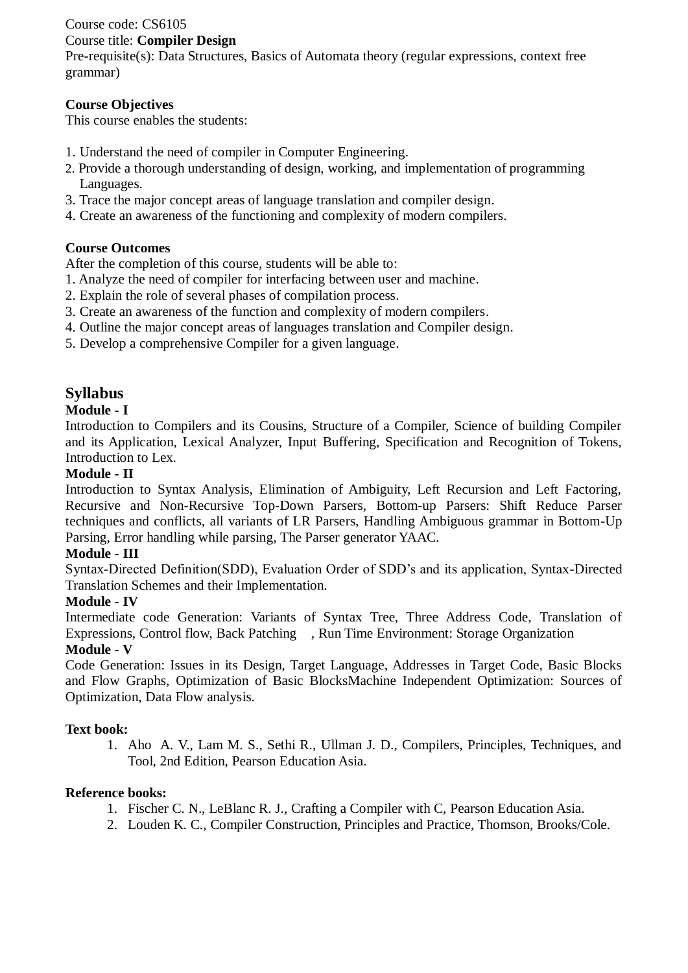# Course code: CS6105

### Course title: **Compiler Design**

Pre-requisite(s): Data Structures, Basics of Automata theory (regular expressions, context free grammar)

# **Course Objectives**

This course enables the students:

- 1. Understand the need of compiler in Computer Engineering.
- 2. Provide a thorough understanding of design, working, and implementation of programming Languages.
- 3. Trace the major concept areas of language translation and compiler design.
- 4. Create an awareness of the functioning and complexity of modern compilers.

# **Course Outcomes**

After the completion of this course, students will be able to:

- 1. Analyze the need of compiler for interfacing between user and machine.
- 2. Explain the role of several phases of compilation process.
- 3. Create an awareness of the function and complexity of modern compilers.
- 4. Outline the major concept areas of languages translation and Compiler design.
- 5. Develop a comprehensive Compiler for a given language.

# **Syllabus**

# **Module - I**

Introduction to Compilers and its Cousins, Structure of a Compiler, Science of building Compiler and its Application, Lexical Analyzer, Input Buffering, Specification and Recognition of Tokens, Introduction to Lex.

# **Module - II**

Introduction to Syntax Analysis, Elimination of Ambiguity, Left Recursion and Left Factoring, Recursive and Non-Recursive Top-Down Parsers, Bottom-up Parsers: Shift Reduce Parser techniques and conflicts, all variants of LR Parsers, Handling Ambiguous grammar in Bottom-Up Parsing, Error handling while parsing, The Parser generator YAAC.

### **Module - III**

Syntax-Directed Definition(SDD), Evaluation Order of SDD's and its application, Syntax-Directed Translation Schemes and their Implementation.

### **Module - IV**

Intermediate code Generation: Variants of Syntax Tree, Three Address Code, Translation of Expressions, Control flow, Back Patching , Run Time Environment: Storage Organization

### **Module - V**

Code Generation: Issues in its Design, Target Language, Addresses in Target Code, Basic Blocks and Flow Graphs, Optimization of Basic BlocksMachine Independent Optimization: Sources of Optimization, Data Flow analysis.

### **Text book:**

1. Aho A. V., Lam M. S., Sethi R., Ullman J. D., Compilers, Principles, Techniques, and Tool, 2nd Edition, Pearson Education Asia.

- 1. Fischer C. N., LeBlanc R. J., Crafting a Compiler with C, Pearson Education Asia.
- 2. Louden K. C., Compiler Construction, Principles and Practice, Thomson, Brooks/Cole.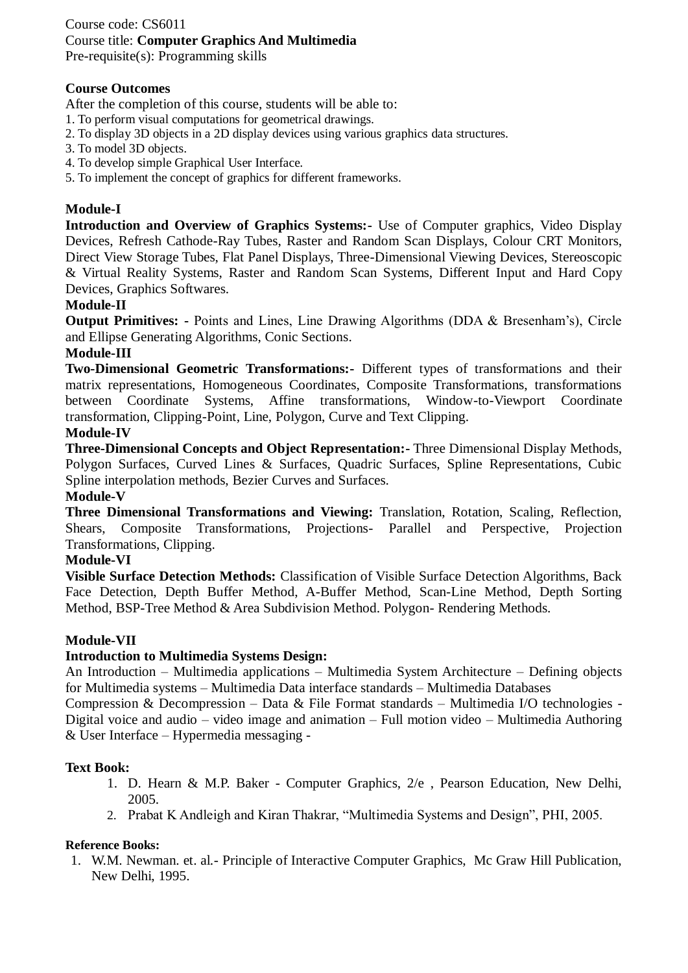### Course code: CS6011 Course title: **Computer Graphics And Multimedia** Pre-requisite(s): Programming skills

### **Course Outcomes**

After the completion of this course, students will be able to:

- 1. To perform visual computations for geometrical drawings.
- 2. To display 3D objects in a 2D display devices using various graphics data structures.
- 3. To model 3D objects.
- 4. To develop simple Graphical User Interface.
- 5. To implement the concept of graphics for different frameworks.

### **Module-I**

**Introduction and Overview of Graphics Systems:-** Use of Computer graphics, Video Display Devices, Refresh Cathode-Ray Tubes, Raster and Random Scan Displays, Colour CRT Monitors, Direct View Storage Tubes, Flat Panel Displays, Three-Dimensional Viewing Devices, Stereoscopic & Virtual Reality Systems, Raster and Random Scan Systems, Different Input and Hard Copy Devices, Graphics Softwares.

### **Module-II**

**Output Primitives: -** Points and Lines, Line Drawing Algorithms (DDA & Bresenham's), Circle and Ellipse Generating Algorithms, Conic Sections.

### **Module-III**

**Two-Dimensional Geometric Transformations:-** Different types of transformations and their matrix representations, Homogeneous Coordinates, Composite Transformations, transformations between Coordinate Systems, Affine transformations, Window-to-Viewport Coordinate transformation, Clipping-Point, Line, Polygon, Curve and Text Clipping.

### **Module-IV**

**Three-Dimensional Concepts and Object Representation:-** Three Dimensional Display Methods, Polygon Surfaces, Curved Lines & Surfaces, Quadric Surfaces, Spline Representations, Cubic Spline interpolation methods, Bezier Curves and Surfaces.

#### **Module-V**

**Three Dimensional Transformations and Viewing:** Translation, Rotation, Scaling, Reflection, Shears, Composite Transformations, Projections- Parallel and Perspective, Projection Transformations, Clipping.

#### **Module-VI**

**Visible Surface Detection Methods:** Classification of Visible Surface Detection Algorithms, Back Face Detection, Depth Buffer Method, A-Buffer Method, Scan-Line Method, Depth Sorting Method, BSP-Tree Method & Area Subdivision Method. Polygon- Rendering Methods.

### **Module-VII**

### **Introduction to Multimedia Systems Design:**

An Introduction – Multimedia applications – Multimedia System Architecture – Defining objects for Multimedia systems – Multimedia Data interface standards – Multimedia Databases

Compression & Decompression – Data & File Format standards – Multimedia I/O technologies - Digital voice and audio – video image and animation – Full motion video – Multimedia Authoring & User Interface – Hypermedia messaging -

#### **Text Book:**

- 1. D. Hearn & M.P. Baker Computer Graphics, 2/e , Pearson Education, New Delhi, 2005.
- 2. Prabat K Andleigh and Kiran Thakrar, "Multimedia Systems and Design", PHI, 2005.

#### **Reference Books:**

1. W.M. Newman. et. al.- Principle of Interactive Computer Graphics, Mc Graw Hill Publication, New Delhi, 1995.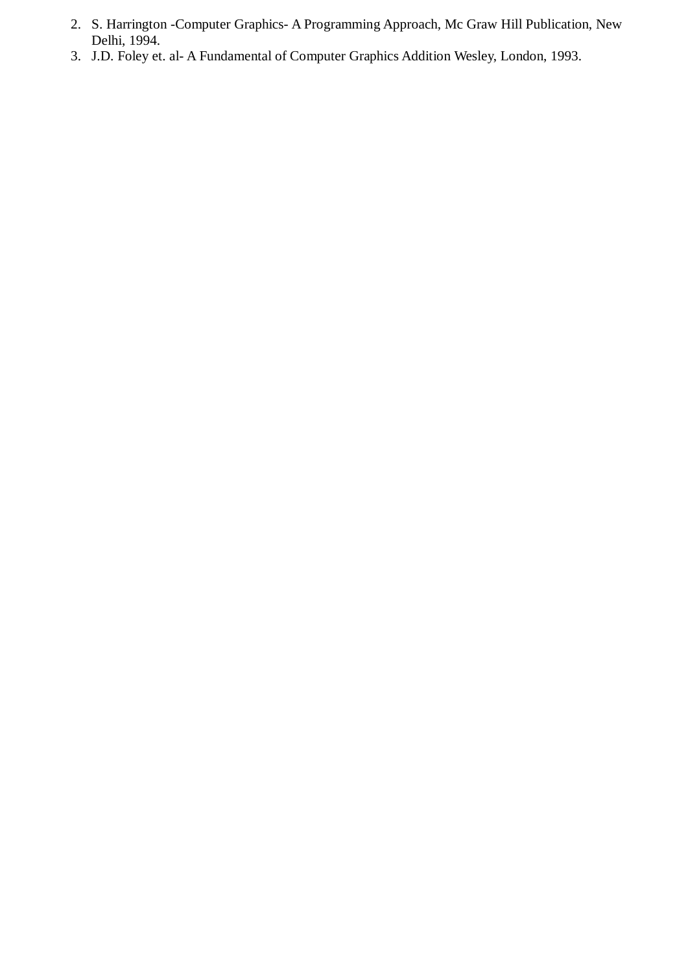- 2. S. Harrington -Computer Graphics- A Programming Approach, Mc Graw Hill Publication, New Delhi, 1994.
- 3. J.D. Foley et. al- A Fundamental of Computer Graphics Addition Wesley, London, 1993.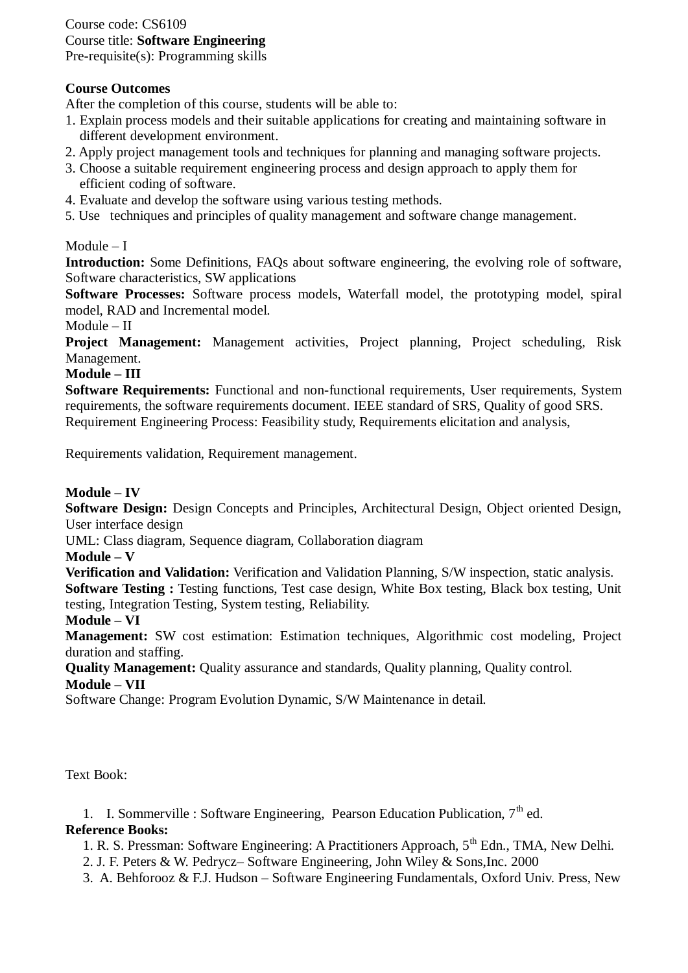# Course code: CS6109 Course title: **Software Engineering**

Pre-requisite(s): Programming skills

# **Course Outcomes**

After the completion of this course, students will be able to:

- 1. Explain process models and their suitable applications for creating and maintaining software in different development environment.
- 2. Apply project management tools and techniques for planning and managing software projects.
- 3. Choose a suitable requirement engineering process and design approach to apply them for efficient coding of software.
- 4. Evaluate and develop the software using various testing methods.
- 5. Use techniques and principles of quality management and software change management.

# Module – I

**Introduction:** Some Definitions, FAQs about software engineering, the evolving role of software, Software characteristics, SW applications

**Software Processes:** Software process models, Waterfall model, the prototyping model, spiral model, RAD and Incremental model.

Module – II

**Project Management:** Management activities, Project planning, Project scheduling, Risk Management.

### **Module – III**

**Software Requirements:** Functional and non-functional requirements, User requirements, System requirements, the software requirements document. IEEE standard of SRS, Quality of good SRS. Requirement Engineering Process: Feasibility study, Requirements elicitation and analysis,

Requirements validation, Requirement management.

### **Module – IV**

**Software Design:** Design Concepts and Principles, Architectural Design, Object oriented Design, User interface design

UML: Class diagram, Sequence diagram, Collaboration diagram

**Module – V**

**Verification and Validation:** Verification and Validation Planning, S/W inspection, static analysis. **Software Testing :** Testing functions, Test case design, White Box testing, Black box testing, Unit testing, Integration Testing, System testing, Reliability.

### **Module – VI**

**Management:** SW cost estimation: Estimation techniques, Algorithmic cost modeling, Project duration and staffing.

**Quality Management:** Quality assurance and standards, Quality planning, Quality control. **Module – VII**

Software Change: Program Evolution Dynamic, S/W Maintenance in detail.

Text Book:

1. I. Sommerville : Software Engineering, Pearson Education Publication,  $7<sup>th</sup>$  ed.

- 1. R. S. Pressman: Software Engineering: A Practitioners Approach, 5<sup>th</sup> Edn., TMA, New Delhi.
- 2. J. F. Peters & W. Pedrycz– Software Engineering, John Wiley & Sons,Inc. 2000
- 3. A. Behforooz & F.J. Hudson Software Engineering Fundamentals, Oxford Univ. Press, New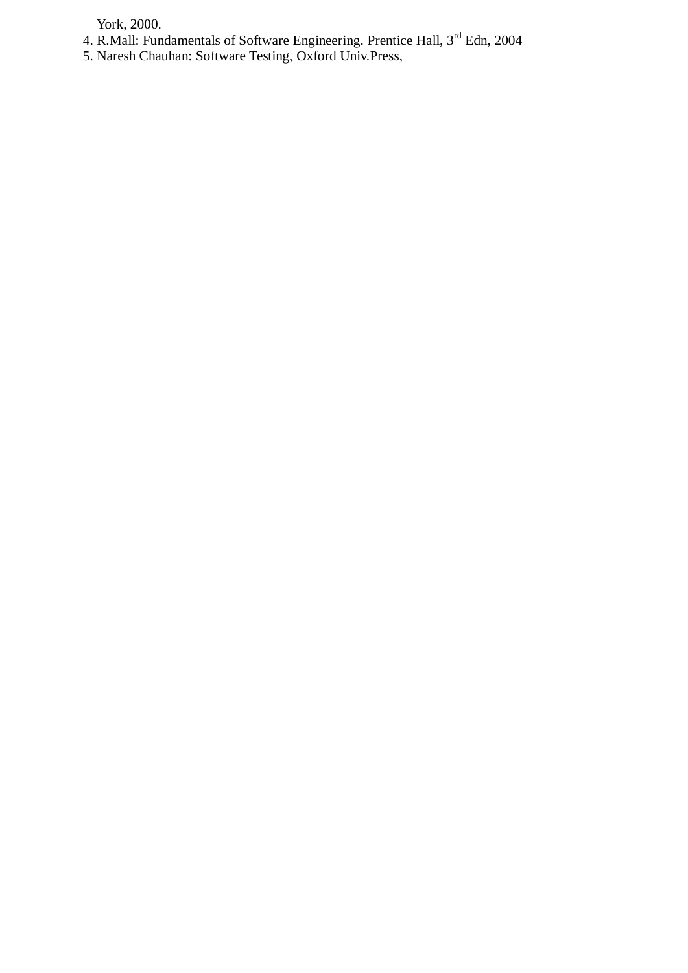York, 2000.

- 4. R.Mall: Fundamentals of Software Engineering. Prentice Hall, 3<sup>rd</sup> Edn, 2004
- 5. Naresh Chauhan: Software Testing, Oxford Univ.Press,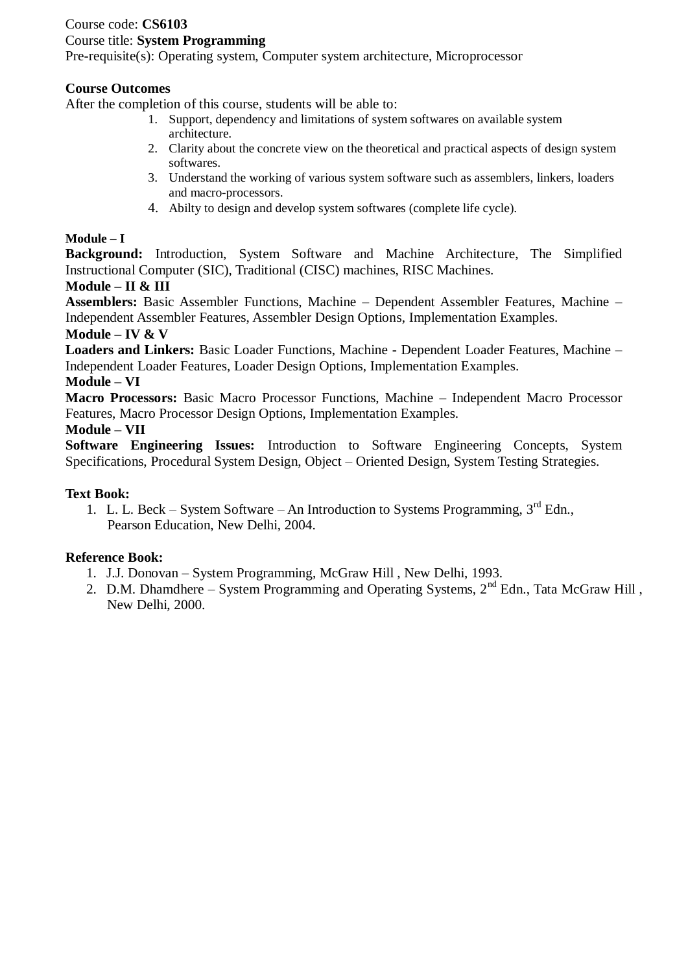# Course code: **CS6103**

### Course title: **System Programming**

Pre-requisite(s): Operating system, Computer system architecture, Microprocessor

### **Course Outcomes**

After the completion of this course, students will be able to:

- 1. Support, dependency and limitations of system softwares on available system architecture.
- 2. Clarity about the concrete view on the theoretical and practical aspects of design system softwares.
- 3. Understand the working of various system software such as assemblers, linkers, loaders and macro-processors.
- 4. Abilty to design and develop system softwares (complete life cycle).

### **Module – I**

**Background:** Introduction, System Software and Machine Architecture, The Simplified Instructional Computer (SIC), Traditional (CISC) machines, RISC Machines.

### **Module – II & III**

**Assemblers:** Basic Assembler Functions, Machine – Dependent Assembler Features, Machine – Independent Assembler Features, Assembler Design Options, Implementation Examples.

### **Module – IV & V**

**Loaders and Linkers:** Basic Loader Functions, Machine - Dependent Loader Features, Machine – Independent Loader Features, Loader Design Options, Implementation Examples.

#### **Module – VI**

**Macro Processors:** Basic Macro Processor Functions, Machine – Independent Macro Processor Features, Macro Processor Design Options, Implementation Examples.

#### **Module – VII**

**Software Engineering Issues:** Introduction to Software Engineering Concepts, System Specifications, Procedural System Design, Object – Oriented Design, System Testing Strategies.

### **Text Book:**

1. L. L. Beck – System Software – An Introduction to Systems Programming,  $3^{rd}$  Edn., Pearson Education, New Delhi, 2004.

- 1. J.J. Donovan System Programming, McGraw Hill , New Delhi, 1993.
- 2. D.M. Dhamdhere System Programming and Operating Systems,  $2<sup>nd</sup>$  Edn., Tata McGraw Hill, New Delhi, 2000.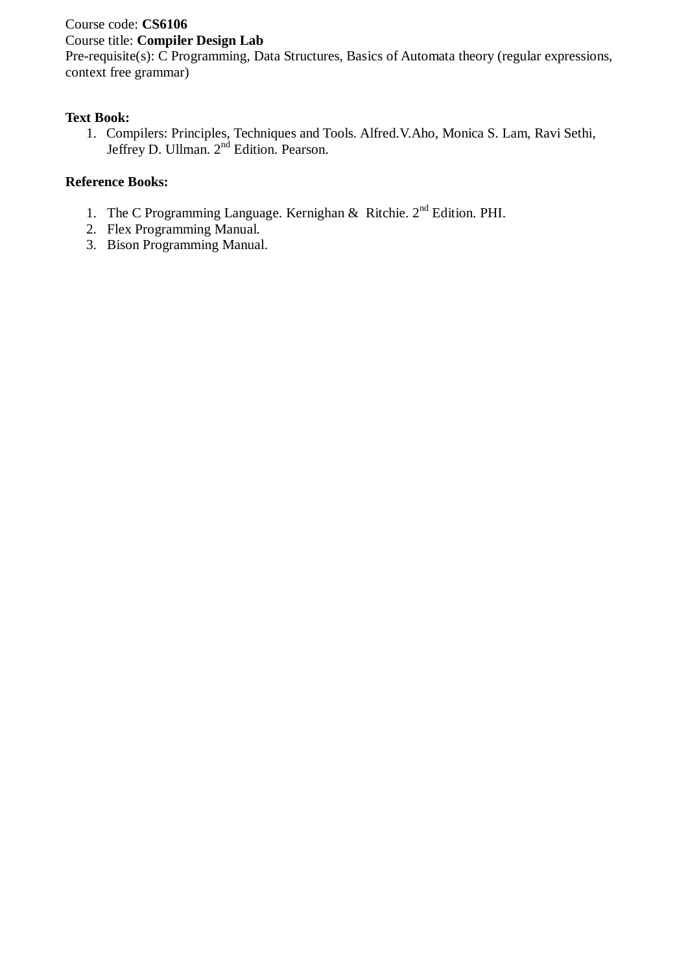# Course code: **CS6106**

# Course title: **Compiler Design Lab**

Pre-requisite(s): C Programming, Data Structures, Basics of Automata theory (regular expressions, context free grammar)

# **Text Book:**

1. Compilers: Principles, Techniques and Tools. Alfred.V.Aho, Monica S. Lam, Ravi Sethi, Jeffrey D. Ullman. 2nd Edition. Pearson.

- 1. The C Programming Language. Kernighan  $\&$  Ritchie. 2<sup>nd</sup> Edition. PHI.
- 2. Flex Programming Manual.
- 3. Bison Programming Manual.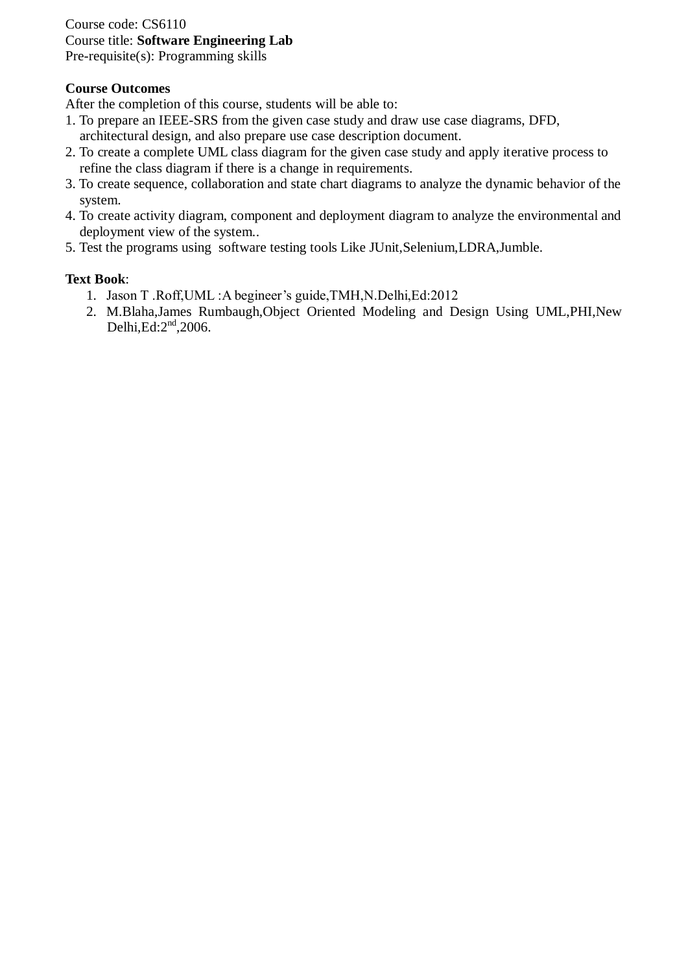### Course code: CS6110 Course title: **Software Engineering Lab** Pre-requisite(s): Programming skills

### **Course Outcomes**

After the completion of this course, students will be able to:

- 1. To prepare an IEEE-SRS from the given case study and draw use case diagrams, DFD, architectural design, and also prepare use case description document.
- 2. To create a complete UML class diagram for the given case study and apply iterative process to refine the class diagram if there is a change in requirements.
- 3. To create sequence, collaboration and state chart diagrams to analyze the dynamic behavior of the system.
- 4. To create activity diagram, component and deployment diagram to analyze the environmental and deployment view of the system..
- 5. Test the programs using software testing tools Like JUnit,Selenium,LDRA,Jumble.

### **Text Book**:

- 1. Jason T .Roff,UML :A begineer's guide,TMH,N.Delhi,Ed:2012
- 2. M.Blaha,James Rumbaugh,Object Oriented Modeling and Design Using UML,PHI,New Delhi, $Ed:2<sup>nd</sup>,2006$ .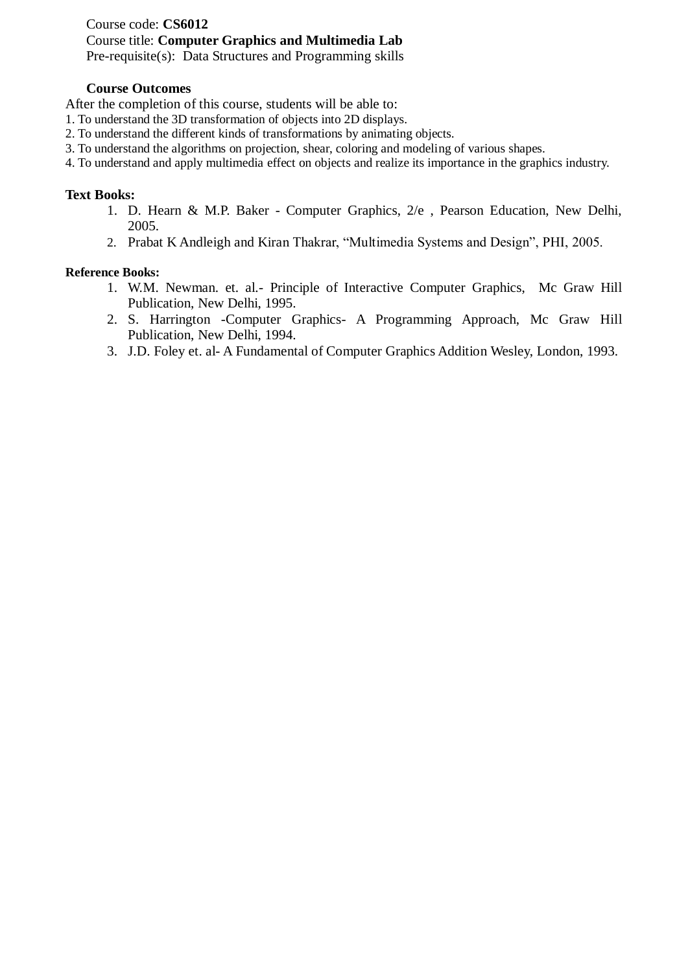Course code: **CS6012** Course title: **Computer Graphics and Multimedia Lab** Pre-requisite(s): Data Structures and Programming skills

#### **Course Outcomes**

After the completion of this course, students will be able to:

- 1. To understand the 3D transformation of objects into 2D displays.
- 2. To understand the different kinds of transformations by animating objects.
- 3. To understand the algorithms on projection, shear, coloring and modeling of various shapes.
- 4. To understand and apply multimedia effect on objects and realize its importance in the graphics industry.

#### **Text Books:**

- 1. D. Hearn & M.P. Baker Computer Graphics, 2/e , Pearson Education, New Delhi, 2005.
- 2. Prabat K Andleigh and Kiran Thakrar, "Multimedia Systems and Design", PHI, 2005.

- 1. W.M. Newman. et. al.- Principle of Interactive Computer Graphics, Mc Graw Hill Publication, New Delhi, 1995.
- 2. S. Harrington -Computer Graphics- A Programming Approach, Mc Graw Hill Publication, New Delhi, 1994.
- 3. J.D. Foley et. al- A Fundamental of Computer Graphics Addition Wesley, London, 1993.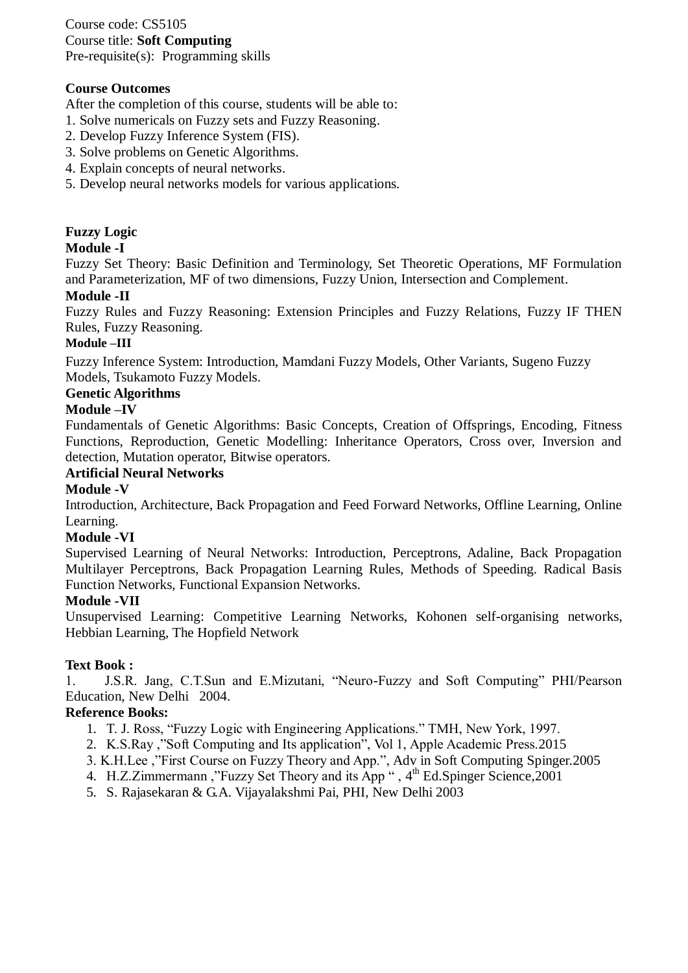Course code: CS5105 Course title: **Soft Computing** Pre-requisite(s): Programming skills

### **Course Outcomes**

After the completion of this course, students will be able to:

- 1. Solve numericals on Fuzzy sets and Fuzzy Reasoning.
- 2. Develop Fuzzy Inference System (FIS).
- 3. Solve problems on Genetic Algorithms.
- 4. Explain concepts of neural networks.
- 5. Develop neural networks models for various applications.

# **Fuzzy Logic**

### **Module -I**

Fuzzy Set Theory: Basic Definition and Terminology, Set Theoretic Operations, MF Formulation and Parameterization, MF of two dimensions, Fuzzy Union, Intersection and Complement.

### **Module -II**

Fuzzy Rules and Fuzzy Reasoning: Extension Principles and Fuzzy Relations, Fuzzy IF THEN Rules, Fuzzy Reasoning.

### **Module –III**

Fuzzy Inference System: Introduction, Mamdani Fuzzy Models, Other Variants, Sugeno Fuzzy Models, Tsukamoto Fuzzy Models.

### **Genetic Algorithms**

### **Module –IV**

Fundamentals of Genetic Algorithms: Basic Concepts, Creation of Offsprings, Encoding, Fitness Functions, Reproduction, Genetic Modelling: Inheritance Operators, Cross over, Inversion and detection, Mutation operator, Bitwise operators.

### **Artificial Neural Networks**

### **Module -V**

Introduction, Architecture, Back Propagation and Feed Forward Networks, Offline Learning, Online Learning.

#### **Module -VI**

Supervised Learning of Neural Networks: Introduction, Perceptrons, Adaline, Back Propagation Multilayer Perceptrons, Back Propagation Learning Rules, Methods of Speeding. Radical Basis Function Networks, Functional Expansion Networks.

### **Module -VII**

Unsupervised Learning: Competitive Learning Networks, Kohonen self-organising networks, Hebbian Learning, The Hopfield Network

### **Text Book :**

1. J.S.R. Jang, C.T.Sun and E.Mizutani, "Neuro-Fuzzy and Soft Computing" PHI/Pearson Education, New Delhi 2004.

- 1. T. J. Ross, "Fuzzy Logic with Engineering Applications." TMH, New York, 1997.
- 2. K.S.Ray ,"Soft Computing and Its application", Vol 1, Apple Academic Press.2015
- 3. K.H.Lee ,"First Course on Fuzzy Theory and App.", Adv in Soft Computing Spinger.2005
- 4. H.Z.Zimmermann, "Fuzzy Set Theory and its App", 4<sup>th</sup> Ed.Spinger Science, 2001
	- 5. S. Rajasekaran & G.A. Vijayalakshmi Pai, PHI, New Delhi 2003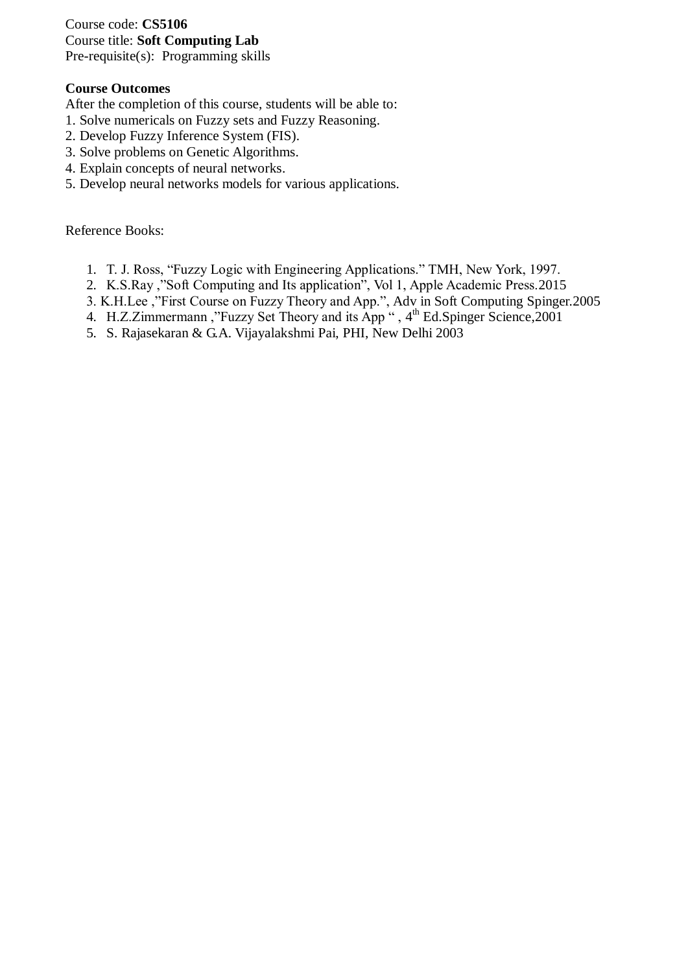Course code: **CS5106** Course title: **Soft Computing Lab** Pre-requisite(s): Programming skills

### **Course Outcomes**

After the completion of this course, students will be able to:

- 1. Solve numericals on Fuzzy sets and Fuzzy Reasoning.
- 2. Develop Fuzzy Inference System (FIS).
- 3. Solve problems on Genetic Algorithms.
- 4. Explain concepts of neural networks.
- 5. Develop neural networks models for various applications.

- 1. T. J. Ross, "Fuzzy Logic with Engineering Applications." TMH, New York, 1997.
- 2. K.S.Ray ,"Soft Computing and Its application", Vol 1, Apple Academic Press.2015
- 3. K.H.Lee ,"First Course on Fuzzy Theory and App.", Adv in Soft Computing Spinger.2005
- 4. H.Z.Zimmermann, "Fuzzy Set Theory and its App", 4<sup>th</sup> Ed.Spinger Science, 2001
	- 5. S. Rajasekaran & G.A. Vijayalakshmi Pai, PHI, New Delhi 2003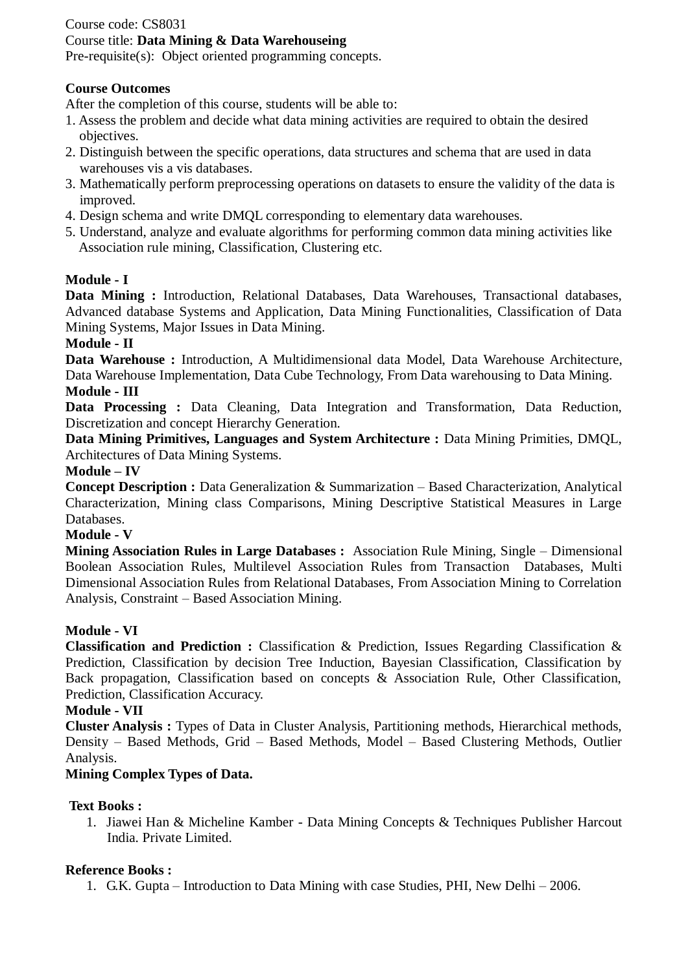# Course code: CS8031 Course title: **Data Mining & Data Warehouseing**

Pre-requisite(s): Object oriented programming concepts.

# **Course Outcomes**

After the completion of this course, students will be able to:

- 1. Assess the problem and decide what data mining activities are required to obtain the desired objectives.
- 2. Distinguish between the specific operations, data structures and schema that are used in data warehouses vis a vis databases.
- 3. Mathematically perform preprocessing operations on datasets to ensure the validity of the data is improved.
- 4. Design schema and write DMQL corresponding to elementary data warehouses.
- 5. Understand, analyze and evaluate algorithms for performing common data mining activities like Association rule mining, Classification, Clustering etc.

# **Module - I**

**Data Mining :** Introduction, Relational Databases, Data Warehouses, Transactional databases, Advanced database Systems and Application, Data Mining Functionalities, Classification of Data Mining Systems, Major Issues in Data Mining.

# **Module - II**

**Data Warehouse :** Introduction, A Multidimensional data Model, Data Warehouse Architecture, Data Warehouse Implementation, Data Cube Technology, From Data warehousing to Data Mining.

### **Module - III**

**Data Processing :** Data Cleaning, Data Integration and Transformation, Data Reduction, Discretization and concept Hierarchy Generation.

**Data Mining Primitives, Languages and System Architecture :** Data Mining Primities, DMQL, Architectures of Data Mining Systems.

### **Module – IV**

**Concept Description :** Data Generalization & Summarization – Based Characterization, Analytical Characterization, Mining class Comparisons, Mining Descriptive Statistical Measures in Large Databases.

### **Module - V**

**Mining Association Rules in Large Databases :** Association Rule Mining, Single – Dimensional Boolean Association Rules, Multilevel Association Rules from Transaction Databases, Multi Dimensional Association Rules from Relational Databases, From Association Mining to Correlation Analysis, Constraint – Based Association Mining.

### **Module - VI**

**Classification and Prediction :** Classification & Prediction, Issues Regarding Classification & Prediction, Classification by decision Tree Induction, Bayesian Classification, Classification by Back propagation, Classification based on concepts & Association Rule, Other Classification, Prediction, Classification Accuracy.

### **Module - VII**

**Cluster Analysis :** Types of Data in Cluster Analysis, Partitioning methods, Hierarchical methods, Density – Based Methods, Grid – Based Methods, Model – Based Clustering Methods, Outlier Analysis.

# **Mining Complex Types of Data.**

# **Text Books :**

1. Jiawei Han & Micheline Kamber - Data Mining Concepts & Techniques Publisher Harcout India. Private Limited.

# **Reference Books :**

1. G.K. Gupta – Introduction to Data Mining with case Studies, PHI, New Delhi – 2006.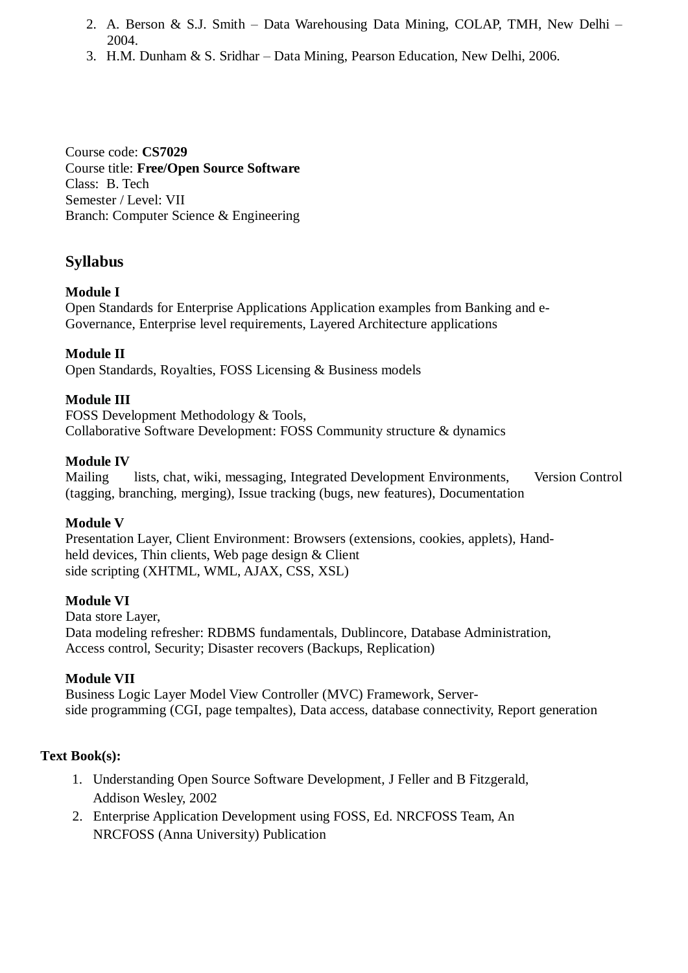- 2. A. Berson & S.J. Smith Data Warehousing Data Mining, COLAP, TMH, New Delhi 2004.
- 3. H.M. Dunham & S. Sridhar Data Mining, Pearson Education, New Delhi, 2006.

Course code: **CS7029** Course title: **Free/Open Source Software** Class: B. Tech Semester / Level: VII Branch: Computer Science & Engineering

# **Syllabus**

### **Module I**

Open Standards for Enterprise Applications Application examples from Banking and e-Governance, Enterprise level requirements, Layered Architecture applications

**Module II** 

Open Standards, Royalties, FOSS Licensing & Business models

### **Module III**

FOSS Development Methodology & Tools, Collaborative Software Development: FOSS Community structure & dynamics

### **Module IV**

Mailing lists, chat, wiki, messaging, Integrated Development Environments, Version Control (tagging, branching, merging), Issue tracking (bugs, new features), Documentation

### **Module V**

Presentation Layer, Client Environment: Browsers (extensions, cookies, applets), Handheld devices, Thin clients, Web page design & Client side scripting (XHTML, WML, AJAX, CSS, XSL)

### **Module VI**

Data store Layer, Data modeling refresher: RDBMS fundamentals, Dublincore, Database Administration, Access control, Security; Disaster recovers (Backups, Replication)

### **Module VII**

Business Logic Layer Model View Controller (MVC) Framework, Serverside programming (CGI, page tempaltes), Data access, database connectivity, Report generation

### **Text Book(s):**

- 1. Understanding Open Source Software Development, J Feller and B Fitzgerald, Addison Wesley, 2002
- 2. Enterprise Application Development using FOSS, Ed. NRCFOSS Team, An NRCFOSS (Anna University) Publication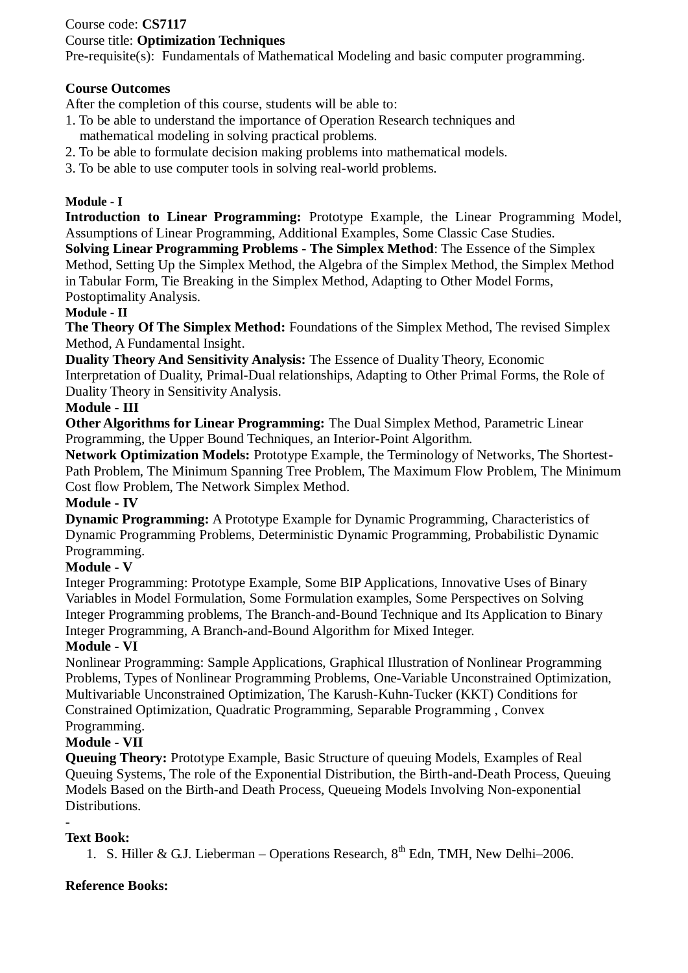# Course code: **CS7117**

## Course title: **Optimization Techniques**

Pre-requisite(s): Fundamentals of Mathematical Modeling and basic computer programming.

# **Course Outcomes**

After the completion of this course, students will be able to:

- 1. To be able to understand the importance of Operation Research techniques and mathematical modeling in solving practical problems.
- 2. To be able to formulate decision making problems into mathematical models.
- 3. To be able to use computer tools in solving real-world problems.

# **Module - I**

**Introduction to Linear Programming:** Prototype Example, the Linear Programming Model, Assumptions of Linear Programming, Additional Examples, Some Classic Case Studies.

**Solving Linear Programming Problems - The Simplex Method**: The Essence of the Simplex Method, Setting Up the Simplex Method, the Algebra of the Simplex Method, the Simplex Method in Tabular Form, Tie Breaking in the Simplex Method, Adapting to Other Model Forms, Postoptimality Analysis.

### **Module - II**

**The Theory Of The Simplex Method:** Foundations of the Simplex Method, The revised Simplex Method, A Fundamental Insight.

**Duality Theory And Sensitivity Analysis:** The Essence of Duality Theory, Economic Interpretation of Duality, Primal-Dual relationships, Adapting to Other Primal Forms, the Role of Duality Theory in Sensitivity Analysis.

### **Module - III**

**Other Algorithms for Linear Programming:** The Dual Simplex Method, Parametric Linear Programming, the Upper Bound Techniques, an Interior-Point Algorithm.

**Network Optimization Models:** Prototype Example, the Terminology of Networks, The Shortest-Path Problem, The Minimum Spanning Tree Problem, The Maximum Flow Problem, The Minimum Cost flow Problem, The Network Simplex Method.

### **Module - IV**

**Dynamic Programming:** A Prototype Example for Dynamic Programming, Characteristics of Dynamic Programming Problems, Deterministic Dynamic Programming, Probabilistic Dynamic Programming.

### **Module - V**

Integer Programming: Prototype Example, Some BIP Applications, Innovative Uses of Binary Variables in Model Formulation, Some Formulation examples, Some Perspectives on Solving Integer Programming problems, The Branch-and-Bound Technique and Its Application to Binary Integer Programming, A Branch-and-Bound Algorithm for Mixed Integer.

### **Module - VI**

Nonlinear Programming: Sample Applications, Graphical Illustration of Nonlinear Programming Problems, Types of Nonlinear Programming Problems, One-Variable Unconstrained Optimization, Multivariable Unconstrained Optimization, The Karush-Kuhn-Tucker (KKT) Conditions for Constrained Optimization, Quadratic Programming, Separable Programming , Convex Programming.

# **Module - VII**

**Queuing Theory:** Prototype Example, Basic Structure of queuing Models, Examples of Real Queuing Systems, The role of the Exponential Distribution, the Birth-and-Death Process, Queuing Models Based on the Birth-and Death Process, Queueing Models Involving Non-exponential Distributions.

#### - **Text Book:**

1. S. Hiller & G.J. Lieberman – Operations Research,  $8<sup>th</sup>$  Edn, TMH, New Delhi–2006.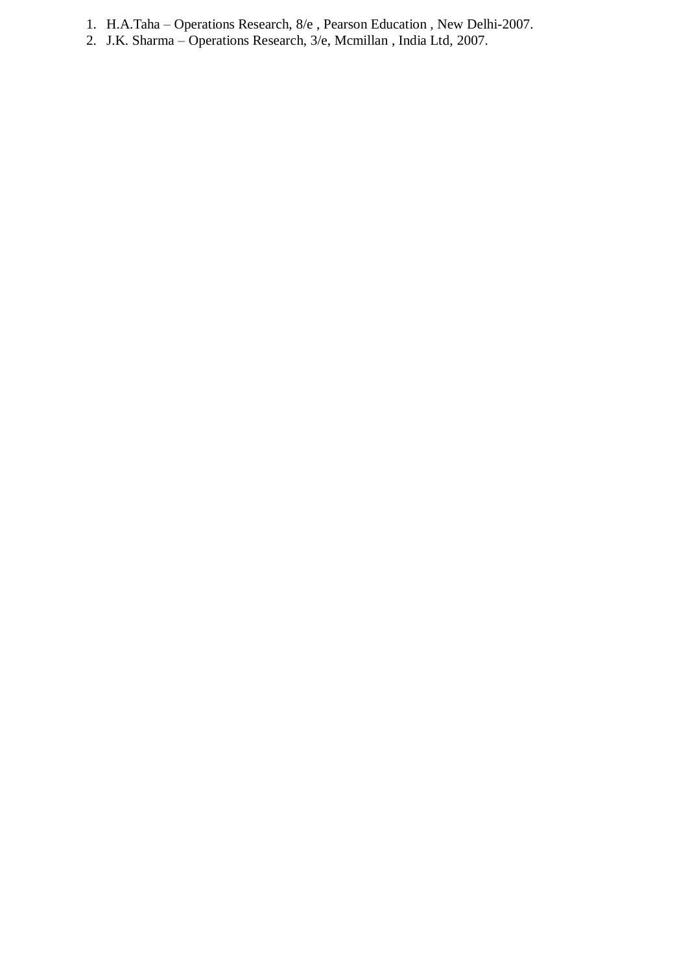- 1. H.A.Taha Operations Research, 8/e , Pearson Education , New Delhi-2007.
- 2. J.K. Sharma Operations Research, 3/e, Mcmillan , India Ltd, 2007.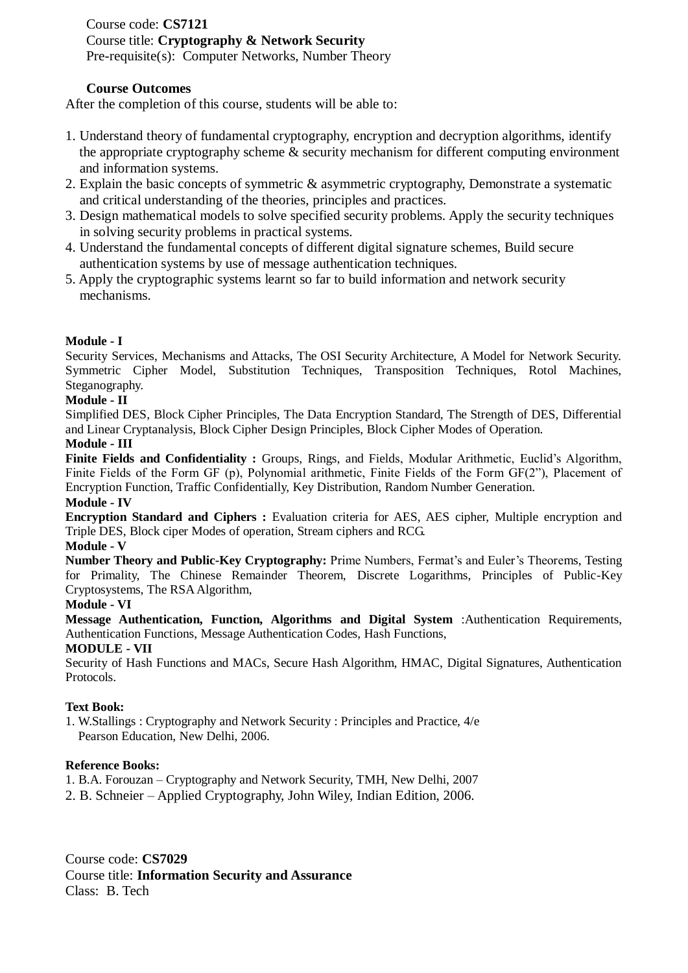### Course code: **CS7121** Course title: **Cryptography & Network Security** Pre-requisite(s): Computer Networks, Number Theory

### **Course Outcomes**

After the completion of this course, students will be able to:

- 1. Understand theory of fundamental cryptography, encryption and decryption algorithms, identify the appropriate cryptography scheme & security mechanism for different computing environment and information systems.
- 2. Explain the basic concepts of symmetric & asymmetric cryptography, Demonstrate a systematic and critical understanding of the theories, principles and practices.
- 3. Design mathematical models to solve specified security problems. Apply the security techniques in solving security problems in practical systems.
- 4. Understand the fundamental concepts of different digital signature schemes, Build secure authentication systems by use of message authentication techniques.
- 5. Apply the cryptographic systems learnt so far to build information and network security mechanisms.

#### **Module - I**

Security Services, Mechanisms and Attacks, The OSI Security Architecture, A Model for Network Security. Symmetric Cipher Model, Substitution Techniques, Transposition Techniques, Rotol Machines, Steganography.

#### **Module - II**

Simplified DES, Block Cipher Principles, The Data Encryption Standard, The Strength of DES, Differential and Linear Cryptanalysis, Block Cipher Design Principles, Block Cipher Modes of Operation.

#### **Module - III**

Finite Fields and Confidentiality : Groups, Rings, and Fields, Modular Arithmetic, Euclid's Algorithm, Finite Fields of the Form GF (p), Polynomial arithmetic, Finite Fields of the Form GF(2"), Placement of Encryption Function, Traffic Confidentially, Key Distribution, Random Number Generation.

#### **Module - IV**

**Encryption Standard and Ciphers :** Evaluation criteria for AES, AES cipher, Multiple encryption and Triple DES, Block ciper Modes of operation, Stream ciphers and RCG.

#### **Module - V**

**Number Theory and Public-Key Cryptography:** Prime Numbers, Fermat's and Euler's Theorems, Testing for Primality, The Chinese Remainder Theorem, Discrete Logarithms, Principles of Public-Key Cryptosystems, The RSA Algorithm,

#### **Module - VI**

**Message Authentication, Function, Algorithms and Digital System** :Authentication Requirements, Authentication Functions, Message Authentication Codes, Hash Functions,

#### **MODULE - VII**

Security of Hash Functions and MACs, Secure Hash Algorithm, HMAC, Digital Signatures, Authentication Protocols.

#### **Text Book:**

1. W.Stallings : Cryptography and Network Security : Principles and Practice, 4/e Pearson Education, New Delhi, 2006.

#### **Reference Books:**

- 1. B.A. Forouzan Cryptography and Network Security, TMH, New Delhi, 2007
- 2. B. Schneier Applied Cryptography, John Wiley, Indian Edition, 2006.

Course code: **CS7029** Course title: **Information Security and Assurance** Class: B. Tech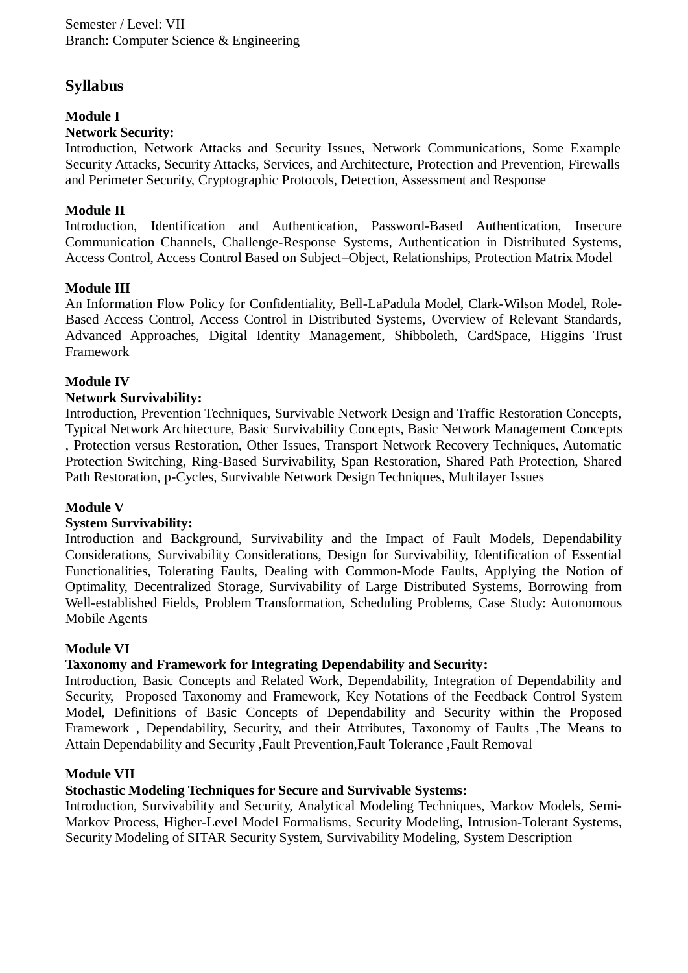# **Syllabus**

# **Module I**

# **Network Security:**

Introduction, Network Attacks and Security Issues, Network Communications, Some Example Security Attacks, Security Attacks, Services, and Architecture, Protection and Prevention, Firewalls and Perimeter Security, Cryptographic Protocols, Detection, Assessment and Response

# **Module II**

Introduction, Identification and Authentication, Password-Based Authentication, Insecure Communication Channels, Challenge-Response Systems, Authentication in Distributed Systems, Access Control, Access Control Based on Subject–Object, Relationships, Protection Matrix Model

# **Module III**

An Information Flow Policy for Confidentiality, Bell-LaPadula Model, Clark-Wilson Model, Role-Based Access Control, Access Control in Distributed Systems, Overview of Relevant Standards, Advanced Approaches, Digital Identity Management, Shibboleth, CardSpace, Higgins Trust Framework

# **Module IV**

# **Network Survivability:**

Introduction, Prevention Techniques, Survivable Network Design and Traffic Restoration Concepts, Typical Network Architecture, Basic Survivability Concepts, Basic Network Management Concepts , Protection versus Restoration, Other Issues, Transport Network Recovery Techniques, Automatic Protection Switching, Ring-Based Survivability, Span Restoration, Shared Path Protection, Shared Path Restoration, p-Cycles, Survivable Network Design Techniques, Multilayer Issues

### **Module V**

### **System Survivability:**

Introduction and Background, Survivability and the Impact of Fault Models, Dependability Considerations, Survivability Considerations, Design for Survivability, Identification of Essential Functionalities, Tolerating Faults, Dealing with Common-Mode Faults, Applying the Notion of Optimality, Decentralized Storage, Survivability of Large Distributed Systems, Borrowing from Well-established Fields, Problem Transformation, Scheduling Problems, Case Study: Autonomous Mobile Agents

### **Module VI**

### **Taxonomy and Framework for Integrating Dependability and Security:**

Introduction, Basic Concepts and Related Work, Dependability, Integration of Dependability and Security, Proposed Taxonomy and Framework, Key Notations of the Feedback Control System Model, Definitions of Basic Concepts of Dependability and Security within the Proposed Framework , Dependability, Security, and their Attributes, Taxonomy of Faults ,The Means to Attain Dependability and Security ,Fault Prevention,Fault Tolerance ,Fault Removal

### **Module VII**

# **Stochastic Modeling Techniques for Secure and Survivable Systems:**

Introduction, Survivability and Security, Analytical Modeling Techniques, Markov Models, Semi-Markov Process, Higher-Level Model Formalisms, Security Modeling, Intrusion-Tolerant Systems, Security Modeling of SITAR Security System, Survivability Modeling, System Description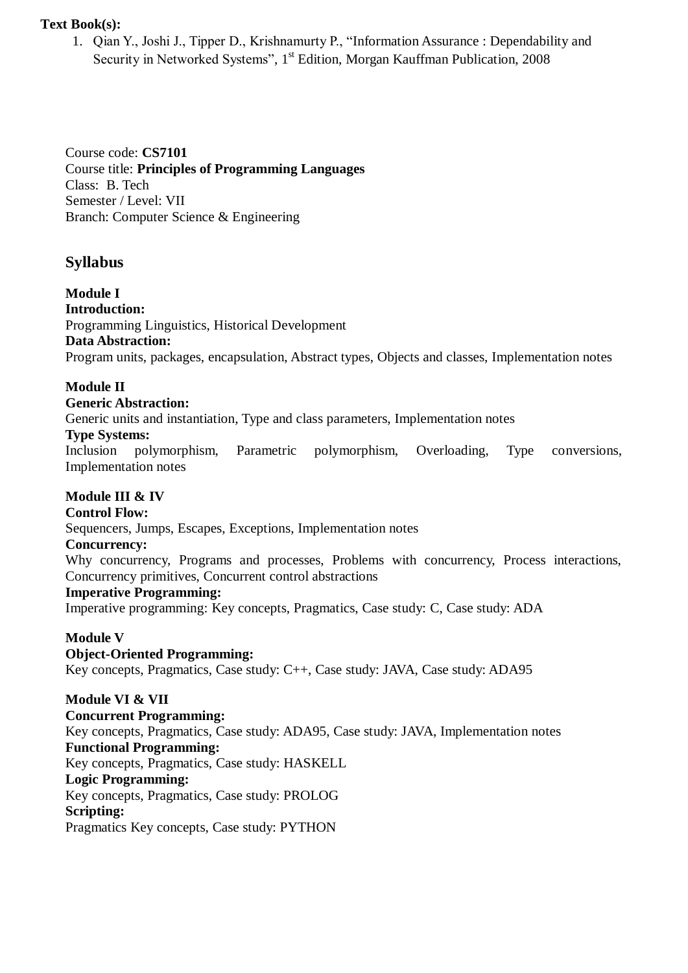### **Text Book(s):**

1. Qian Y., Joshi J., Tipper D., Krishnamurty P., "Information Assurance : Dependability and Security in Networked Systems", 1<sup>st</sup> Edition, Morgan Kauffman Publication, 2008

Course code: **CS7101** Course title: **Principles of Programming Languages** Class: B. Tech Semester / Level: VII Branch: Computer Science & Engineering

# **Syllabus**

**Module I Introduction:** Programming Linguistics, Historical Development **Data Abstraction:** Program units, packages, encapsulation, Abstract types, Objects and classes, Implementation notes

### **Module II**

**Generic Abstraction:**

Generic units and instantiation, Type and class parameters, Implementation notes

#### **Type Systems:**

Inclusion polymorphism, Parametric polymorphism, Overloading, Type conversions, Implementation notes

### **Module III & IV**

#### **Control Flow:**

Sequencers, Jumps, Escapes, Exceptions, Implementation notes

#### **Concurrency:**

Why concurrency, Programs and processes, Problems with concurrency, Process interactions, Concurrency primitives, Concurrent control abstractions

#### **Imperative Programming:**

Imperative programming: Key concepts, Pragmatics, Case study: C, Case study: ADA

#### **Module V**

### **Object-Oriented Programming:**

Key concepts, Pragmatics, Case study: C++, Case study: JAVA, Case study: ADA95

#### **Module VI & VII**

### **Concurrent Programming:**

Key concepts, Pragmatics, Case study: ADA95, Case study: JAVA, Implementation notes **Functional Programming:** Key concepts, Pragmatics, Case study: HASKELL **Logic Programming:**  Key concepts, Pragmatics, Case study: PROLOG **Scripting:** Pragmatics Key concepts, Case study: PYTHON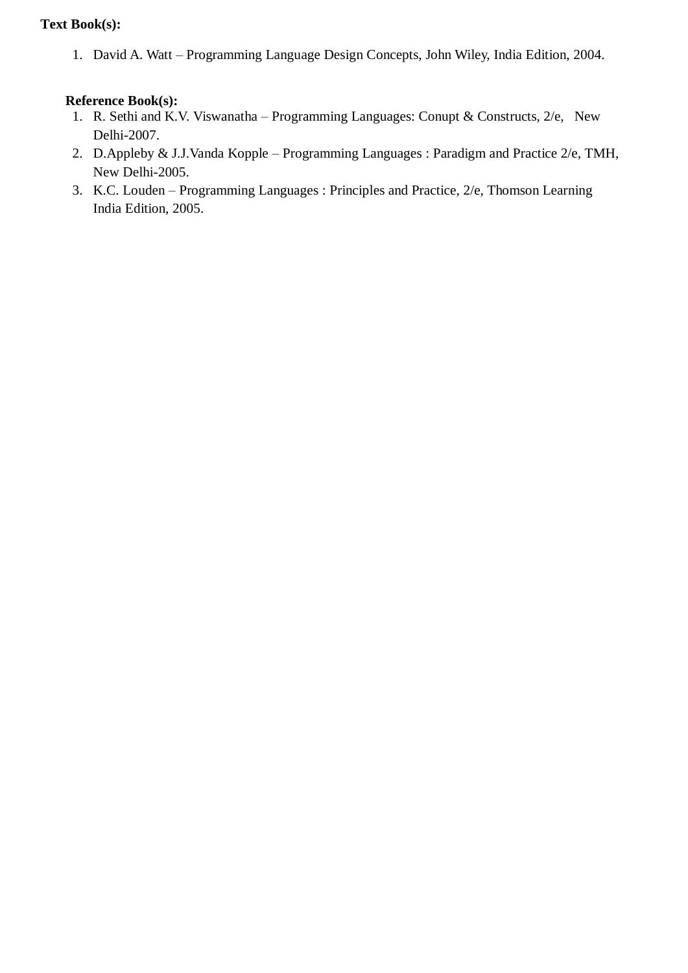# **Text Book(s):**

1. David A. Watt – Programming Language Design Concepts, John Wiley, India Edition, 2004.

- 1. R. Sethi and K.V. Viswanatha Programming Languages: Conupt & Constructs, 2/e, New Delhi-2007.
- 2. D.Appleby & J.J.Vanda Kopple Programming Languages : Paradigm and Practice 2/e, TMH, New Delhi-2005.
- 3. K.C. Louden Programming Languages : Principles and Practice, 2/e, Thomson Learning India Edition, 2005.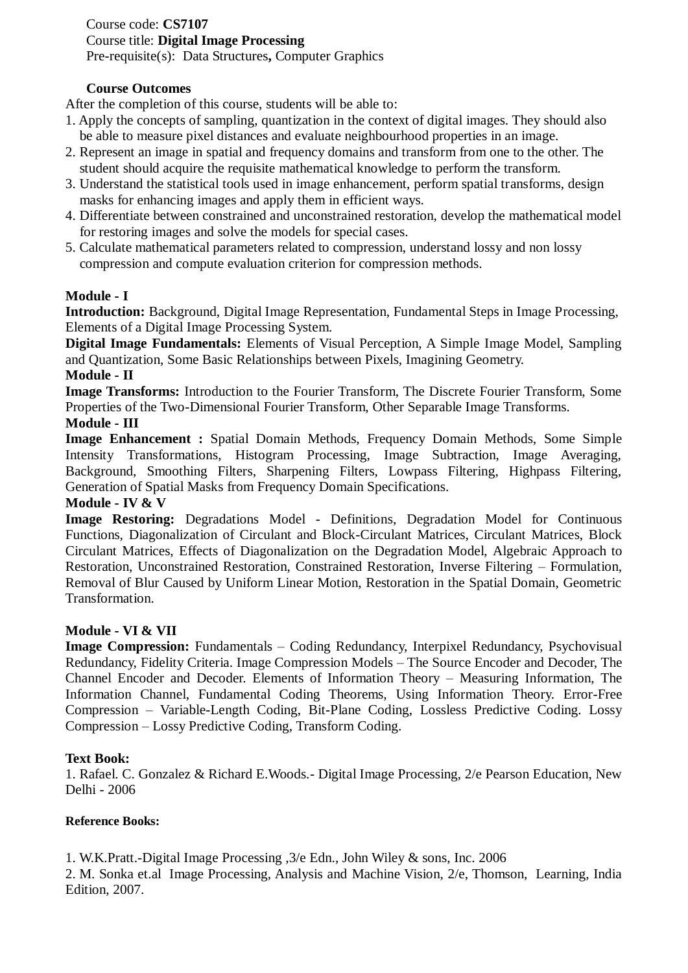Course code: **CS7107** Course title: **Digital Image Processing** Pre-requisite(s): Data Structures**,** Computer Graphics

### **Course Outcomes**

After the completion of this course, students will be able to:

- 1. Apply the concepts of sampling, quantization in the context of digital images. They should also be able to measure pixel distances and evaluate neighbourhood properties in an image.
- 2. Represent an image in spatial and frequency domains and transform from one to the other. The student should acquire the requisite mathematical knowledge to perform the transform.
- 3. Understand the statistical tools used in image enhancement, perform spatial transforms, design masks for enhancing images and apply them in efficient ways.
- 4. Differentiate between constrained and unconstrained restoration, develop the mathematical model for restoring images and solve the models for special cases.
- 5. Calculate mathematical parameters related to compression, understand lossy and non lossy compression and compute evaluation criterion for compression methods.

### **Module - I**

**Introduction:** Background, Digital Image Representation, Fundamental Steps in Image Processing, Elements of a Digital Image Processing System.

**Digital Image Fundamentals:** Elements of Visual Perception, A Simple Image Model, Sampling and Quantization, Some Basic Relationships between Pixels, Imagining Geometry.

#### **Module - II**

**Image Transforms:** Introduction to the Fourier Transform, The Discrete Fourier Transform, Some Properties of the Two-Dimensional Fourier Transform, Other Separable Image Transforms.

### **Module - III**

**Image Enhancement :** Spatial Domain Methods, Frequency Domain Methods, Some Simple Intensity Transformations, Histogram Processing, Image Subtraction, Image Averaging, Background, Smoothing Filters, Sharpening Filters, Lowpass Filtering, Highpass Filtering, Generation of Spatial Masks from Frequency Domain Specifications.

### **Module - IV & V**

**Image Restoring:** Degradations Model - Definitions, Degradation Model for Continuous Functions, Diagonalization of Circulant and Block-Circulant Matrices, Circulant Matrices, Block Circulant Matrices, Effects of Diagonalization on the Degradation Model, Algebraic Approach to Restoration, Unconstrained Restoration, Constrained Restoration, Inverse Filtering – Formulation, Removal of Blur Caused by Uniform Linear Motion, Restoration in the Spatial Domain, Geometric Transformation.

### **Module - VI & VII**

**Image Compression:** Fundamentals – Coding Redundancy, Interpixel Redundancy, Psychovisual Redundancy, Fidelity Criteria. Image Compression Models – The Source Encoder and Decoder, The Channel Encoder and Decoder. Elements of Information Theory – Measuring Information, The Information Channel, Fundamental Coding Theorems, Using Information Theory. Error-Free Compression – Variable-Length Coding, Bit-Plane Coding, Lossless Predictive Coding. Lossy Compression – Lossy Predictive Coding, Transform Coding.

#### **Text Book:**

1. Rafael. C. Gonzalez & Richard E.Woods.- Digital Image Processing, 2/e Pearson Education, New Delhi - 2006

#### **Reference Books:**

1. W.K.Pratt.-Digital Image Processing ,3/e Edn., John Wiley & sons, Inc. 2006

2. M. Sonka et.al Image Processing, Analysis and Machine Vision, 2/e, Thomson, Learning, India Edition, 2007.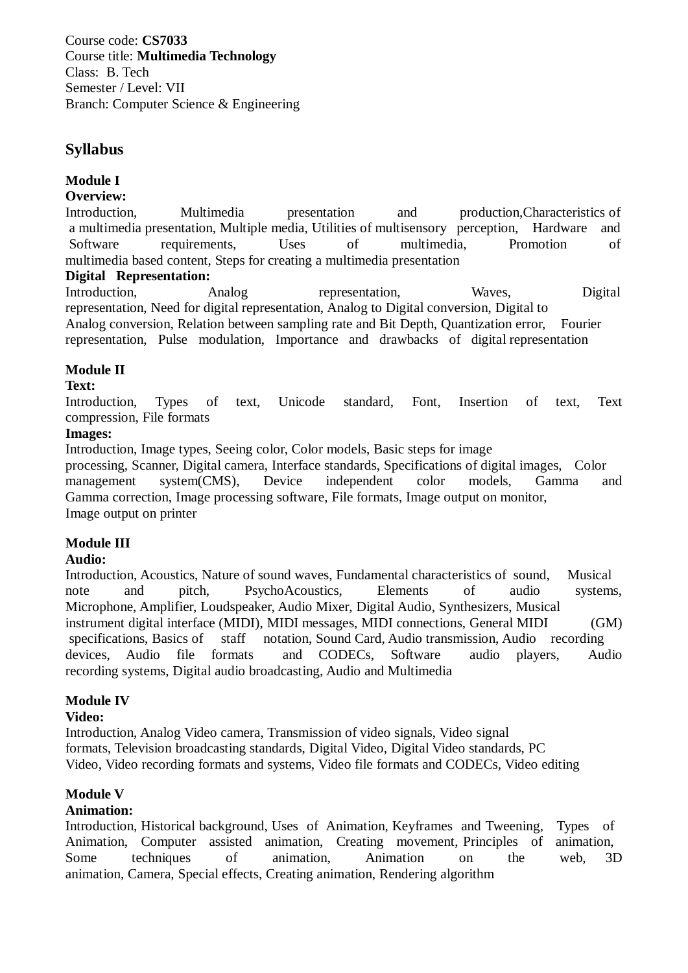Course code: **CS7033** Course title: **Multimedia Technology** Class: B. Tech Semester / Level: VII Branch: Computer Science & Engineering

# **Syllabus**

# **Module I**

### **Overview:**

Introduction, Multimedia presentation and production,Characteristics of a multimedia presentation, Multiple media, Utilities of multisensory perception, Hardware and Software requirements, Uses of multimedia, Promotion of multimedia based content, Steps for creating a multimedia presentation

### **Digital Representation:**

Introduction, Analog representation, Waves, Digital representation, Need for digital representation, Analog to Digital conversion, Digital to Analog conversion, Relation between sampling rate and Bit Depth, Quantization error, Fourier representation, Pulse modulation, Importance and drawbacks of digital representation

# **Module II**

### **Text:**

Introduction, Types of text, Unicode standard, Font, Insertion of text, Text compression, File formats

### **Images:**

Introduction, Image types, Seeing color, Color models, Basic steps for image

processing, Scanner, Digital camera, Interface standards, Specifications of digital images, Color management system(CMS), Device independent color models, Gamma and Gamma correction, Image processing software, File formats, Image output on monitor, Image output on printer

### **Module III**

### **Audio:**

Introduction, Acoustics, Nature of sound waves, Fundamental characteristics of sound, Musical note and pitch, PsychoAcoustics, Elements of audio systems, Microphone, Amplifier, Loudspeaker, Audio Mixer, Digital Audio, Synthesizers, Musical instrument digital interface (MIDI), MIDI messages, MIDI connections, General MIDI (GM) specifications, Basics of staff notation, Sound Card, Audio transmission, Audio recording devices, Audio file formats and CODECs, Software audio players, Audio recording systems, Digital audio broadcasting, Audio and Multimedia

### **Module IV**

### **Video:**

Introduction, Analog Video camera, Transmission of video signals, Video signal formats, Television broadcasting standards, Digital Video, Digital Video standards, PC Video, Video recording formats and systems, Video file formats and CODECs, Video editing

### **Module V**

### **Animation:**

Introduction, Historical background, Uses of Animation, Keyframes and Tweening, Types of Animation, Computer assisted animation, Creating movement, Principles of animation, Some techniques of animation, Animation on the web, 3D animation, Camera, Special effects, Creating animation, Rendering algorithm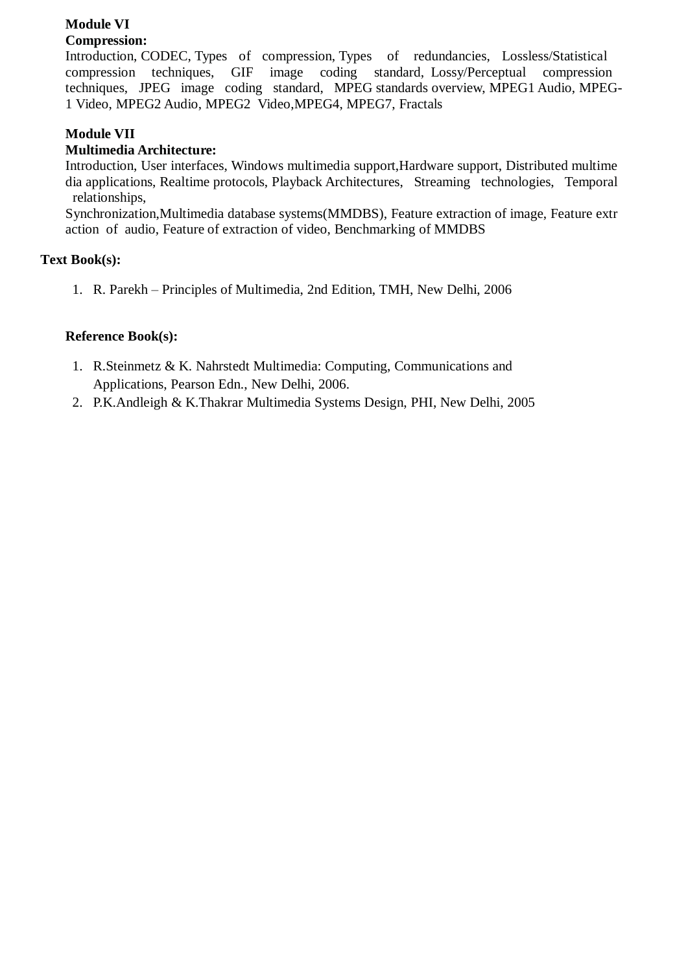# **Module VI**

# **Compression:**

Introduction, CODEC, Types of compression, Types of redundancies, Lossless/Statistical compression techniques, GIF image coding standard, Lossy/Perceptual compression techniques, JPEG image coding standard, MPEG standards overview, MPEG1 Audio, MPEG-1 Video, MPEG2 Audio, MPEG2 Video,MPEG4, MPEG7, Fractals

# **Module VII**

# **Multimedia Architecture:**

Introduction, User interfaces, Windows multimedia support,Hardware support, Distributed multime dia applications, Realtime protocols, Playback Architectures, Streaming technologies, Temporal relationships,

Synchronization,Multimedia database systems(MMDBS), Feature extraction of image, Feature extr action of audio, Feature of extraction of video, Benchmarking of MMDBS

### **Text Book(s):**

1. R. Parekh – Principles of Multimedia, 2nd Edition, TMH, New Delhi, 2006

- 1. R.Steinmetz & K. Nahrstedt Multimedia: Computing, Communications and Applications, Pearson Edn., New Delhi, 2006.
- 2. P.K.Andleigh & K.Thakrar Multimedia Systems Design, PHI, New Delhi, 2005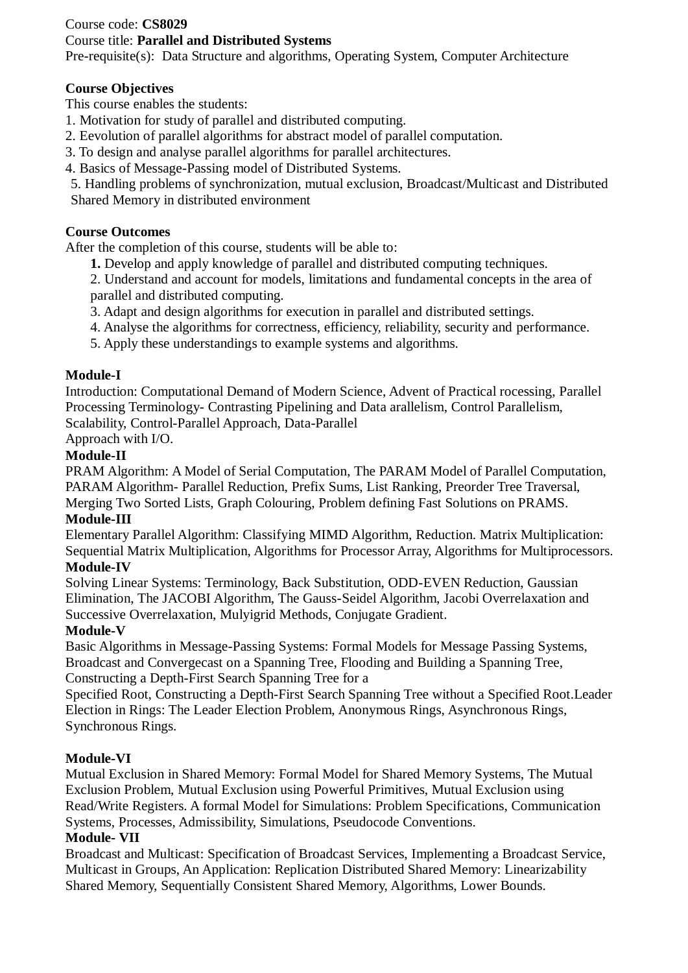### Course code: **CS8029**

Course title: **Parallel and Distributed Systems**

Pre-requisite(s): Data Structure and algorithms, Operating System, Computer Architecture

# **Course Objectives**

This course enables the students:

- 1. Motivation for study of parallel and distributed computing.
- 2. Eevolution of parallel algorithms for abstract model of parallel computation.
- 3. To design and analyse parallel algorithms for parallel architectures.
- 4. Basics of Message-Passing model of Distributed Systems.
- 5. Handling problems of synchronization, mutual exclusion, Broadcast/Multicast and Distributed Shared Memory in distributed environment

# **Course Outcomes**

After the completion of this course, students will be able to:

- **1.** Develop and apply knowledge of parallel and distributed computing techniques.
- 2. Understand and account for models, limitations and fundamental concepts in the area of parallel and distributed computing.
- 3. Adapt and design algorithms for execution in parallel and distributed settings.
- 4. Analyse the algorithms for correctness, efficiency, reliability, security and performance.
- 5. Apply these understandings to example systems and algorithms.

# **Module-I**

Introduction: Computational Demand of Modern Science, Advent of Practical rocessing, Parallel Processing Terminology- Contrasting Pipelining and Data arallelism, Control Parallelism, Scalability, Control-Parallel Approach, Data-Parallel

Approach with I/O.

# **Module-II**

PRAM Algorithm: A Model of Serial Computation, The PARAM Model of Parallel Computation, PARAM Algorithm- Parallel Reduction, Prefix Sums, List Ranking, Preorder Tree Traversal, Merging Two Sorted Lists, Graph Colouring, Problem defining Fast Solutions on PRAMS.

# **Module-III**

Elementary Parallel Algorithm: Classifying MIMD Algorithm, Reduction. Matrix Multiplication: Sequential Matrix Multiplication, Algorithms for Processor Array, Algorithms for Multiprocessors.

# **Module-IV**

Solving Linear Systems: Terminology, Back Substitution, ODD-EVEN Reduction, Gaussian Elimination, The JACOBI Algorithm, The Gauss-Seidel Algorithm, Jacobi Overrelaxation and Successive Overrelaxation, Mulyigrid Methods, Conjugate Gradient.

### **Module-V**

Basic Algorithms in Message-Passing Systems: Formal Models for Message Passing Systems, Broadcast and Convergecast on a Spanning Tree, Flooding and Building a Spanning Tree, Constructing a Depth-First Search Spanning Tree for a

Specified Root, Constructing a Depth-First Search Spanning Tree without a Specified Root.Leader Election in Rings: The Leader Election Problem, Anonymous Rings, Asynchronous Rings, Synchronous Rings.

# **Module-VI**

Mutual Exclusion in Shared Memory: Formal Model for Shared Memory Systems, The Mutual Exclusion Problem, Mutual Exclusion using Powerful Primitives, Mutual Exclusion using Read/Write Registers. A formal Model for Simulations: Problem Specifications, Communication Systems, Processes, Admissibility, Simulations, Pseudocode Conventions.

# **Module- VII**

Broadcast and Multicast: Specification of Broadcast Services, Implementing a Broadcast Service, Multicast in Groups, An Application: Replication Distributed Shared Memory: Linearizability Shared Memory, Sequentially Consistent Shared Memory, Algorithms, Lower Bounds.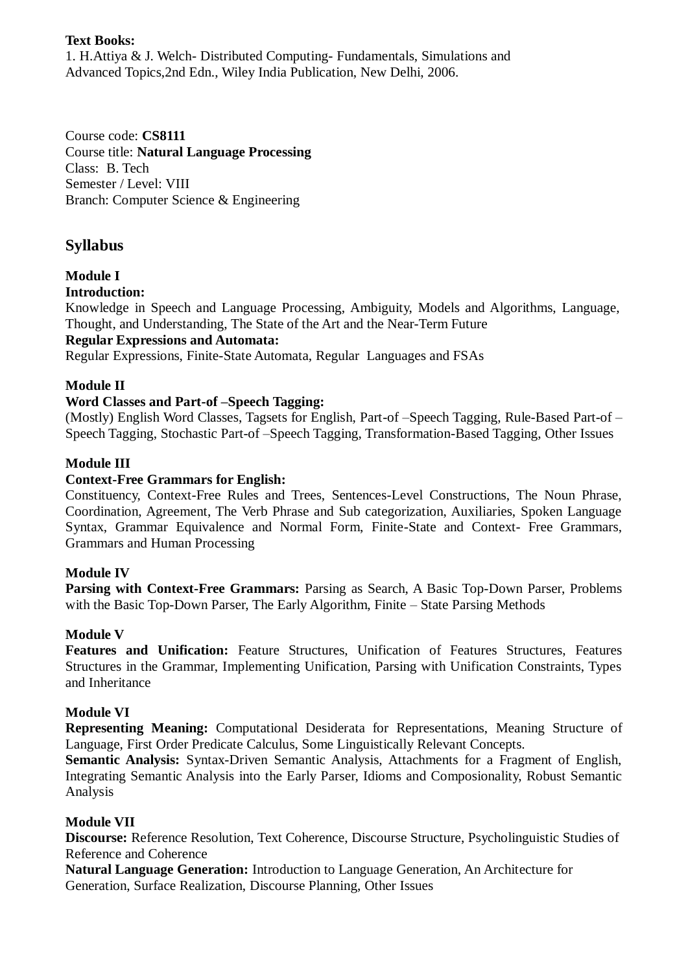# **Text Books:**

1. H.Attiya & J. Welch- Distributed Computing- Fundamentals, Simulations and Advanced Topics,2nd Edn., Wiley India Publication, New Delhi, 2006.

Course code: **CS8111** Course title: **Natural Language Processing** Class: B. Tech Semester / Level: VIII Branch: Computer Science & Engineering

# **Syllabus**

# **Module I**

**Introduction:**

Knowledge in Speech and Language Processing, Ambiguity, Models and Algorithms, Language, Thought, and Understanding, The State of the Art and the Near-Term Future

### **Regular Expressions and Automata:**

Regular Expressions, Finite-State Automata, Regular Languages and FSAs

# **Module II**

### **Word Classes and Part-of –Speech Tagging:**

(Mostly) English Word Classes, Tagsets for English, Part-of –Speech Tagging, Rule-Based Part-of – Speech Tagging, Stochastic Part-of –Speech Tagging, Transformation-Based Tagging, Other Issues

# **Module III**

### **Context-Free Grammars for English:**

Constituency, Context-Free Rules and Trees, Sentences-Level Constructions, The Noun Phrase, Coordination, Agreement, The Verb Phrase and Sub categorization, Auxiliaries, Spoken Language Syntax, Grammar Equivalence and Normal Form, Finite-State and Context- Free Grammars, Grammars and Human Processing

### **Module IV**

**Parsing with Context-Free Grammars:** Parsing as Search, A Basic Top-Down Parser, Problems with the Basic Top-Down Parser, The Early Algorithm, Finite – State Parsing Methods

### **Module V**

**Features and Unification:** Feature Structures, Unification of Features Structures, Features Structures in the Grammar, Implementing Unification, Parsing with Unification Constraints, Types and Inheritance

### **Module VI**

**Representing Meaning:** Computational Desiderata for Representations, Meaning Structure of Language, First Order Predicate Calculus, Some Linguistically Relevant Concepts.

**Semantic Analysis:** Syntax-Driven Semantic Analysis, Attachments for a Fragment of English, Integrating Semantic Analysis into the Early Parser, Idioms and Composionality, Robust Semantic Analysis

### **Module VII**

**Discourse:** Reference Resolution, Text Coherence, Discourse Structure, Psycholinguistic Studies of Reference and Coherence

**Natural Language Generation:** Introduction to Language Generation, An Architecture for Generation, Surface Realization, Discourse Planning, Other Issues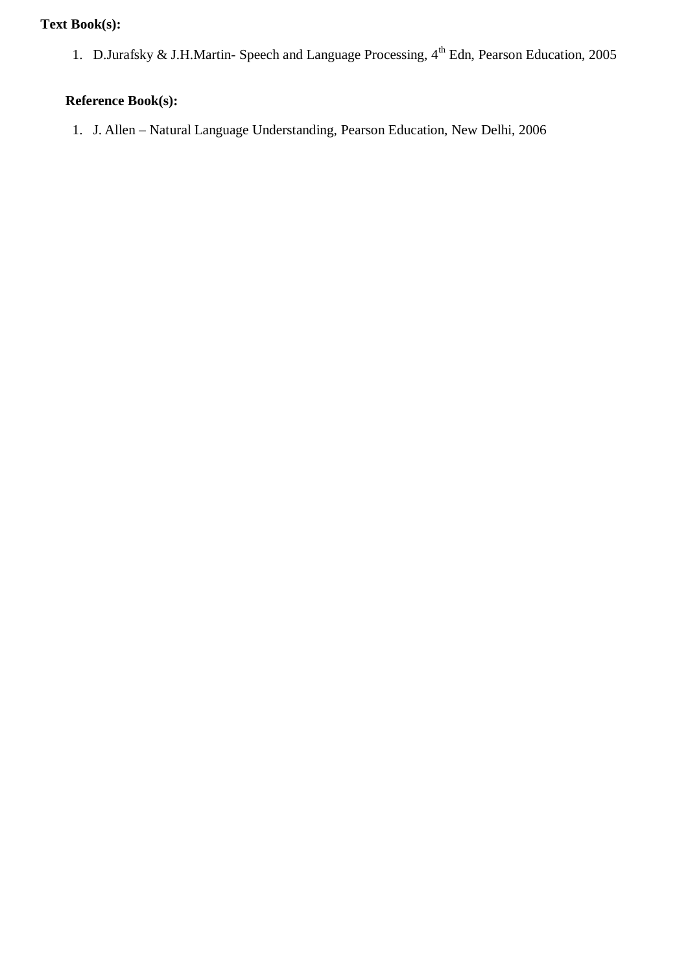# **Text Book(s):**

1. D.Jurafsky & J.H.Martin- Speech and Language Processing, 4<sup>th</sup> Edn, Pearson Education, 2005

# **Reference Book(s):**

1. J. Allen – Natural Language Understanding, Pearson Education, New Delhi, 2006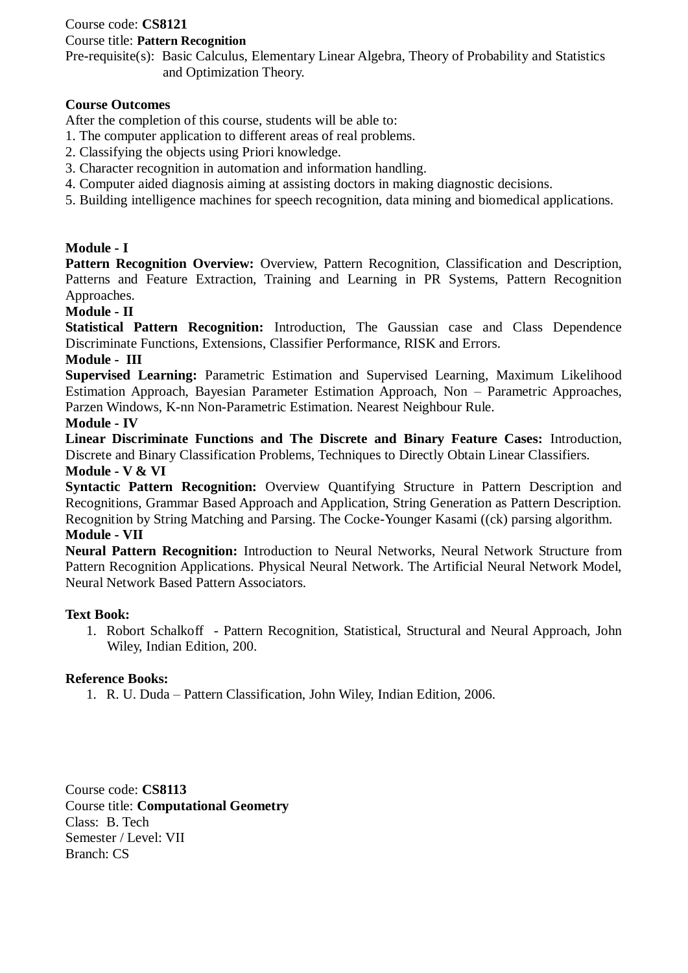# Course code: **CS8121**

### Course title: **Pattern Recognition**

Pre-requisite(s): Basic Calculus, Elementary Linear Algebra, Theory of Probability and Statistics and Optimization Theory.

### **Course Outcomes**

After the completion of this course, students will be able to:

- 1. The computer application to different areas of real problems.
- 2. Classifying the objects using Priori knowledge.
- 3. Character recognition in automation and information handling.
- 4. Computer aided diagnosis aiming at assisting doctors in making diagnostic decisions.
- 5. Building intelligence machines for speech recognition, data mining and biomedical applications.

### **Module - I**

Pattern Recognition Overview: Overview, Pattern Recognition, Classification and Description, Patterns and Feature Extraction, Training and Learning in PR Systems, Pattern Recognition Approaches.

# **Module - II**

**Statistical Pattern Recognition:** Introduction, The Gaussian case and Class Dependence Discriminate Functions, Extensions, Classifier Performance, RISK and Errors.

### **Module - III**

**Supervised Learning:** Parametric Estimation and Supervised Learning, Maximum Likelihood Estimation Approach, Bayesian Parameter Estimation Approach, Non – Parametric Approaches, Parzen Windows, K-nn Non-Parametric Estimation. Nearest Neighbour Rule.

### **Module - IV**

**Linear Discriminate Functions and The Discrete and Binary Feature Cases:** Introduction, Discrete and Binary Classification Problems, Techniques to Directly Obtain Linear Classifiers. **Module - V & VI**

**Syntactic Pattern Recognition:** Overview Quantifying Structure in Pattern Description and Recognitions, Grammar Based Approach and Application, String Generation as Pattern Description. Recognition by String Matching and Parsing. The Cocke-Younger Kasami ((ck) parsing algorithm.

#### **Module - VII**

**Neural Pattern Recognition:** Introduction to Neural Networks, Neural Network Structure from Pattern Recognition Applications. Physical Neural Network. The Artificial Neural Network Model, Neural Network Based Pattern Associators.

### **Text Book:**

1. Robort Schalkoff - Pattern Recognition, Statistical, Structural and Neural Approach, John Wiley, Indian Edition, 200.

### **Reference Books:**

1. R. U. Duda – Pattern Classification, John Wiley, Indian Edition, 2006.

Course code: **CS8113** Course title: **Computational Geometry** Class: B. Tech Semester / Level: VII Branch: CS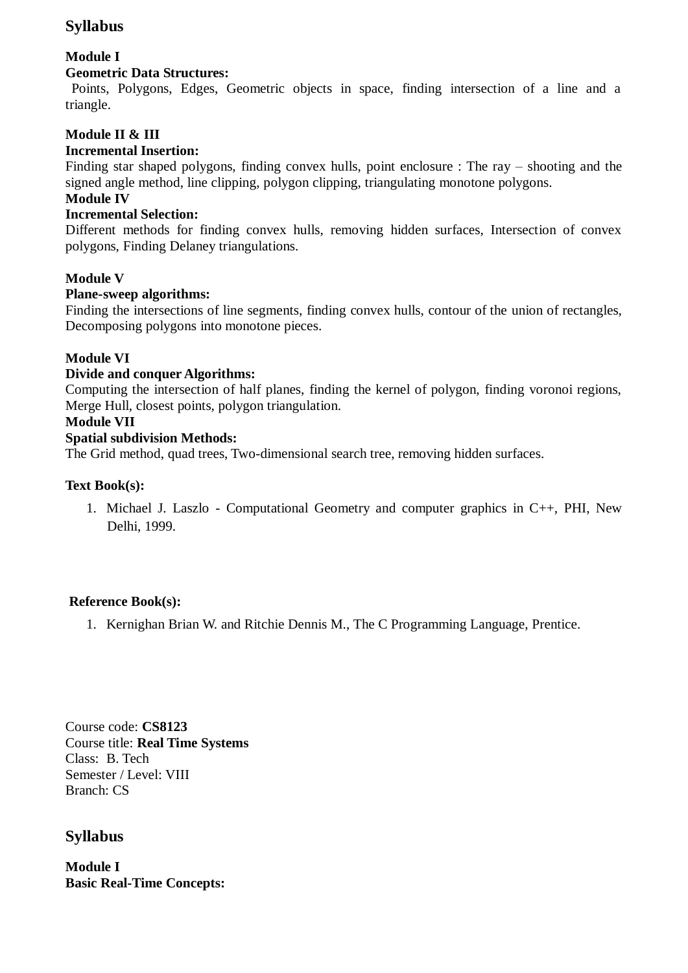# **Syllabus**

# **Module I**

# **Geometric Data Structures:**

 Points, Polygons, Edges, Geometric objects in space, finding intersection of a line and a triangle.

# **Module II & III**

# **Incremental Insertion:**

Finding star shaped polygons, finding convex hulls, point enclosure : The ray – shooting and the signed angle method, line clipping, polygon clipping, triangulating monotone polygons.

# **Module IV**

# **Incremental Selection:**

Different methods for finding convex hulls, removing hidden surfaces, Intersection of convex polygons, Finding Delaney triangulations.

# **Module V**

### **Plane-sweep algorithms:**

Finding the intersections of line segments, finding convex hulls, contour of the union of rectangles, Decomposing polygons into monotone pieces.

# **Module VI**

### **Divide and conquer Algorithms:**

Computing the intersection of half planes, finding the kernel of polygon, finding voronoi regions, Merge Hull, closest points, polygon triangulation.

### **Module VII**

### **Spatial subdivision Methods:**

The Grid method, quad trees, Two-dimensional search tree, removing hidden surfaces.

### **Text Book(s):**

1. Michael J. Laszlo - Computational Geometry and computer graphics in C++, PHI, New Delhi, 1999.

# **Reference Book(s):**

1. Kernighan Brian W. and Ritchie Dennis M., The C Programming Language, Prentice.

Course code: **CS8123** Course title: **Real Time Systems** Class: B. Tech Semester / Level: VIII Branch: CS

# **Syllabus**

**Module I Basic Real-Time Concepts:**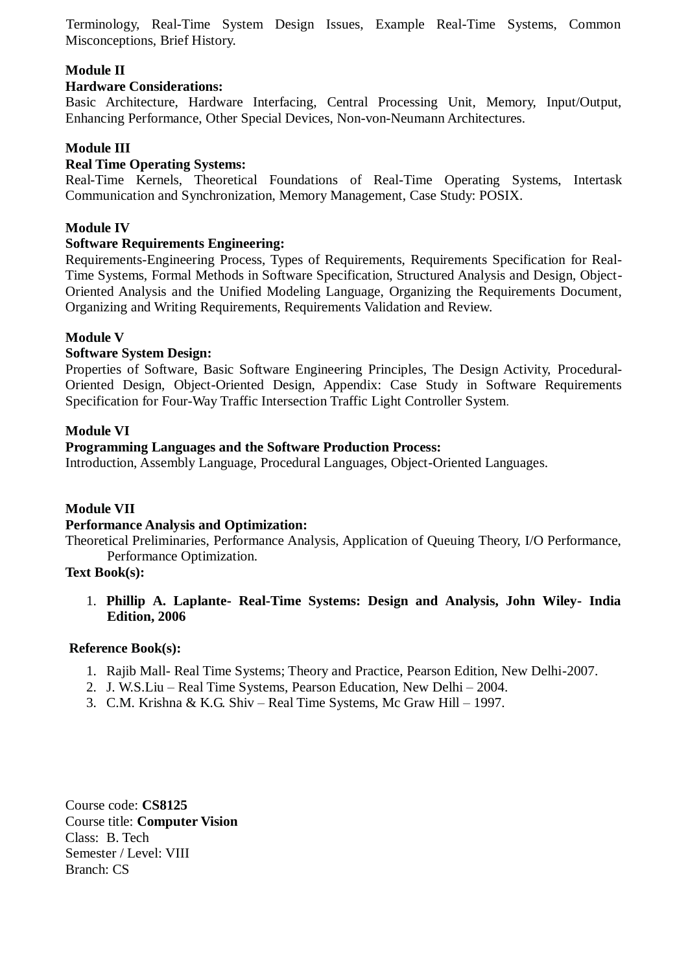Terminology, Real-Time System Design Issues, Example Real-Time Systems, Common Misconceptions, Brief History.

### **Module II**

### **Hardware Considerations:**

Basic Architecture, Hardware Interfacing, Central Processing Unit, Memory, Input/Output, Enhancing Performance, Other Special Devices, Non-von-Neumann Architectures.

#### **Module III**

### **Real Time Operating Systems:**

Real-Time Kernels, Theoretical Foundations of Real-Time Operating Systems, Intertask Communication and Synchronization, Memory Management, Case Study: POSIX.

#### **Module IV**

#### **Software Requirements Engineering:**

Requirements-Engineering Process, Types of Requirements, Requirements Specification for Real-Time Systems, Formal Methods in Software Specification, Structured Analysis and Design, Object-Oriented Analysis and the Unified Modeling Language, Organizing the Requirements Document, Organizing and Writing Requirements, Requirements Validation and Review.

### **Module V**

### **Software System Design:**

Properties of Software, Basic Software Engineering Principles, The Design Activity, Procedural-Oriented Design, Object-Oriented Design, Appendix: Case Study in Software Requirements Specification for Four-Way Traffic Intersection Traffic Light Controller System.

#### **Module VI**

### **Programming Languages and the Software Production Process:**

Introduction, Assembly Language, Procedural Languages, Object-Oriented Languages.

### **Module VII**

#### **Performance Analysis and Optimization:**

Theoretical Preliminaries, Performance Analysis, Application of Queuing Theory, I/O Performance, Performance Optimization.

#### **Text Book(s):**

1. **Phillip A. Laplante- Real-Time Systems: Design and Analysis, John Wiley- India Edition, 2006**

#### **Reference Book(s):**

- 1. Rajib Mall- Real Time Systems; Theory and Practice, Pearson Edition, New Delhi-2007.
- 2. J. W.S.Liu Real Time Systems, Pearson Education, New Delhi 2004.
- 3. C.M. Krishna & K.G. Shiv Real Time Systems, Mc Graw Hill 1997.

Course code: **CS8125** Course title: **Computer Vision** Class: B. Tech Semester / Level: VIII Branch: CS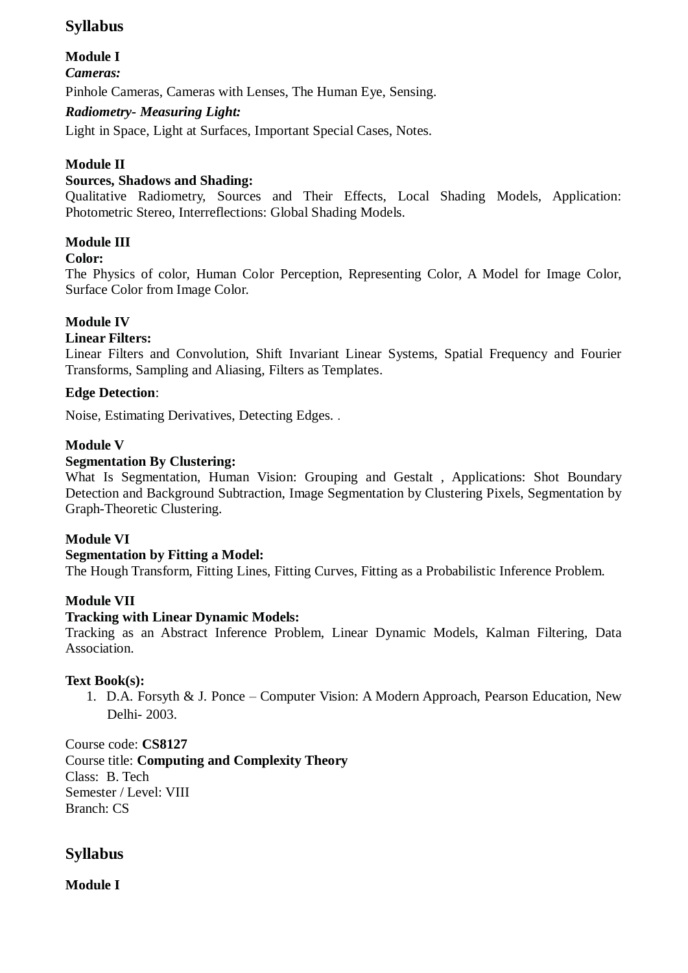# **Syllabus**

# **Module I**

*Cameras:* 

Pinhole Cameras, Cameras with Lenses, The Human Eye, Sensing.

# *Radiometry- Measuring Light:*

Light in Space, Light at Surfaces, Important Special Cases, Notes.

# **Module II**

# **Sources, Shadows and Shading:**

Qualitative Radiometry, Sources and Their Effects, Local Shading Models, Application: Photometric Stereo, Interreflections: Global Shading Models.

# **Module III**

# **Color:**

The Physics of color, Human Color Perception, Representing Color, A Model for Image Color, Surface Color from Image Color.

# **Module IV**

# **Linear Filters:**

Linear Filters and Convolution, Shift Invariant Linear Systems, Spatial Frequency and Fourier Transforms, Sampling and Aliasing, Filters as Templates.

# **Edge Detection**:

Noise, Estimating Derivatives, Detecting Edges. .

# **Module V**

# **Segmentation By Clustering:**

What Is Segmentation, Human Vision: Grouping and Gestalt , Applications: Shot Boundary Detection and Background Subtraction, Image Segmentation by Clustering Pixels, Segmentation by Graph-Theoretic Clustering.

# **Module VI**

# **Segmentation by Fitting a Model:**

The Hough Transform, Fitting Lines, Fitting Curves, Fitting as a Probabilistic Inference Problem.

# **Module VII**

### **Tracking with Linear Dynamic Models:**

Tracking as an Abstract Inference Problem, Linear Dynamic Models, Kalman Filtering, Data Association.

# **Text Book(s):**

1. D.A. Forsyth & J. Ponce – Computer Vision: A Modern Approach, Pearson Education, New Delhi- 2003.

Course code: **CS8127** Course title: **Computing and Complexity Theory** Class: B. Tech Semester / Level: VIII Branch: CS

# **Syllabus**

**Module I**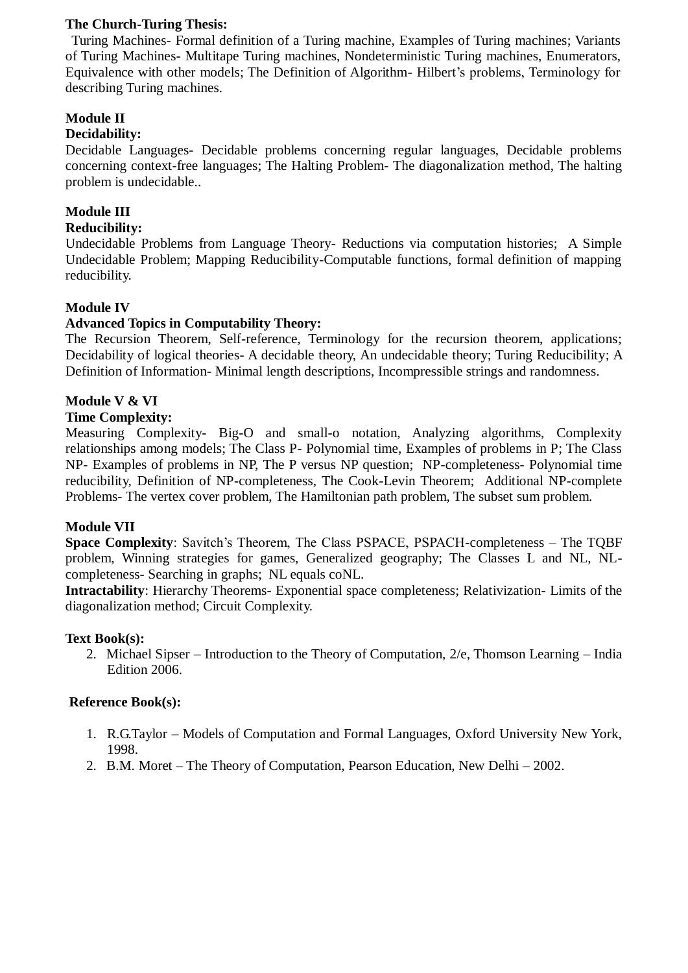### **The Church-Turing Thesis:**

 Turing Machines- Formal definition of a Turing machine, Examples of Turing machines; Variants of Turing Machines- Multitape Turing machines, Nondeterministic Turing machines, Enumerators, Equivalence with other models; The Definition of Algorithm- Hilbert's problems, Terminology for describing Turing machines.

# **Module II**

### **Decidability:**

Decidable Languages- Decidable problems concerning regular languages, Decidable problems concerning context-free languages; The Halting Problem- The diagonalization method, The halting problem is undecidable..

### **Module III**

### **Reducibility:**

Undecidable Problems from Language Theory- Reductions via computation histories; A Simple Undecidable Problem; Mapping Reducibility-Computable functions, formal definition of mapping reducibility.

### **Module IV**

### **Advanced Topics in Computability Theory:**

The Recursion Theorem, Self-reference, Terminology for the recursion theorem, applications; Decidability of logical theories- A decidable theory, An undecidable theory; Turing Reducibility; A Definition of Information- Minimal length descriptions, Incompressible strings and randomness.

### **Module V & VI**

### **Time Complexity:**

Measuring Complexity- Big-O and small-o notation, Analyzing algorithms, Complexity relationships among models; The Class P- Polynomial time, Examples of problems in P; The Class NP- Examples of problems in NP, The P versus NP question; NP-completeness- Polynomial time reducibility, Definition of NP-completeness, The Cook-Levin Theorem; Additional NP-complete Problems- The vertex cover problem, The Hamiltonian path problem, The subset sum problem.

#### **Module VII**

**Space Complexity**: Savitch's Theorem, The Class PSPACE, PSPACH-completeness – The TOBF problem, Winning strategies for games, Generalized geography; The Classes L and NL, NLcompleteness- Searching in graphs; NL equals coNL.

**Intractability**: Hierarchy Theorems- Exponential space completeness; Relativization- Limits of the diagonalization method; Circuit Complexity.

#### **Text Book(s):**

2. Michael Sipser – Introduction to the Theory of Computation, 2/e, Thomson Learning – India Edition 2006.

- 1. R.G.Taylor Models of Computation and Formal Languages, Oxford University New York, 1998.
- 2. B.M. Moret The Theory of Computation, Pearson Education, New Delhi 2002.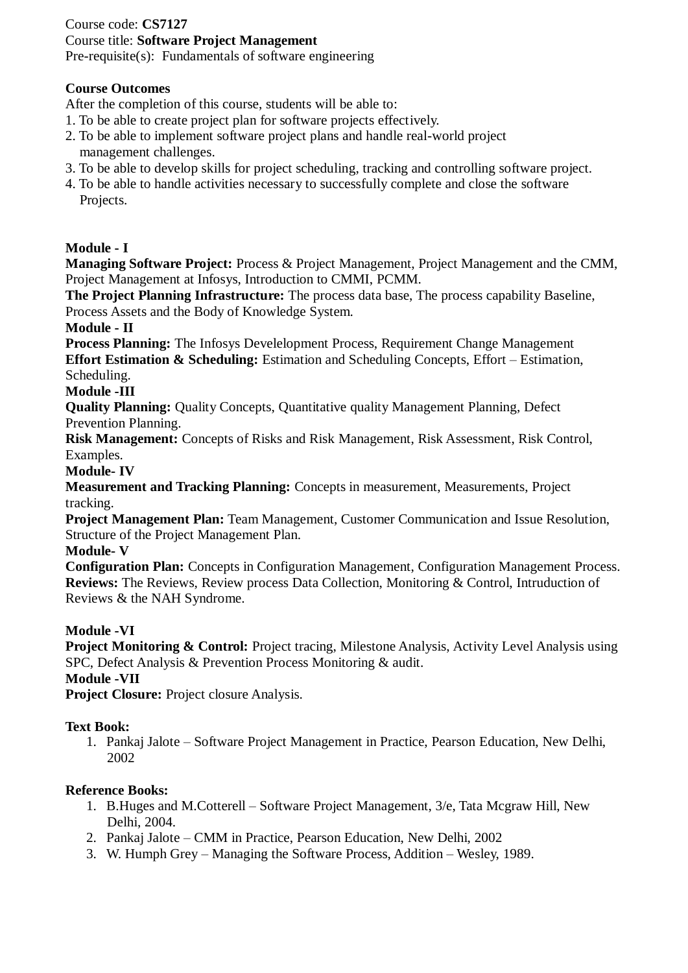### Course code: **CS7127** Course title: **Software Project Management** Pre-requisite(s): Fundamentals of software engineering

### **Course Outcomes**

After the completion of this course, students will be able to:

- 1. To be able to create project plan for software projects effectively.
- 2. To be able to implement software project plans and handle real-world project management challenges.
- 3. To be able to develop skills for project scheduling, tracking and controlling software project.
- 4. To be able to handle activities necessary to successfully complete and close the software Projects.

# **Module - I**

**Managing Software Project:** Process & Project Management, Project Management and the CMM, Project Management at Infosys, Introduction to CMMI, PCMM.

**The Project Planning Infrastructure:** The process data base, The process capability Baseline, Process Assets and the Body of Knowledge System.

### **Module - II**

**Process Planning:** The Infosys Develelopment Process, Requirement Change Management **Effort Estimation & Scheduling:** Estimation and Scheduling Concepts, Effort – Estimation, Scheduling.

### **Module -III**

**Quality Planning:** Quality Concepts, Quantitative quality Management Planning, Defect Prevention Planning.

**Risk Management:** Concepts of Risks and Risk Management, Risk Assessment, Risk Control, Examples.

### **Module- IV**

**Measurement and Tracking Planning:** Concepts in measurement, Measurements, Project tracking.

**Project Management Plan:** Team Management, Customer Communication and Issue Resolution, Structure of the Project Management Plan.

### **Module- V**

**Configuration Plan:** Concepts in Configuration Management, Configuration Management Process. **Reviews:** The Reviews, Review process Data Collection, Monitoring & Control, Intruduction of Reviews & the NAH Syndrome.

### **Module -VI**

**Project Monitoring & Control:** Project tracing, Milestone Analysis, Activity Level Analysis using SPC, Defect Analysis & Prevention Process Monitoring & audit.

# **Module -VII**

**Project Closure:** Project closure Analysis.

# **Text Book:**

1. Pankaj Jalote – Software Project Management in Practice, Pearson Education, New Delhi, 2002

- 1. B.Huges and M.Cotterell Software Project Management, 3/e, Tata Mcgraw Hill, New Delhi, 2004.
- 2. Pankaj Jalote CMM in Practice, Pearson Education, New Delhi, 2002
- 3. W. Humph Grey Managing the Software Process, Addition Wesley, 1989.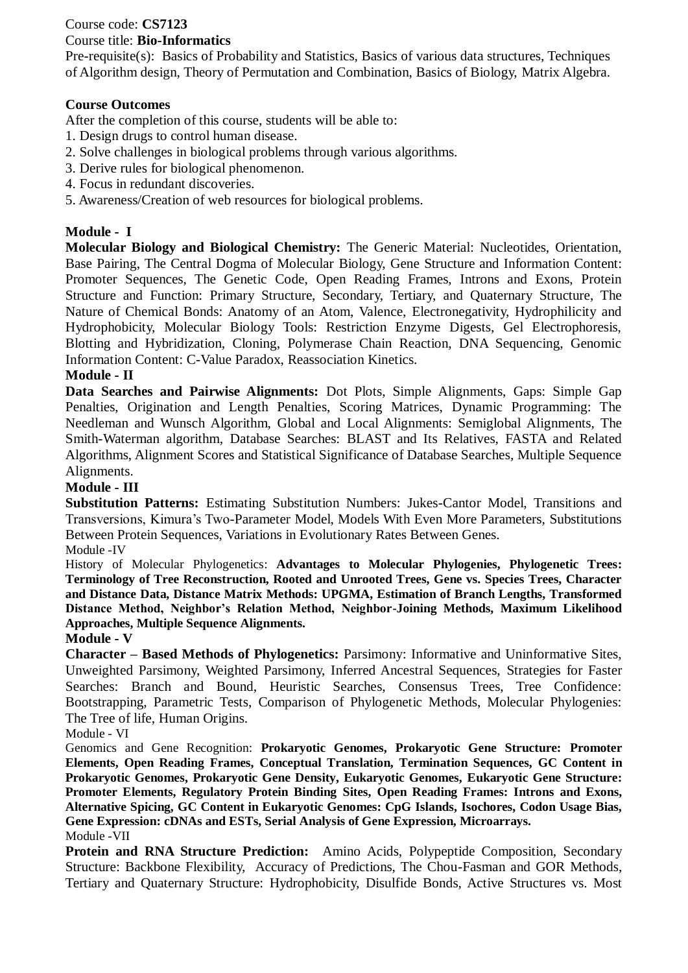## Course code: **CS7123**

# Course title: **Bio-Informatics**

Pre-requisite(s): Basics of Probability and Statistics, Basics of various data structures, Techniques of Algorithm design, Theory of Permutation and Combination, Basics of Biology, Matrix Algebra.

# **Course Outcomes**

After the completion of this course, students will be able to:

- 1. Design drugs to control human disease.
- 2. Solve challenges in biological problems through various algorithms.
- 3. Derive rules for biological phenomenon.
- 4. Focus in redundant discoveries.
- 5. Awareness/Creation of web resources for biological problems.

# **Module - I**

**Molecular Biology and Biological Chemistry:** The Generic Material: Nucleotides, Orientation, Base Pairing, The Central Dogma of Molecular Biology, Gene Structure and Information Content: Promoter Sequences, The Genetic Code, Open Reading Frames, Introns and Exons, Protein Structure and Function: Primary Structure, Secondary, Tertiary, and Quaternary Structure, The Nature of Chemical Bonds: Anatomy of an Atom, Valence, Electronegativity, Hydrophilicity and Hydrophobicity, Molecular Biology Tools: Restriction Enzyme Digests, Gel Electrophoresis, Blotting and Hybridization, Cloning, Polymerase Chain Reaction, DNA Sequencing, Genomic Information Content: C-Value Paradox, Reassociation Kinetics.

### **Module - II**

**Data Searches and Pairwise Alignments:** Dot Plots, Simple Alignments, Gaps: Simple Gap Penalties, Origination and Length Penalties, Scoring Matrices, Dynamic Programming: The Needleman and Wunsch Algorithm, Global and Local Alignments: Semiglobal Alignments, The Smith-Waterman algorithm, Database Searches: BLAST and Its Relatives, FASTA and Related Algorithms, Alignment Scores and Statistical Significance of Database Searches, Multiple Sequence Alignments.

### **Module - III**

**Substitution Patterns:** Estimating Substitution Numbers: Jukes-Cantor Model, Transitions and Transversions, Kimura's Two-Parameter Model, Models With Even More Parameters, Substitutions Between Protein Sequences, Variations in Evolutionary Rates Between Genes. Module -IV

History of Molecular Phylogenetics: **Advantages to Molecular Phylogenies, Phylogenetic Trees: Terminology of Tree Reconstruction, Rooted and Unrooted Trees, Gene vs. Species Trees, Character and Distance Data, Distance Matrix Methods: UPGMA, Estimation of Branch Lengths, Transformed Distance Method, Neighbor's Relation Method, Neighbor-Joining Methods, Maximum Likelihood Approaches, Multiple Sequence Alignments.**

#### **Module - V**

**Character – Based Methods of Phylogenetics:** Parsimony: Informative and Uninformative Sites, Unweighted Parsimony, Weighted Parsimony, Inferred Ancestral Sequences, Strategies for Faster Searches: Branch and Bound, Heuristic Searches, Consensus Trees, Tree Confidence: Bootstrapping, Parametric Tests, Comparison of Phylogenetic Methods, Molecular Phylogenies: The Tree of life, Human Origins.

Module - VI

Genomics and Gene Recognition: **Prokaryotic Genomes, Prokaryotic Gene Structure: Promoter Elements, Open Reading Frames, Conceptual Translation, Termination Sequences, GC Content in Prokaryotic Genomes, Prokaryotic Gene Density, Eukaryotic Genomes, Eukaryotic Gene Structure: Promoter Elements, Regulatory Protein Binding Sites, Open Reading Frames: Introns and Exons, Alternative Spicing, GC Content in Eukaryotic Genomes: CpG Islands, Isochores, Codon Usage Bias, Gene Expression: cDNAs and ESTs, Serial Analysis of Gene Expression, Microarrays.** Module -VII

**Protein and RNA Structure Prediction:** Amino Acids, Polypeptide Composition, Secondary Structure: Backbone Flexibility, Accuracy of Predictions, The Chou-Fasman and GOR Methods, Tertiary and Quaternary Structure: Hydrophobicity, Disulfide Bonds, Active Structures vs. Most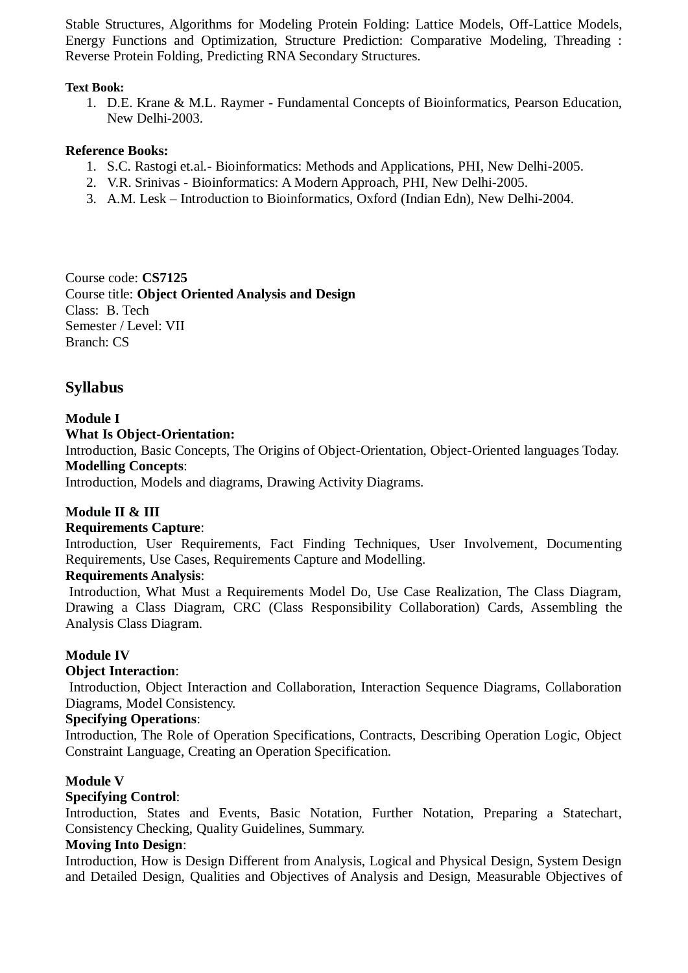Stable Structures, Algorithms for Modeling Protein Folding: Lattice Models, Off-Lattice Models, Energy Functions and Optimization, Structure Prediction: Comparative Modeling, Threading : Reverse Protein Folding, Predicting RNA Secondary Structures.

### **Text Book:**

1. D.E. Krane & M.L. Raymer - Fundamental Concepts of Bioinformatics, Pearson Education, New Delhi-2003.

### **Reference Books:**

- 1. S.C. Rastogi et.al.- Bioinformatics: Methods and Applications, PHI, New Delhi-2005.
- 2. V.R. Srinivas Bioinformatics: A Modern Approach, PHI, New Delhi-2005.
- 3. A.M. Lesk Introduction to Bioinformatics, Oxford (Indian Edn), New Delhi-2004.

Course code: **CS7125** Course title: **Object Oriented Analysis and Design** Class: B. Tech Semester / Level: VII Branch: CS

# **Syllabus**

#### **Module I What Is Object-Orientation:**

Introduction, Basic Concepts, The Origins of Object-Orientation, Object-Oriented languages Today. **Modelling Concepts**:

Introduction, Models and diagrams, Drawing Activity Diagrams.

# **Module II & III**

### **Requirements Capture**:

Introduction, User Requirements, Fact Finding Techniques, User Involvement, Documenting Requirements, Use Cases, Requirements Capture and Modelling.

### **Requirements Analysis**:

Introduction, What Must a Requirements Model Do, Use Case Realization, The Class Diagram, Drawing a Class Diagram, CRC (Class Responsibility Collaboration) Cards, Assembling the Analysis Class Diagram.

### **Module IV**

#### **Object Interaction**:

Introduction, Object Interaction and Collaboration, Interaction Sequence Diagrams, Collaboration Diagrams, Model Consistency.

#### **Specifying Operations**:

Introduction, The Role of Operation Specifications, Contracts, Describing Operation Logic, Object Constraint Language, Creating an Operation Specification.

#### **Module V**

### **Specifying Control**:

Introduction, States and Events, Basic Notation, Further Notation, Preparing a Statechart, Consistency Checking, Quality Guidelines, Summary.

#### **Moving Into Design**:

Introduction, How is Design Different from Analysis, Logical and Physical Design, System Design and Detailed Design, Qualities and Objectives of Analysis and Design, Measurable Objectives of